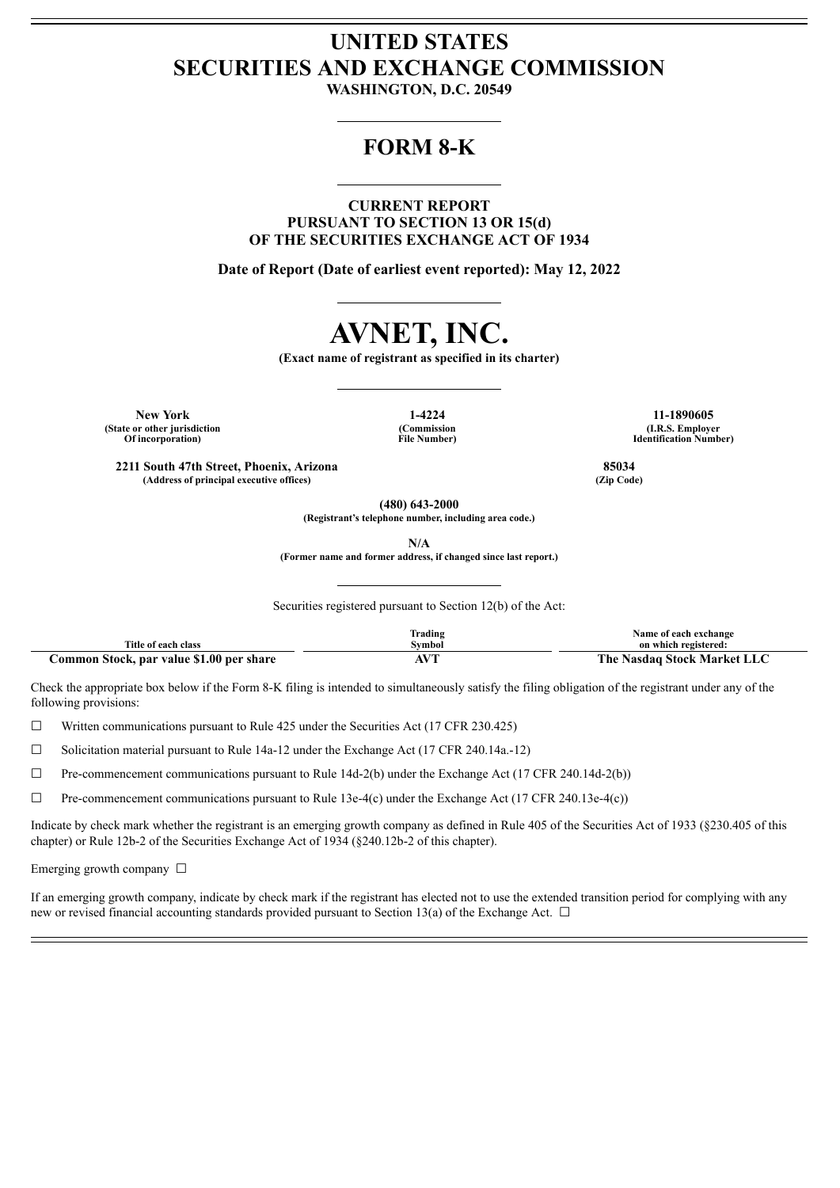## **UNITED STATES SECURITIES AND EXCHANGE COMMISSION**

**WASHINGTON, D.C. 20549**

## **FORM 8-K**

**CURRENT REPORT PURSUANT TO SECTION 13 OR 15(d) OF THE SECURITIES EXCHANGE ACT OF 1934**

**Date of Report (Date of earliest event reported): May 12, 2022**

# **AVNET, INC.**

**(Exact name of registrant as specified in its charter)**

**New York 1-4224 11-1890605 (State or other jurisdiction Of incorporation)**

**(Commission File Number)**

**(I.R.S. Employer Identification Number)**

**2211 South 47th Street, Phoenix, Arizona 85034 (Address of principal executive offices) (Zip Code)**

**(480) 643-2000**

**(Registrant's telephone number, including area code.)**

**N/A**

**(Former name and former address, if changed since last report.)**

Securities registered pursuant to Section 12(b) of the Act:

|                                          | Trading                                                      | Name of each exchange              |
|------------------------------------------|--------------------------------------------------------------|------------------------------------|
| Title of each class                      | Svmbol                                                       | on which registered:               |
| Common Stock, par value \$1.00 per share | $\mathbf{X}$ $\mathbf{I}$<br>the contract of the contract of | The .<br>• Nasdaq Stock Market LLC |

Check the appropriate box below if the Form 8-K filing is intended to simultaneously satisfy the filing obligation of the registrant under any of the following provisions:

 $\Box$  Written communications pursuant to Rule 425 under the Securities Act (17 CFR 230.425)

 $\Box$  Solicitation material pursuant to Rule 14a-12 under the Exchange Act (17 CFR 240.14a.-12)

☐ Pre-commencement communications pursuant to Rule 14d-2(b) under the Exchange Act (17 CFR 240.14d-2(b))

 $\Box$  Pre-commencement communications pursuant to Rule 13e-4(c) under the Exchange Act (17 CFR 240.13e-4(c))

Indicate by check mark whether the registrant is an emerging growth company as defined in Rule 405 of the Securities Act of 1933 (§230.405 of this chapter) or Rule 12b-2 of the Securities Exchange Act of 1934 (§240.12b-2 of this chapter).

Emerging growth company  $\Box$ 

If an emerging growth company, indicate by check mark if the registrant has elected not to use the extended transition period for complying with any new or revised financial accounting standards provided pursuant to Section 13(a) of the Exchange Act.  $\Box$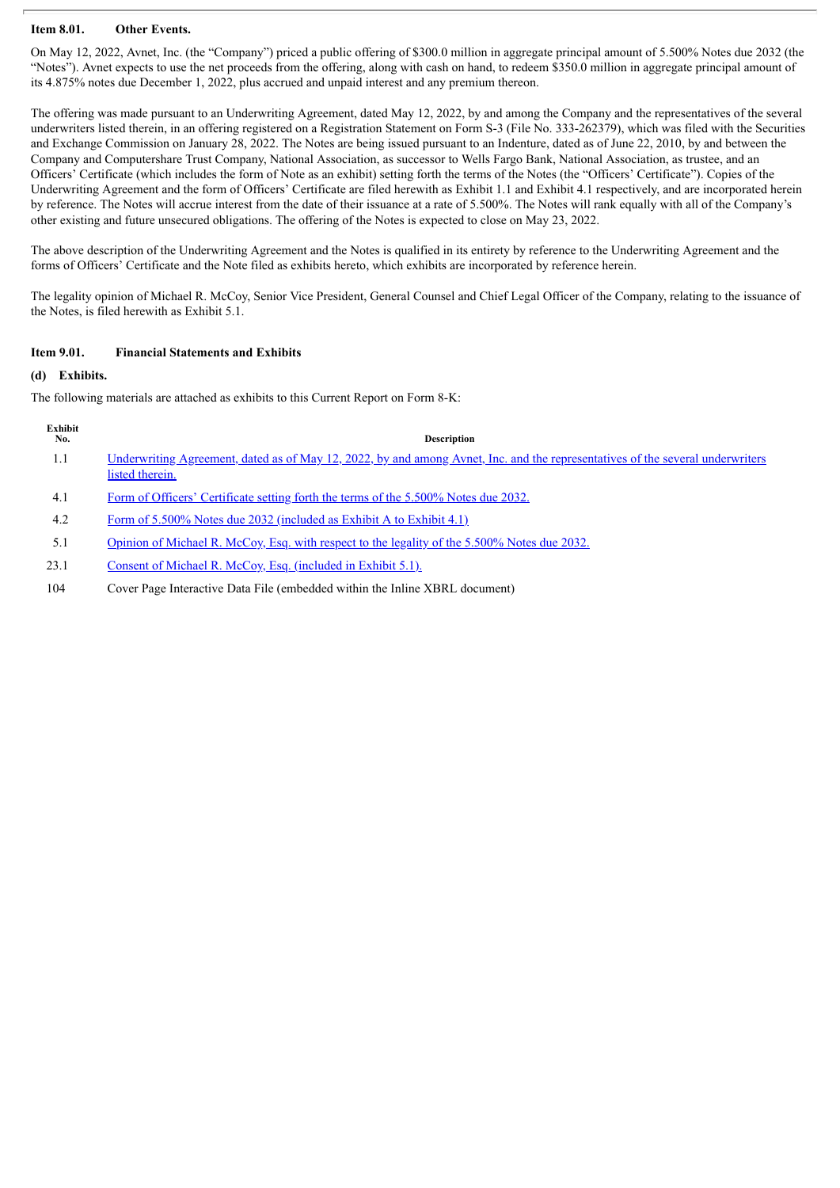### **Item 8.01. Other Events.**

On May 12, 2022, Avnet, Inc. (the "Company") priced a public offering of \$300.0 million in aggregate principal amount of 5.500% Notes due 2032 (the "Notes"). Avnet expects to use the net proceeds from the offering, along with cash on hand, to redeem \$350.0 million in aggregate principal amount of its 4.875% notes due December 1, 2022, plus accrued and unpaid interest and any premium thereon.

The offering was made pursuant to an Underwriting Agreement, dated May 12, 2022, by and among the Company and the representatives of the several underwriters listed therein, in an offering registered on a Registration Statement on Form S-3 (File No. 333-262379), which was filed with the Securities and Exchange Commission on January 28, 2022. The Notes are being issued pursuant to an Indenture, dated as of June 22, 2010, by and between the Company and Computershare Trust Company, National Association, as successor to Wells Fargo Bank, National Association, as trustee, and an Officers' Certificate (which includes the form of Note as an exhibit) setting forth the terms of the Notes (the "Officers' Certificate"). Copies of the Underwriting Agreement and the form of Officers' Certificate are filed herewith as Exhibit 1.1 and Exhibit 4.1 respectively, and are incorporated herein by reference. The Notes will accrue interest from the date of their issuance at a rate of 5.500%. The Notes will rank equally with all of the Company's other existing and future unsecured obligations. The offering of the Notes is expected to close on May 23, 2022.

The above description of the Underwriting Agreement and the Notes is qualified in its entirety by reference to the Underwriting Agreement and the forms of Officers' Certificate and the Note filed as exhibits hereto, which exhibits are incorporated by reference herein.

The legality opinion of Michael R. McCoy, Senior Vice President, General Counsel and Chief Legal Officer of the Company, relating to the issuance of the Notes, is filed herewith as Exhibit 5.1.

### **Item 9.01. Financial Statements and Exhibits**

### **(d) Exhibits.**

The following materials are attached as exhibits to this Current Report on Form 8-K:

| Exhibit<br>No. | <b>Description</b>                                                                                                                                       |
|----------------|----------------------------------------------------------------------------------------------------------------------------------------------------------|
| 1.1            | <u>Underwriting Agreement, dated as of May 12, 2022, by and among Avnet, Inc. and the representatives of the several underwriters</u><br>listed therein. |
| 4.1            | Form of Officers' Certificate setting forth the terms of the 5.500% Notes due 2032.                                                                      |
| 4.2            | Form of 5.500% Notes due 2032 (included as Exhibit A to Exhibit 4.1)                                                                                     |
| 5.1            | Opinion of Michael R. McCoy, Esq. with respect to the legality of the 5.500% Notes due 2032.                                                             |
| 23.1           | Consent of Michael R. McCoy, Esq. (included in Exhibit 5.1).                                                                                             |
| 104            | Cover Page Interactive Data File (embedded within the Inline XBRL document)                                                                              |
|                |                                                                                                                                                          |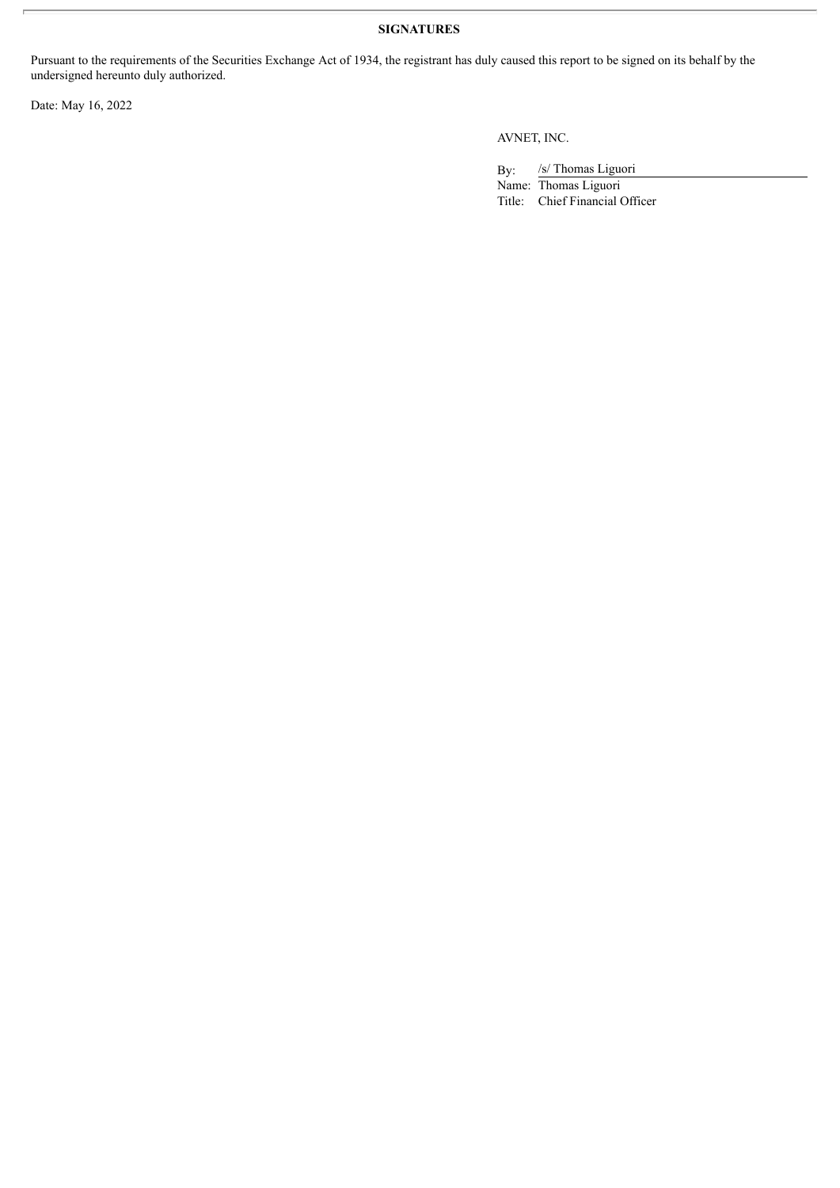### **SIGNATURES**

Pursuant to the requirements of the Securities Exchange Act of 1934, the registrant has duly caused this report to be signed on its behalf by the undersigned hereunto duly authorized.

Date: May 16, 2022

AVNET, INC.

By: /s/ Thomas Liguori

Name: Thomas Liguori Title: Chief Financial Officer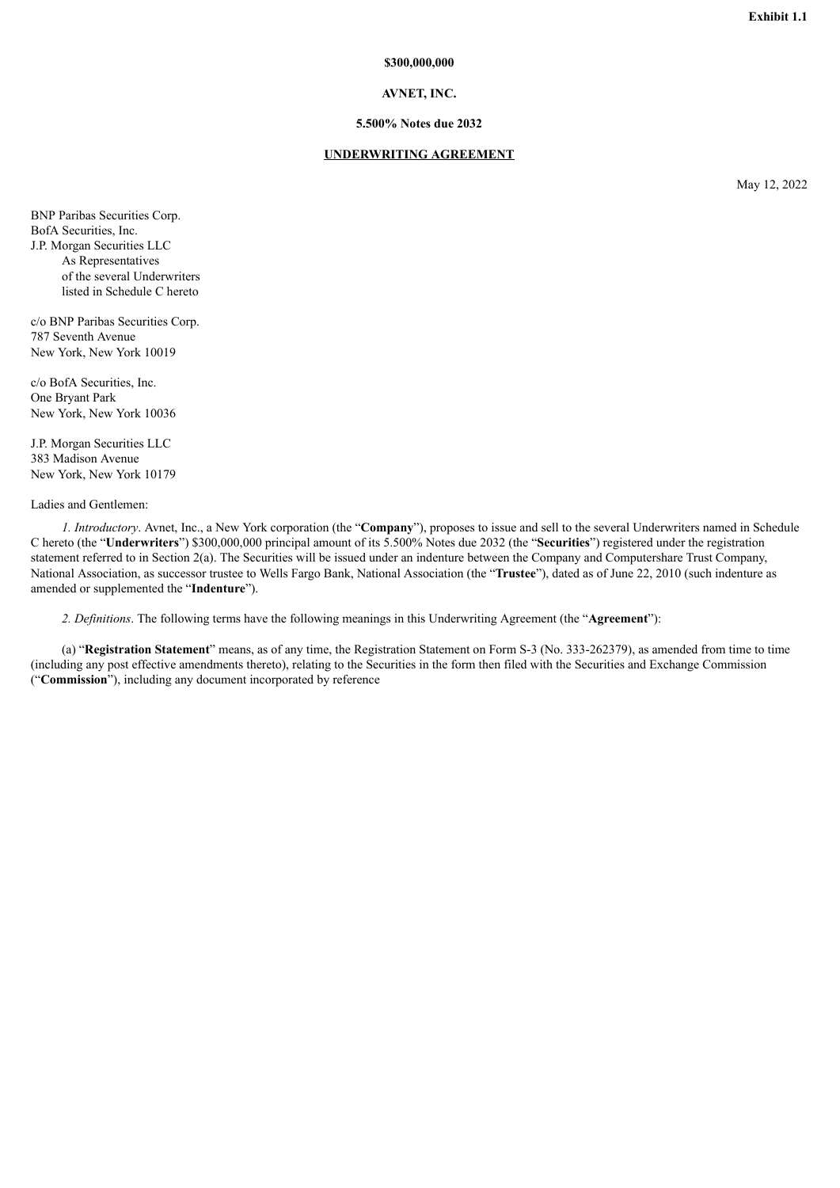#### **\$300,000,000**

### **AVNET, INC.**

#### **5.500% Notes due 2032**

#### **UNDERWRITING AGREEMENT**

May 12, 2022

<span id="page-3-0"></span>BNP Paribas Securities Corp. BofA Securities, Inc. J.P. Morgan Securities LLC As Representatives of the several Underwriters listed in Schedule C hereto

c/o BNP Paribas Securities Corp. 787 Seventh Avenue New York, New York 10019

c/o BofA Securities, Inc. One Bryant Park New York, New York 10036

J.P. Morgan Securities LLC 383 Madison Avenue New York, New York 10179

### Ladies and Gentlemen:

*1. Introductory*. Avnet, Inc., a New York corporation (the "**Company**"), proposes to issue and sell to the several Underwriters named in Schedule C hereto (the "**Underwriters**") \$300,000,000 principal amount of its 5.500% Notes due 2032 (the "**Securities**") registered under the registration statement referred to in Section 2(a). The Securities will be issued under an indenture between the Company and Computershare Trust Company, National Association, as successor trustee to Wells Fargo Bank, National Association (the "**Trustee**"), dated as of June 22, 2010 (such indenture as amended or supplemented the "**Indenture**").

*2. Definitions*. The following terms have the following meanings in this Underwriting Agreement (the "**Agreement**"):

(a) "**Registration Statement**" means, as of any time, the Registration Statement on Form S-3 (No. 333-262379), as amended from time to time (including any post effective amendments thereto), relating to the Securities in the form then filed with the Securities and Exchange Commission ("**Commission**"), including any document incorporated by reference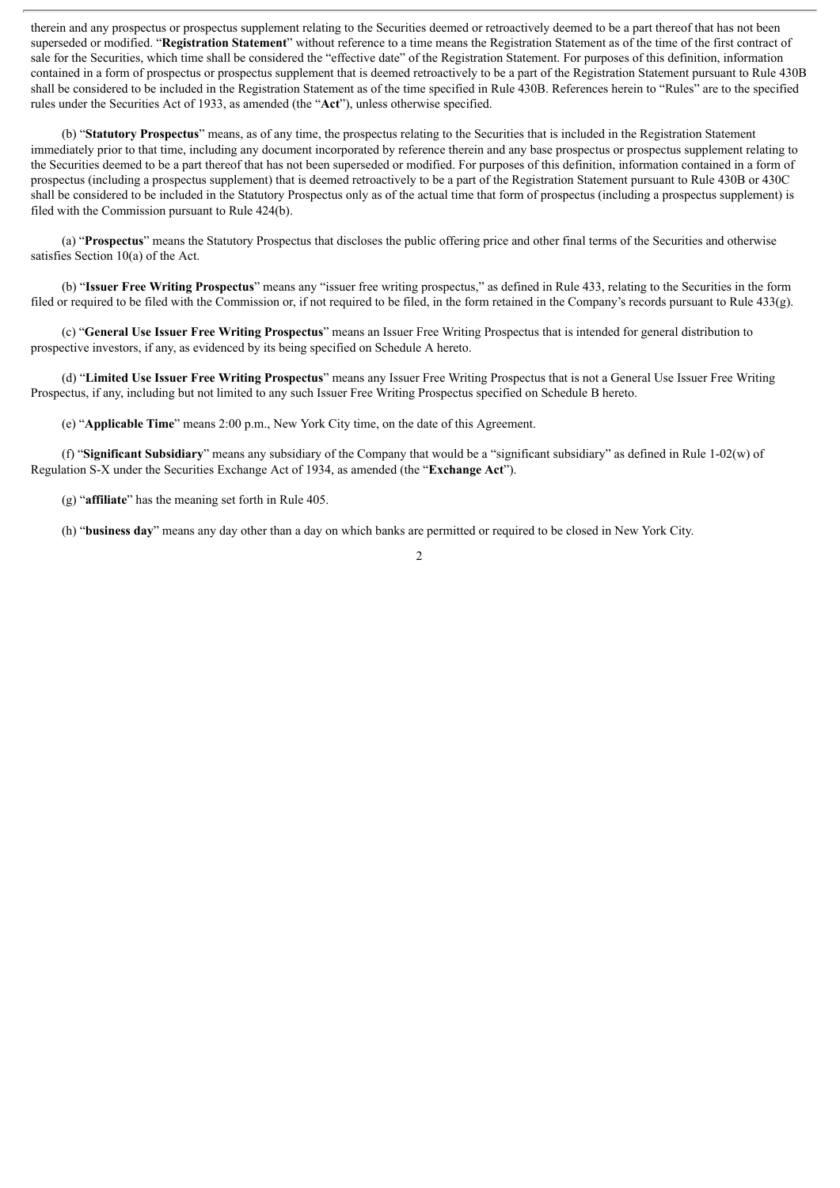therein and any prospectus or prospectus supplement relating to the Securities deemed or retroactively deemed to be a part thereof that has not been superseded or modified. "**Registration Statement**" without reference to a time means the Registration Statement as of the time of the first contract of sale for the Securities, which time shall be considered the "effective date" of the Registration Statement. For purposes of this definition, information contained in a form of prospectus or prospectus supplement that is deemed retroactively to be a part of the Registration Statement pursuant to Rule 430B shall be considered to be included in the Registration Statement as of the time specified in Rule 430B. References herein to "Rules" are to the specified rules under the Securities Act of 1933, as amended (the "**Act**"), unless otherwise specified.

(b) "**Statutory Prospectus**" means, as of any time, the prospectus relating to the Securities that is included in the Registration Statement immediately prior to that time, including any document incorporated by reference therein and any base prospectus or prospectus supplement relating to the Securities deemed to be a part thereof that has not been superseded or modified. For purposes of this definition, information contained in a form of prospectus (including a prospectus supplement) that is deemed retroactively to be a part of the Registration Statement pursuant to Rule 430B or 430C shall be considered to be included in the Statutory Prospectus only as of the actual time that form of prospectus (including a prospectus supplement) is filed with the Commission pursuant to Rule 424(b).

(a) "**Prospectus**" means the Statutory Prospectus that discloses the public offering price and other final terms of the Securities and otherwise satisfies Section 10(a) of the Act.

(b) "**Issuer Free Writing Prospectus**" means any "issuer free writing prospectus," as defined in Rule 433, relating to the Securities in the form filed or required to be filed with the Commission or, if not required to be filed, in the form retained in the Company's records pursuant to Rule 433(g).

(c) "**General Use Issuer Free Writing Prospectus**" means an Issuer Free Writing Prospectus that is intended for general distribution to prospective investors, if any, as evidenced by its being specified on Schedule A hereto.

(d) "**Limited Use Issuer Free Writing Prospectus**" means any Issuer Free Writing Prospectus that is not a General Use Issuer Free Writing Prospectus, if any, including but not limited to any such Issuer Free Writing Prospectus specified on Schedule B hereto.

(e) "**Applicable Time**" means 2:00 p.m., New York City time, on the date of this Agreement.

(f) "**Significant Subsidiary**" means any subsidiary of the Company that would be a "significant subsidiary" as defined in Rule 1-02(w) of Regulation S-X under the Securities Exchange Act of 1934, as amended (the "**Exchange Act**").

(g) "**affiliate**" has the meaning set forth in Rule 405.

(h) "**business day**" means any day other than a day on which banks are permitted or required to be closed in New York City.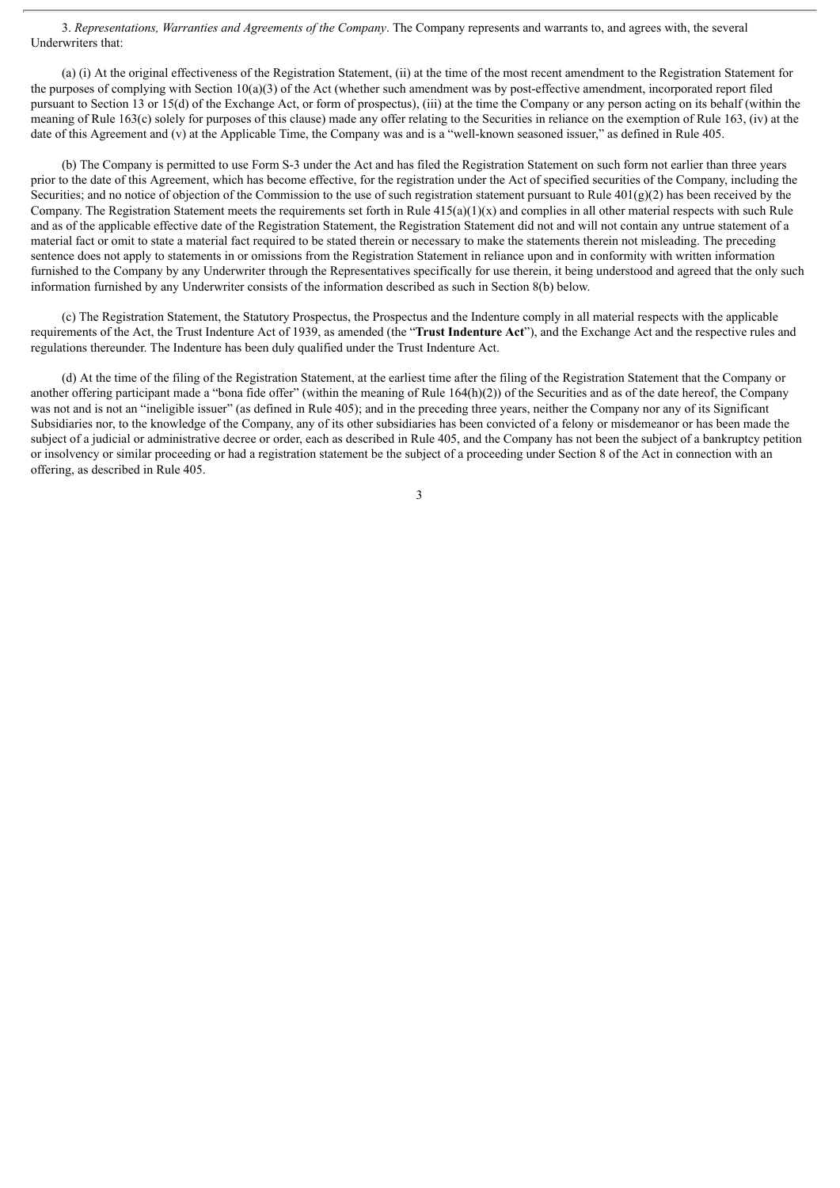3. *Representations, Warranties and Agreements of the Company*. The Company represents and warrants to, and agrees with, the several Underwriters that:

(a) (i) At the original effectiveness of the Registration Statement, (ii) at the time of the most recent amendment to the Registration Statement for the purposes of complying with Section 10(a)(3) of the Act (whether such amendment was by post-effective amendment, incorporated report filed pursuant to Section 13 or 15(d) of the Exchange Act, or form of prospectus), (iii) at the time the Company or any person acting on its behalf (within the meaning of Rule 163(c) solely for purposes of this clause) made any offer relating to the Securities in reliance on the exemption of Rule 163, (iv) at the date of this Agreement and (v) at the Applicable Time, the Company was and is a "well-known seasoned issuer," as defined in Rule 405.

(b) The Company is permitted to use Form S-3 under the Act and has filed the Registration Statement on such form not earlier than three years prior to the date of this Agreement, which has become effective, for the registration under the Act of specified securities of the Company, including the Securities; and no notice of objection of the Commission to the use of such registration statement pursuant to Rule  $401(g)(2)$  has been received by the Company. The Registration Statement meets the requirements set forth in Rule  $415(a)(1)(x)$  and complies in all other material respects with such Rule and as of the applicable effective date of the Registration Statement, the Registration Statement did not and will not contain any untrue statement of a material fact or omit to state a material fact required to be stated therein or necessary to make the statements therein not misleading. The preceding sentence does not apply to statements in or omissions from the Registration Statement in reliance upon and in conformity with written information furnished to the Company by any Underwriter through the Representatives specifically for use therein, it being understood and agreed that the only such information furnished by any Underwriter consists of the information described as such in Section 8(b) below.

(c) The Registration Statement, the Statutory Prospectus, the Prospectus and the Indenture comply in all material respects with the applicable requirements of the Act, the Trust Indenture Act of 1939, as amended (the "**Trust Indenture Act**"), and the Exchange Act and the respective rules and regulations thereunder. The Indenture has been duly qualified under the Trust Indenture Act.

(d) At the time of the filing of the Registration Statement, at the earliest time after the filing of the Registration Statement that the Company or another offering participant made a "bona fide offer" (within the meaning of Rule 164(h)(2)) of the Securities and as of the date hereof, the Company was not and is not an "ineligible issuer" (as defined in Rule 405); and in the preceding three years, neither the Company nor any of its Significant Subsidiaries nor, to the knowledge of the Company, any of its other subsidiaries has been convicted of a felony or misdemeanor or has been made the subject of a judicial or administrative decree or order, each as described in Rule 405, and the Company has not been the subject of a bankruptcy petition or insolvency or similar proceeding or had a registration statement be the subject of a proceeding under Section 8 of the Act in connection with an offering, as described in Rule 405.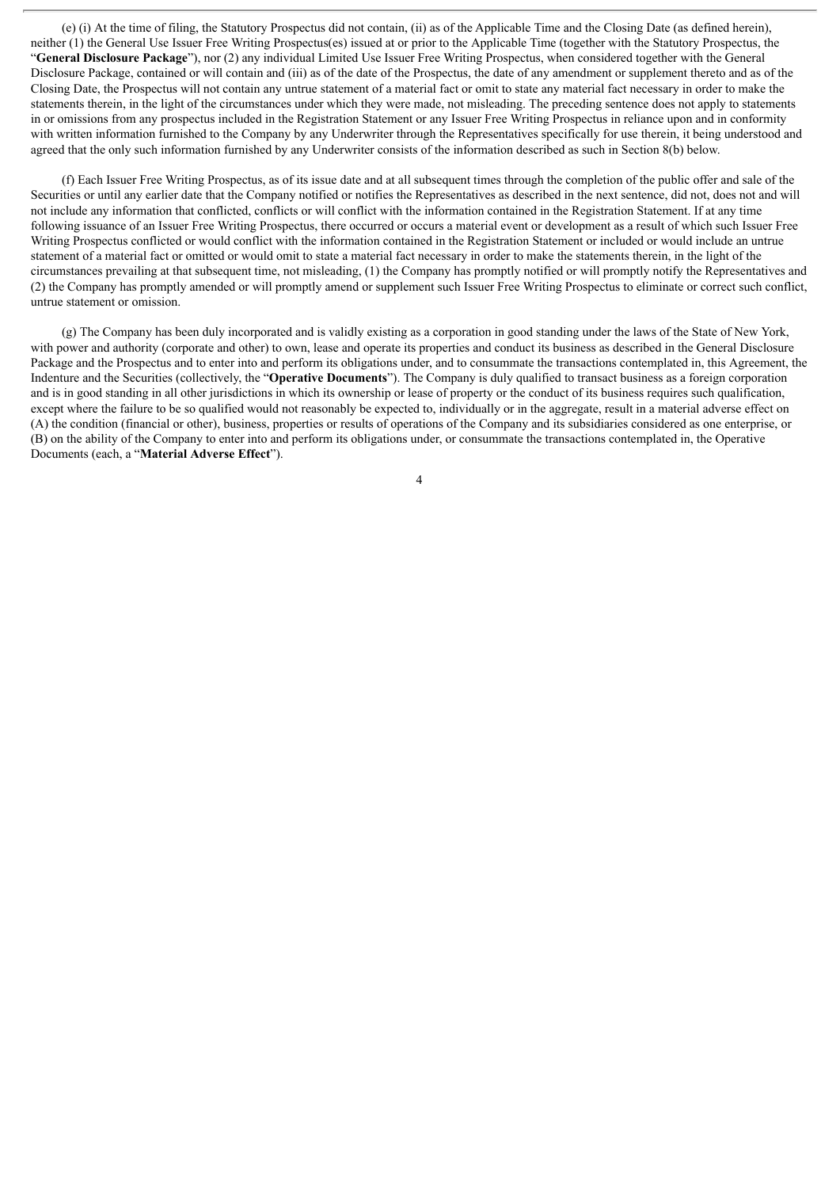(e) (i) At the time of filing, the Statutory Prospectus did not contain, (ii) as of the Applicable Time and the Closing Date (as defined herein), neither (1) the General Use Issuer Free Writing Prospectus(es) issued at or prior to the Applicable Time (together with the Statutory Prospectus, the "**General Disclosure Package**"), nor (2) any individual Limited Use Issuer Free Writing Prospectus, when considered together with the General Disclosure Package, contained or will contain and (iii) as of the date of the Prospectus, the date of any amendment or supplement thereto and as of the Closing Date, the Prospectus will not contain any untrue statement of a material fact or omit to state any material fact necessary in order to make the statements therein, in the light of the circumstances under which they were made, not misleading. The preceding sentence does not apply to statements in or omissions from any prospectus included in the Registration Statement or any Issuer Free Writing Prospectus in reliance upon and in conformity with written information furnished to the Company by any Underwriter through the Representatives specifically for use therein, it being understood and agreed that the only such information furnished by any Underwriter consists of the information described as such in Section 8(b) below.

(f) Each Issuer Free Writing Prospectus, as of its issue date and at all subsequent times through the completion of the public offer and sale of the Securities or until any earlier date that the Company notified or notifies the Representatives as described in the next sentence, did not, does not and will not include any information that conflicted, conflicts or will conflict with the information contained in the Registration Statement. If at any time following issuance of an Issuer Free Writing Prospectus, there occurred or occurs a material event or development as a result of which such Issuer Free Writing Prospectus conflicted or would conflict with the information contained in the Registration Statement or included or would include an untrue statement of a material fact or omitted or would omit to state a material fact necessary in order to make the statements therein, in the light of the circumstances prevailing at that subsequent time, not misleading, (1) the Company has promptly notified or will promptly notify the Representatives and (2) the Company has promptly amended or will promptly amend or supplement such Issuer Free Writing Prospectus to eliminate or correct such conflict, untrue statement or omission.

(g) The Company has been duly incorporated and is validly existing as a corporation in good standing under the laws of the State of New York, with power and authority (corporate and other) to own, lease and operate its properties and conduct its business as described in the General Disclosure Package and the Prospectus and to enter into and perform its obligations under, and to consummate the transactions contemplated in, this Agreement, the Indenture and the Securities (collectively, the "**Operative Documents**"). The Company is duly qualified to transact business as a foreign corporation and is in good standing in all other jurisdictions in which its ownership or lease of property or the conduct of its business requires such qualification, except where the failure to be so qualified would not reasonably be expected to, individually or in the aggregate, result in a material adverse effect on (A) the condition (financial or other), business, properties or results of operations of the Company and its subsidiaries considered as one enterprise, or (B) on the ability of the Company to enter into and perform its obligations under, or consummate the transactions contemplated in, the Operative Documents (each, a "**Material Adverse Effect**").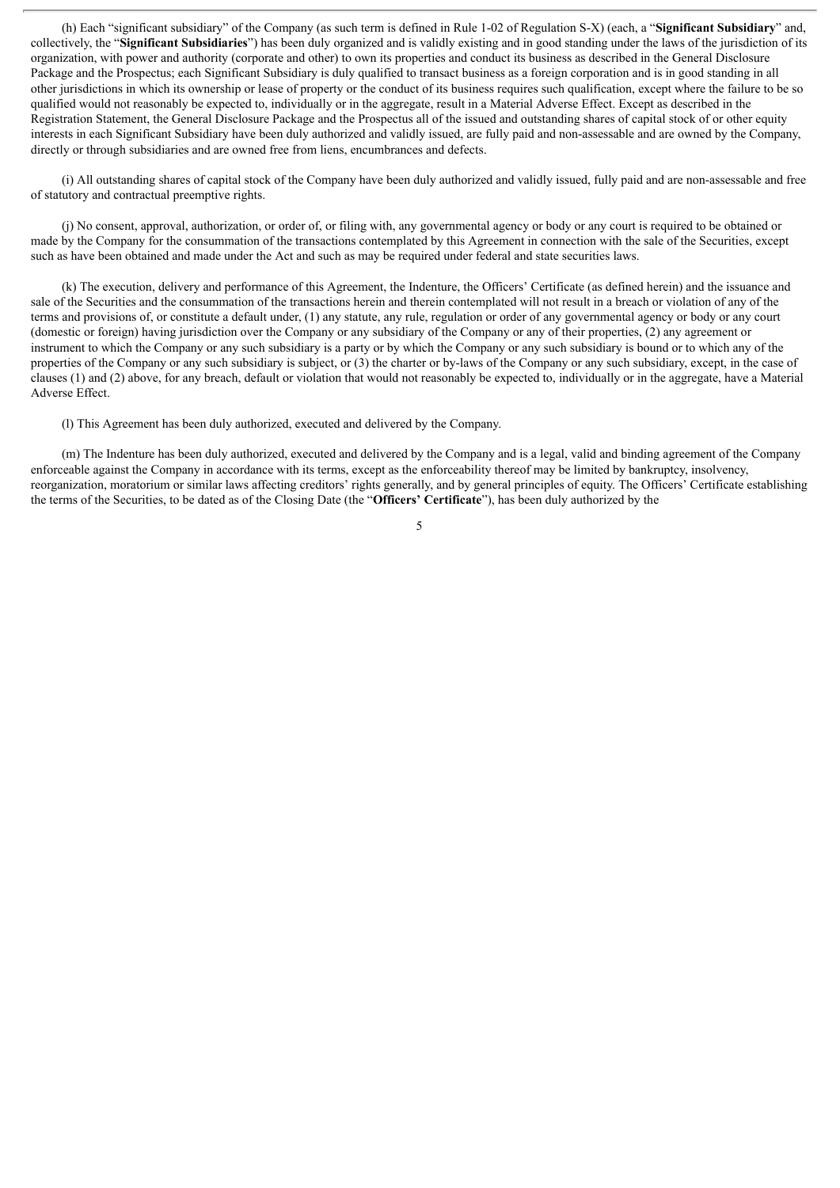(h) Each "significant subsidiary" of the Company (as such term is defined in Rule 1-02 of Regulation S-X) (each, a "**Significant Subsidiary**" and, collectively, the "**Significant Subsidiaries**") has been duly organized and is validly existing and in good standing under the laws of the jurisdiction of its organization, with power and authority (corporate and other) to own its properties and conduct its business as described in the General Disclosure Package and the Prospectus; each Significant Subsidiary is duly qualified to transact business as a foreign corporation and is in good standing in all other jurisdictions in which its ownership or lease of property or the conduct of its business requires such qualification, except where the failure to be so qualified would not reasonably be expected to, individually or in the aggregate, result in a Material Adverse Effect. Except as described in the Registration Statement, the General Disclosure Package and the Prospectus all of the issued and outstanding shares of capital stock of or other equity interests in each Significant Subsidiary have been duly authorized and validly issued, are fully paid and non-assessable and are owned by the Company, directly or through subsidiaries and are owned free from liens, encumbrances and defects.

(i) All outstanding shares of capital stock of the Company have been duly authorized and validly issued, fully paid and are non-assessable and free of statutory and contractual preemptive rights.

(j) No consent, approval, authorization, or order of, or filing with, any governmental agency or body or any court is required to be obtained or made by the Company for the consummation of the transactions contemplated by this Agreement in connection with the sale of the Securities, except such as have been obtained and made under the Act and such as may be required under federal and state securities laws.

(k) The execution, delivery and performance of this Agreement, the Indenture, the Officers' Certificate (as defined herein) and the issuance and sale of the Securities and the consummation of the transactions herein and therein contemplated will not result in a breach or violation of any of the terms and provisions of, or constitute a default under, (1) any statute, any rule, regulation or order of any governmental agency or body or any court (domestic or foreign) having jurisdiction over the Company or any subsidiary of the Company or any of their properties, (2) any agreement or instrument to which the Company or any such subsidiary is a party or by which the Company or any such subsidiary is bound or to which any of the properties of the Company or any such subsidiary is subject, or (3) the charter or by-laws of the Company or any such subsidiary, except, in the case of clauses (1) and (2) above, for any breach, default or violation that would not reasonably be expected to, individually or in the aggregate, have a Material Adverse Effect.

(l) This Agreement has been duly authorized, executed and delivered by the Company.

(m) The Indenture has been duly authorized, executed and delivered by the Company and is a legal, valid and binding agreement of the Company enforceable against the Company in accordance with its terms, except as the enforceability thereof may be limited by bankruptcy, insolvency, reorganization, moratorium or similar laws affecting creditors' rights generally, and by general principles of equity. The Officers' Certificate establishing the terms of the Securities, to be dated as of the Closing Date (the "**Officers' Certificate**"), has been duly authorized by the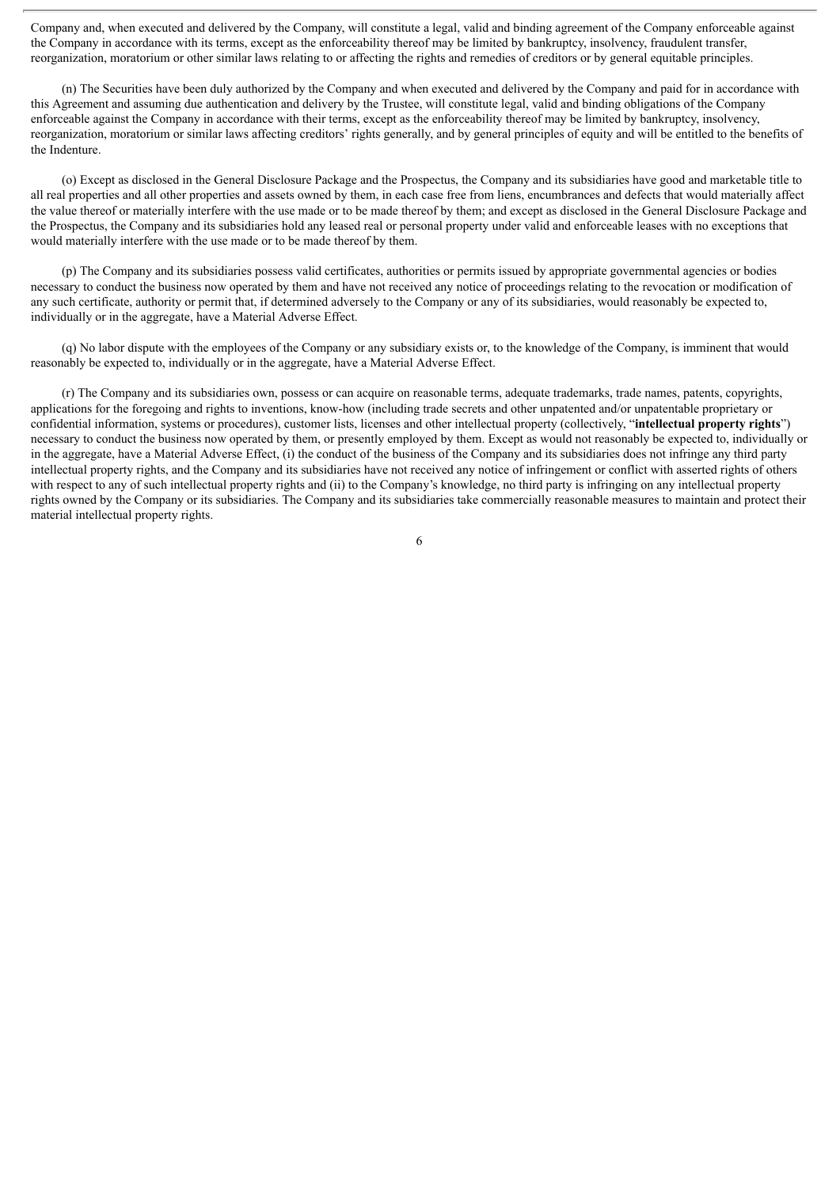Company and, when executed and delivered by the Company, will constitute a legal, valid and binding agreement of the Company enforceable against the Company in accordance with its terms, except as the enforceability thereof may be limited by bankruptcy, insolvency, fraudulent transfer, reorganization, moratorium or other similar laws relating to or affecting the rights and remedies of creditors or by general equitable principles.

(n) The Securities have been duly authorized by the Company and when executed and delivered by the Company and paid for in accordance with this Agreement and assuming due authentication and delivery by the Trustee, will constitute legal, valid and binding obligations of the Company enforceable against the Company in accordance with their terms, except as the enforceability thereof may be limited by bankruptcy, insolvency, reorganization, moratorium or similar laws affecting creditors' rights generally, and by general principles of equity and will be entitled to the benefits of the Indenture.

(o) Except as disclosed in the General Disclosure Package and the Prospectus, the Company and its subsidiaries have good and marketable title to all real properties and all other properties and assets owned by them, in each case free from liens, encumbrances and defects that would materially affect the value thereof or materially interfere with the use made or to be made thereof by them; and except as disclosed in the General Disclosure Package and the Prospectus, the Company and its subsidiaries hold any leased real or personal property under valid and enforceable leases with no exceptions that would materially interfere with the use made or to be made thereof by them.

(p) The Company and its subsidiaries possess valid certificates, authorities or permits issued by appropriate governmental agencies or bodies necessary to conduct the business now operated by them and have not received any notice of proceedings relating to the revocation or modification of any such certificate, authority or permit that, if determined adversely to the Company or any of its subsidiaries, would reasonably be expected to, individually or in the aggregate, have a Material Adverse Effect.

(q) No labor dispute with the employees of the Company or any subsidiary exists or, to the knowledge of the Company, is imminent that would reasonably be expected to, individually or in the aggregate, have a Material Adverse Effect.

(r) The Company and its subsidiaries own, possess or can acquire on reasonable terms, adequate trademarks, trade names, patents, copyrights, applications for the foregoing and rights to inventions, know-how (including trade secrets and other unpatented and/or unpatentable proprietary or confidential information, systems or procedures), customer lists, licenses and other intellectual property (collectively, "**intellectual property rights**") necessary to conduct the business now operated by them, or presently employed by them. Except as would not reasonably be expected to, individually or in the aggregate, have a Material Adverse Effect, (i) the conduct of the business of the Company and its subsidiaries does not infringe any third party intellectual property rights, and the Company and its subsidiaries have not received any notice of infringement or conflict with asserted rights of others with respect to any of such intellectual property rights and (ii) to the Company's knowledge, no third party is infringing on any intellectual property rights owned by the Company or its subsidiaries. The Company and its subsidiaries take commercially reasonable measures to maintain and protect their material intellectual property rights.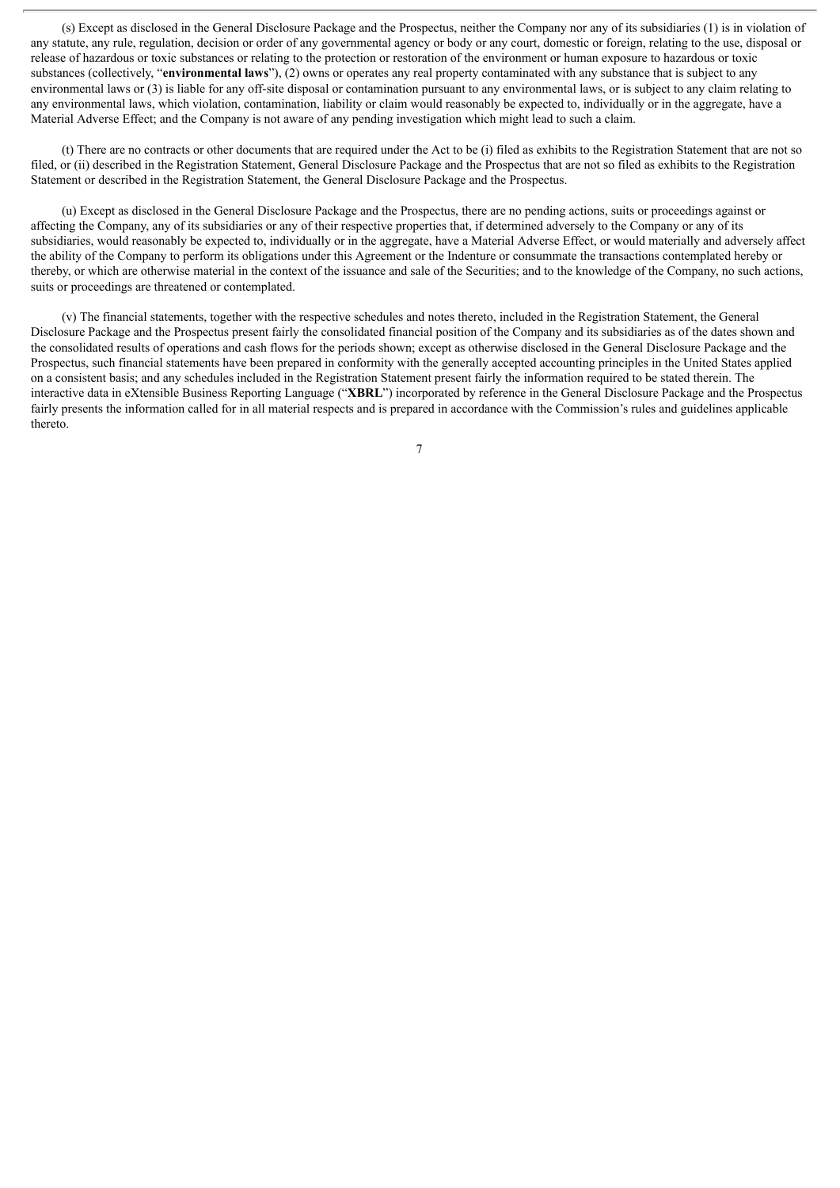(s) Except as disclosed in the General Disclosure Package and the Prospectus, neither the Company nor any of its subsidiaries (1) is in violation of any statute, any rule, regulation, decision or order of any governmental agency or body or any court, domestic or foreign, relating to the use, disposal or release of hazardous or toxic substances or relating to the protection or restoration of the environment or human exposure to hazardous or toxic substances (collectively, "**environmental laws**"), (2) owns or operates any real property contaminated with any substance that is subject to any environmental laws or (3) is liable for any off-site disposal or contamination pursuant to any environmental laws, or is subject to any claim relating to any environmental laws, which violation, contamination, liability or claim would reasonably be expected to, individually or in the aggregate, have a Material Adverse Effect; and the Company is not aware of any pending investigation which might lead to such a claim.

(t) There are no contracts or other documents that are required under the Act to be (i) filed as exhibits to the Registration Statement that are not so filed, or (ii) described in the Registration Statement, General Disclosure Package and the Prospectus that are not so filed as exhibits to the Registration Statement or described in the Registration Statement, the General Disclosure Package and the Prospectus.

(u) Except as disclosed in the General Disclosure Package and the Prospectus, there are no pending actions, suits or proceedings against or affecting the Company, any of its subsidiaries or any of their respective properties that, if determined adversely to the Company or any of its subsidiaries, would reasonably be expected to, individually or in the aggregate, have a Material Adverse Effect, or would materially and adversely affect the ability of the Company to perform its obligations under this Agreement or the Indenture or consummate the transactions contemplated hereby or thereby, or which are otherwise material in the context of the issuance and sale of the Securities; and to the knowledge of the Company, no such actions, suits or proceedings are threatened or contemplated.

(v) The financial statements, together with the respective schedules and notes thereto, included in the Registration Statement, the General Disclosure Package and the Prospectus present fairly the consolidated financial position of the Company and its subsidiaries as of the dates shown and the consolidated results of operations and cash flows for the periods shown; except as otherwise disclosed in the General Disclosure Package and the Prospectus, such financial statements have been prepared in conformity with the generally accepted accounting principles in the United States applied on a consistent basis; and any schedules included in the Registration Statement present fairly the information required to be stated therein. The interactive data in eXtensible Business Reporting Language ("**XBRL**") incorporated by reference in the General Disclosure Package and the Prospectus fairly presents the information called for in all material respects and is prepared in accordance with the Commission's rules and guidelines applicable thereto.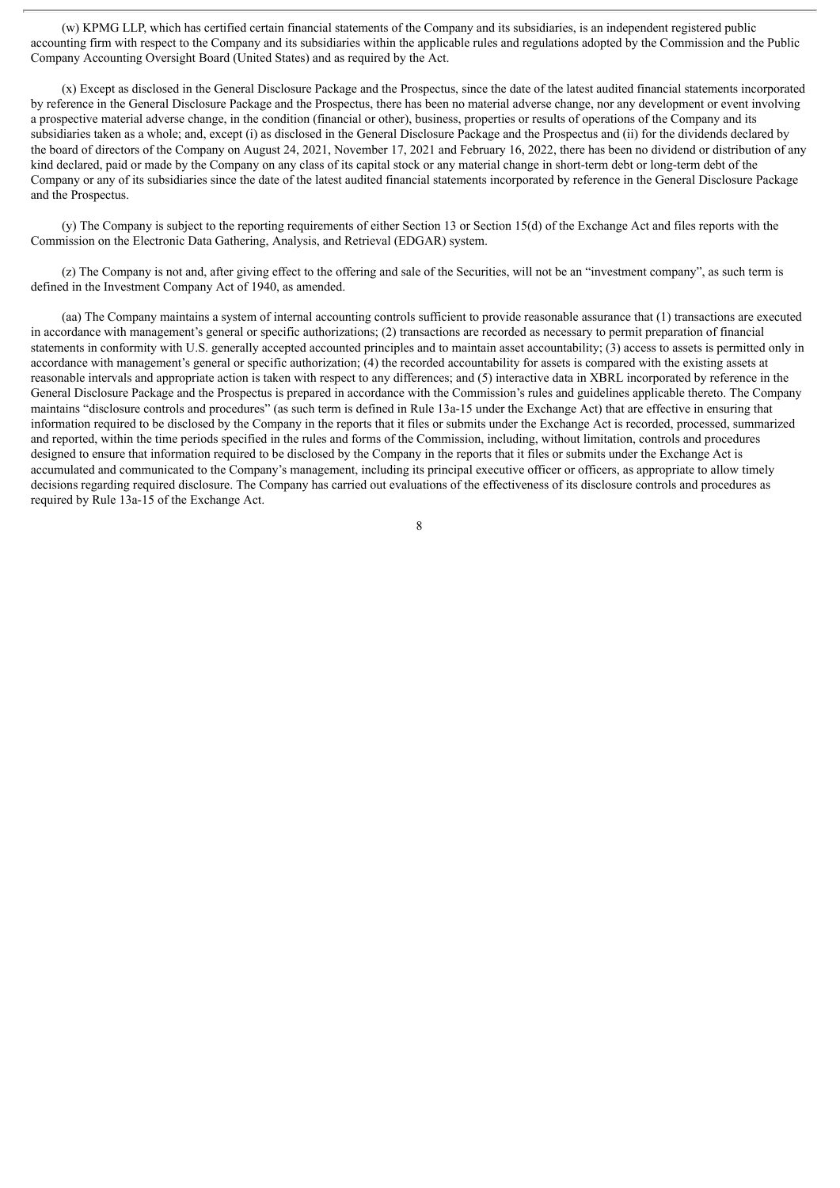(w) KPMG LLP, which has certified certain financial statements of the Company and its subsidiaries, is an independent registered public accounting firm with respect to the Company and its subsidiaries within the applicable rules and regulations adopted by the Commission and the Public Company Accounting Oversight Board (United States) and as required by the Act.

(x) Except as disclosed in the General Disclosure Package and the Prospectus, since the date of the latest audited financial statements incorporated by reference in the General Disclosure Package and the Prospectus, there has been no material adverse change, nor any development or event involving a prospective material adverse change, in the condition (financial or other), business, properties or results of operations of the Company and its subsidiaries taken as a whole; and, except (i) as disclosed in the General Disclosure Package and the Prospectus and (ii) for the dividends declared by the board of directors of the Company on August 24, 2021, November 17, 2021 and February 16, 2022, there has been no dividend or distribution of any kind declared, paid or made by the Company on any class of its capital stock or any material change in short-term debt or long-term debt of the Company or any of its subsidiaries since the date of the latest audited financial statements incorporated by reference in the General Disclosure Package and the Prospectus.

(y) The Company is subject to the reporting requirements of either Section 13 or Section 15(d) of the Exchange Act and files reports with the Commission on the Electronic Data Gathering, Analysis, and Retrieval (EDGAR) system.

(z) The Company is not and, after giving effect to the offering and sale of the Securities, will not be an "investment company", as such term is defined in the Investment Company Act of 1940, as amended.

(aa) The Company maintains a system of internal accounting controls sufficient to provide reasonable assurance that (1) transactions are executed in accordance with management's general or specific authorizations; (2) transactions are recorded as necessary to permit preparation of financial statements in conformity with U.S. generally accepted accounted principles and to maintain asset accountability; (3) access to assets is permitted only in accordance with management's general or specific authorization; (4) the recorded accountability for assets is compared with the existing assets at reasonable intervals and appropriate action is taken with respect to any differences; and (5) interactive data in XBRL incorporated by reference in the General Disclosure Package and the Prospectus is prepared in accordance with the Commission's rules and guidelines applicable thereto. The Company maintains "disclosure controls and procedures" (as such term is defined in Rule 13a-15 under the Exchange Act) that are effective in ensuring that information required to be disclosed by the Company in the reports that it files or submits under the Exchange Act is recorded, processed, summarized and reported, within the time periods specified in the rules and forms of the Commission, including, without limitation, controls and procedures designed to ensure that information required to be disclosed by the Company in the reports that it files or submits under the Exchange Act is accumulated and communicated to the Company's management, including its principal executive officer or officers, as appropriate to allow timely decisions regarding required disclosure. The Company has carried out evaluations of the effectiveness of its disclosure controls and procedures as required by Rule 13a-15 of the Exchange Act.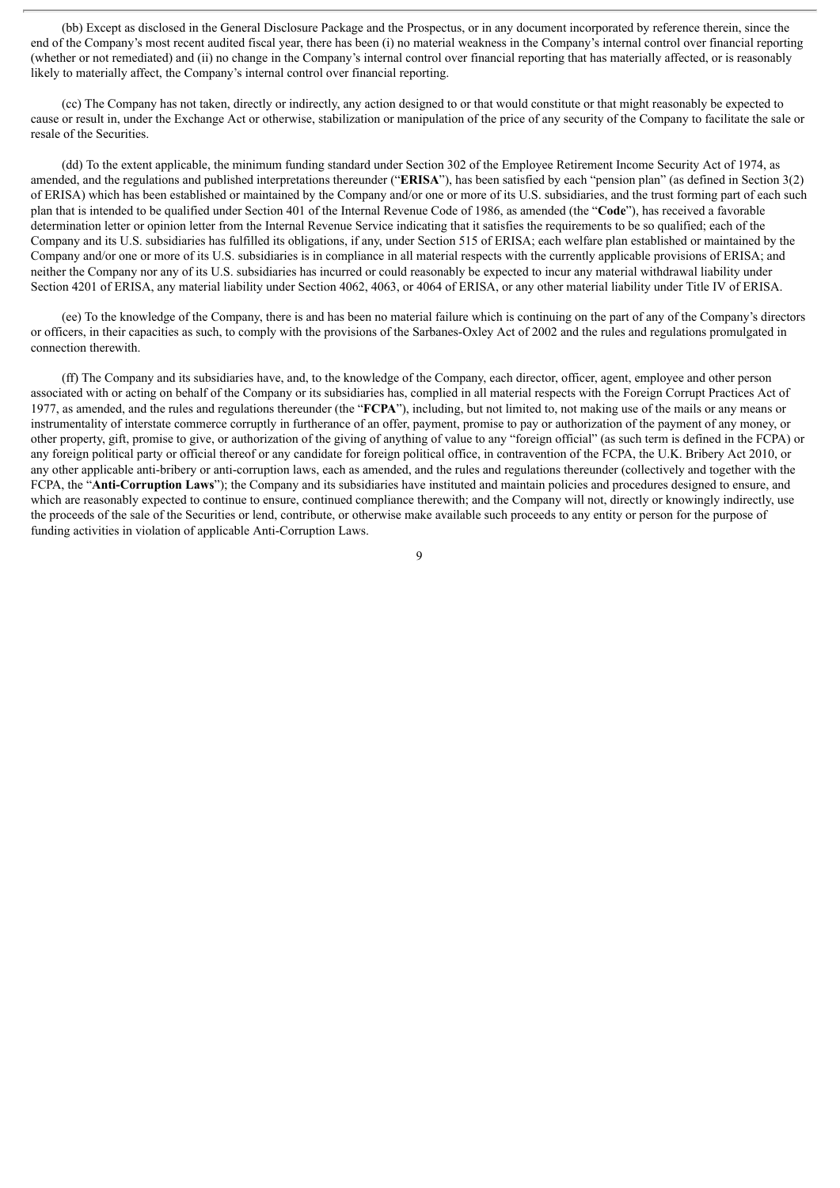(bb) Except as disclosed in the General Disclosure Package and the Prospectus, or in any document incorporated by reference therein, since the end of the Company's most recent audited fiscal year, there has been (i) no material weakness in the Company's internal control over financial reporting (whether or not remediated) and (ii) no change in the Company's internal control over financial reporting that has materially affected, or is reasonably likely to materially affect, the Company's internal control over financial reporting.

(cc) The Company has not taken, directly or indirectly, any action designed to or that would constitute or that might reasonably be expected to cause or result in, under the Exchange Act or otherwise, stabilization or manipulation of the price of any security of the Company to facilitate the sale or resale of the Securities.

(dd) To the extent applicable, the minimum funding standard under Section 302 of the Employee Retirement Income Security Act of 1974, as amended, and the regulations and published interpretations thereunder ("**ERISA**"), has been satisfied by each "pension plan" (as defined in Section 3(2) of ERISA) which has been established or maintained by the Company and/or one or more of its U.S. subsidiaries, and the trust forming part of each such plan that is intended to be qualified under Section 401 of the Internal Revenue Code of 1986, as amended (the "**Code**"), has received a favorable determination letter or opinion letter from the Internal Revenue Service indicating that it satisfies the requirements to be so qualified; each of the Company and its U.S. subsidiaries has fulfilled its obligations, if any, under Section 515 of ERISA; each welfare plan established or maintained by the Company and/or one or more of its U.S. subsidiaries is in compliance in all material respects with the currently applicable provisions of ERISA; and neither the Company nor any of its U.S. subsidiaries has incurred or could reasonably be expected to incur any material withdrawal liability under Section 4201 of ERISA, any material liability under Section 4062, 4063, or 4064 of ERISA, or any other material liability under Title IV of ERISA.

(ee) To the knowledge of the Company, there is and has been no material failure which is continuing on the part of any of the Company's directors or officers, in their capacities as such, to comply with the provisions of the Sarbanes-Oxley Act of 2002 and the rules and regulations promulgated in connection therewith.

(ff) The Company and its subsidiaries have, and, to the knowledge of the Company, each director, officer, agent, employee and other person associated with or acting on behalf of the Company or its subsidiaries has, complied in all material respects with the Foreign Corrupt Practices Act of 1977, as amended, and the rules and regulations thereunder (the "**FCPA**"), including, but not limited to, not making use of the mails or any means or instrumentality of interstate commerce corruptly in furtherance of an offer, payment, promise to pay or authorization of the payment of any money, or other property, gift, promise to give, or authorization of the giving of anything of value to any "foreign official" (as such term is defined in the FCPA) or any foreign political party or official thereof or any candidate for foreign political office, in contravention of the FCPA, the U.K. Bribery Act 2010, or any other applicable anti-bribery or anti-corruption laws, each as amended, and the rules and regulations thereunder (collectively and together with the FCPA, the "**Anti-Corruption Laws**"); the Company and its subsidiaries have instituted and maintain policies and procedures designed to ensure, and which are reasonably expected to continue to ensure, continued compliance therewith; and the Company will not, directly or knowingly indirectly, use the proceeds of the sale of the Securities or lend, contribute, or otherwise make available such proceeds to any entity or person for the purpose of funding activities in violation of applicable Anti-Corruption Laws.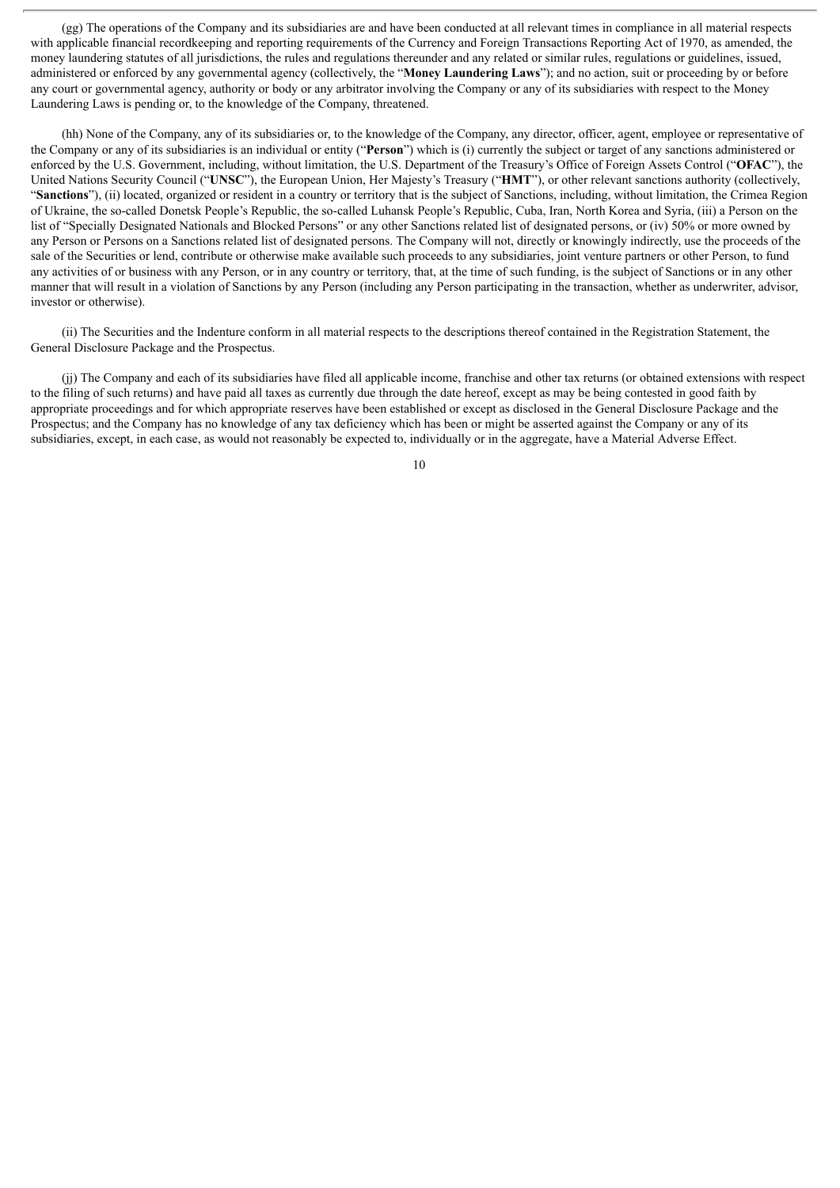(gg) The operations of the Company and its subsidiaries are and have been conducted at all relevant times in compliance in all material respects with applicable financial recordkeeping and reporting requirements of the Currency and Foreign Transactions Reporting Act of 1970, as amended, the money laundering statutes of all jurisdictions, the rules and regulations thereunder and any related or similar rules, regulations or guidelines, issued, administered or enforced by any governmental agency (collectively, the "**Money Laundering Laws**"); and no action, suit or proceeding by or before any court or governmental agency, authority or body or any arbitrator involving the Company or any of its subsidiaries with respect to the Money Laundering Laws is pending or, to the knowledge of the Company, threatened.

(hh) None of the Company, any of its subsidiaries or, to the knowledge of the Company, any director, officer, agent, employee or representative of the Company or any of its subsidiaries is an individual or entity ("**Person**") which is (i) currently the subject or target of any sanctions administered or enforced by the U.S. Government, including, without limitation, the U.S. Department of the Treasury's Office of Foreign Assets Control ("**OFAC**"), the United Nations Security Council ("**UNSC**"), the European Union, Her Majesty's Treasury ("**HMT**"), or other relevant sanctions authority (collectively, "**Sanctions**"), (ii) located, organized or resident in a country or territory that is the subject of Sanctions, including, without limitation, the Crimea Region of Ukraine, the so-called Donetsk People's Republic, the so-called Luhansk People's Republic, Cuba, Iran, North Korea and Syria, (iii) a Person on the list of "Specially Designated Nationals and Blocked Persons" or any other Sanctions related list of designated persons, or (iv) 50% or more owned by any Person or Persons on a Sanctions related list of designated persons. The Company will not, directly or knowingly indirectly, use the proceeds of the sale of the Securities or lend, contribute or otherwise make available such proceeds to any subsidiaries, joint venture partners or other Person, to fund any activities of or business with any Person, or in any country or territory, that, at the time of such funding, is the subject of Sanctions or in any other manner that will result in a violation of Sanctions by any Person (including any Person participating in the transaction, whether as underwriter, advisor, investor or otherwise).

(ii) The Securities and the Indenture conform in all material respects to the descriptions thereof contained in the Registration Statement, the General Disclosure Package and the Prospectus.

(jj) The Company and each of its subsidiaries have filed all applicable income, franchise and other tax returns (or obtained extensions with respect to the filing of such returns) and have paid all taxes as currently due through the date hereof, except as may be being contested in good faith by appropriate proceedings and for which appropriate reserves have been established or except as disclosed in the General Disclosure Package and the Prospectus; and the Company has no knowledge of any tax deficiency which has been or might be asserted against the Company or any of its subsidiaries, except, in each case, as would not reasonably be expected to, individually or in the aggregate, have a Material Adverse Effect.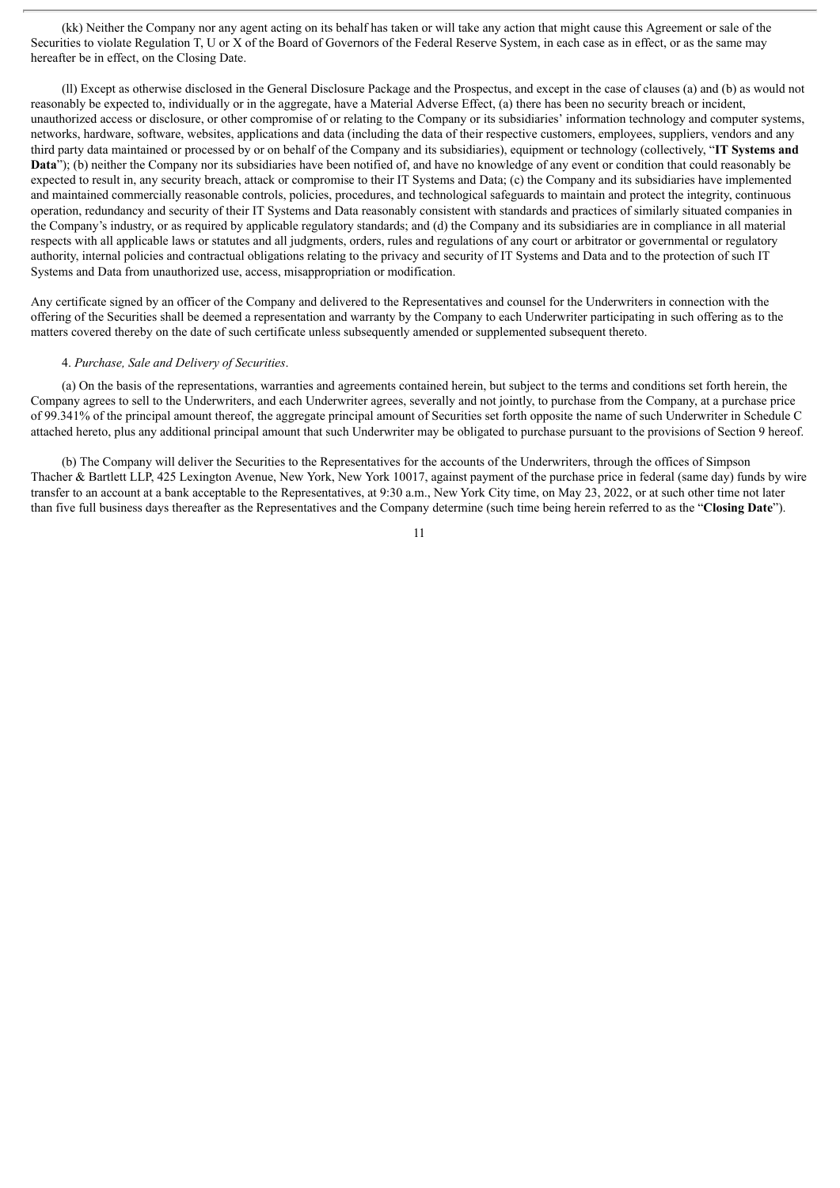(kk) Neither the Company nor any agent acting on its behalf has taken or will take any action that might cause this Agreement or sale of the Securities to violate Regulation T, U or X of the Board of Governors of the Federal Reserve System, in each case as in effect, or as the same may hereafter be in effect, on the Closing Date.

(ll) Except as otherwise disclosed in the General Disclosure Package and the Prospectus, and except in the case of clauses (a) and (b) as would not reasonably be expected to, individually or in the aggregate, have a Material Adverse Effect, (a) there has been no security breach or incident, unauthorized access or disclosure, or other compromise of or relating to the Company or its subsidiaries' information technology and computer systems, networks, hardware, software, websites, applications and data (including the data of their respective customers, employees, suppliers, vendors and any third party data maintained or processed by or on behalf of the Company and its subsidiaries), equipment or technology (collectively, "**IT Systems and** Data<sup>"</sup>); (b) neither the Company nor its subsidiaries have been notified of, and have no knowledge of any event or condition that could reasonably be expected to result in, any security breach, attack or compromise to their IT Systems and Data; (c) the Company and its subsidiaries have implemented and maintained commercially reasonable controls, policies, procedures, and technological safeguards to maintain and protect the integrity, continuous operation, redundancy and security of their IT Systems and Data reasonably consistent with standards and practices of similarly situated companies in the Company's industry, or as required by applicable regulatory standards; and (d) the Company and its subsidiaries are in compliance in all material respects with all applicable laws or statutes and all judgments, orders, rules and regulations of any court or arbitrator or governmental or regulatory authority, internal policies and contractual obligations relating to the privacy and security of IT Systems and Data and to the protection of such IT Systems and Data from unauthorized use, access, misappropriation or modification.

Any certificate signed by an officer of the Company and delivered to the Representatives and counsel for the Underwriters in connection with the offering of the Securities shall be deemed a representation and warranty by the Company to each Underwriter participating in such offering as to the matters covered thereby on the date of such certificate unless subsequently amended or supplemented subsequent thereto.

### 4. *Purchase, Sale and Delivery of Securities*.

(a) On the basis of the representations, warranties and agreements contained herein, but subject to the terms and conditions set forth herein, the Company agrees to sell to the Underwriters, and each Underwriter agrees, severally and not jointly, to purchase from the Company, at a purchase price of 99.341% of the principal amount thereof, the aggregate principal amount of Securities set forth opposite the name of such Underwriter in Schedule C attached hereto, plus any additional principal amount that such Underwriter may be obligated to purchase pursuant to the provisions of Section 9 hereof.

(b) The Company will deliver the Securities to the Representatives for the accounts of the Underwriters, through the offices of Simpson Thacher & Bartlett LLP, 425 Lexington Avenue, New York, New York 10017, against payment of the purchase price in federal (same day) funds by wire transfer to an account at a bank acceptable to the Representatives, at 9:30 a.m., New York City time, on May 23, 2022, or at such other time not later than five full business days thereafter as the Representatives and the Company determine (such time being herein referred to as the "**Closing Date**").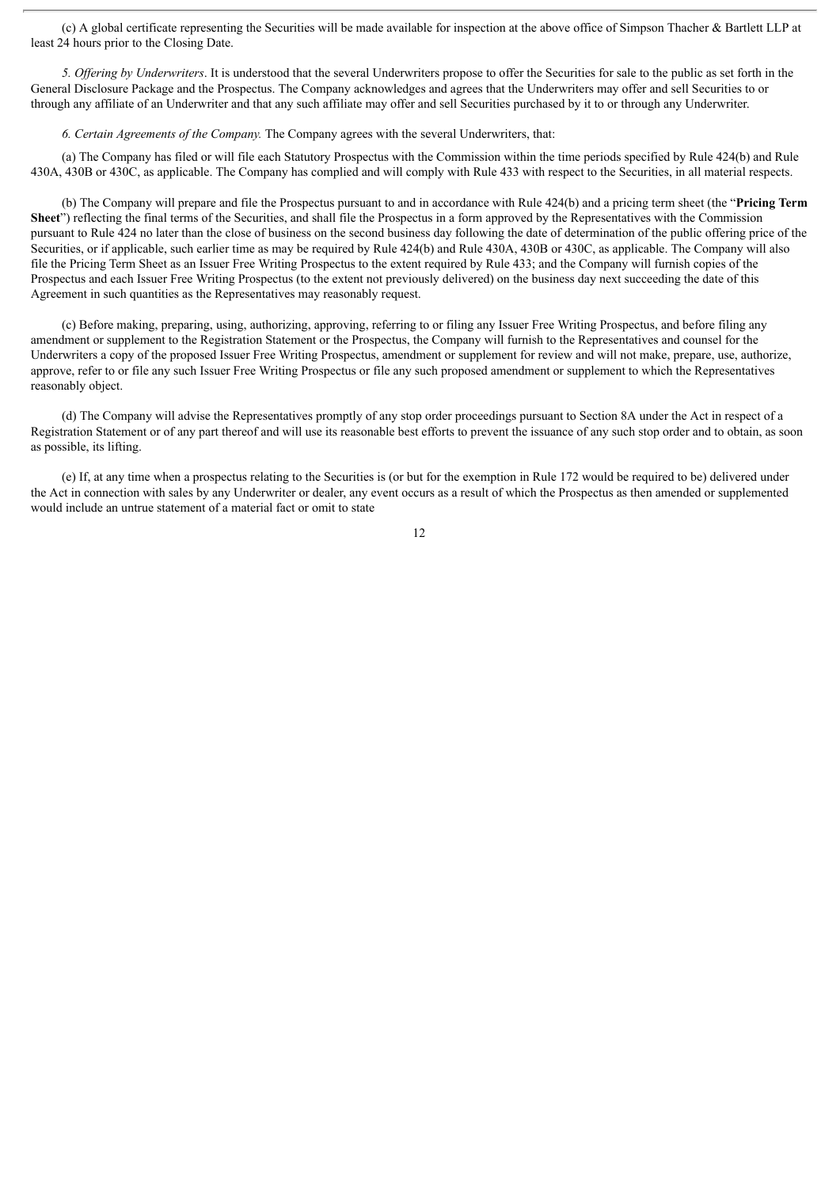(c) A global certificate representing the Securities will be made available for inspection at the above office of Simpson Thacher & Bartlett LLP at least 24 hours prior to the Closing Date.

*5. Of ering by Underwriters*. It is understood that the several Underwriters propose to offer the Securities for sale to the public as set forth in the General Disclosure Package and the Prospectus. The Company acknowledges and agrees that the Underwriters may offer and sell Securities to or through any affiliate of an Underwriter and that any such affiliate may offer and sell Securities purchased by it to or through any Underwriter.

*6. Certain Agreements of the Company.* The Company agrees with the several Underwriters, that:

(a) The Company has filed or will file each Statutory Prospectus with the Commission within the time periods specified by Rule 424(b) and Rule 430A, 430B or 430C, as applicable. The Company has complied and will comply with Rule 433 with respect to the Securities, in all material respects.

(b) The Company will prepare and file the Prospectus pursuant to and in accordance with Rule 424(b) and a pricing term sheet (the "**Pricing Term Sheet**") reflecting the final terms of the Securities, and shall file the Prospectus in a form approved by the Representatives with the Commission pursuant to Rule 424 no later than the close of business on the second business day following the date of determination of the public offering price of the Securities, or if applicable, such earlier time as may be required by Rule 424(b) and Rule 430A, 430B or 430C, as applicable. The Company will also file the Pricing Term Sheet as an Issuer Free Writing Prospectus to the extent required by Rule 433; and the Company will furnish copies of the Prospectus and each Issuer Free Writing Prospectus (to the extent not previously delivered) on the business day next succeeding the date of this Agreement in such quantities as the Representatives may reasonably request.

(c) Before making, preparing, using, authorizing, approving, referring to or filing any Issuer Free Writing Prospectus, and before filing any amendment or supplement to the Registration Statement or the Prospectus, the Company will furnish to the Representatives and counsel for the Underwriters a copy of the proposed Issuer Free Writing Prospectus, amendment or supplement for review and will not make, prepare, use, authorize, approve, refer to or file any such Issuer Free Writing Prospectus or file any such proposed amendment or supplement to which the Representatives reasonably object.

(d) The Company will advise the Representatives promptly of any stop order proceedings pursuant to Section 8A under the Act in respect of a Registration Statement or of any part thereof and will use its reasonable best efforts to prevent the issuance of any such stop order and to obtain, as soon as possible, its lifting.

(e) If, at any time when a prospectus relating to the Securities is (or but for the exemption in Rule 172 would be required to be) delivered under the Act in connection with sales by any Underwriter or dealer, any event occurs as a result of which the Prospectus as then amended or supplemented would include an untrue statement of a material fact or omit to state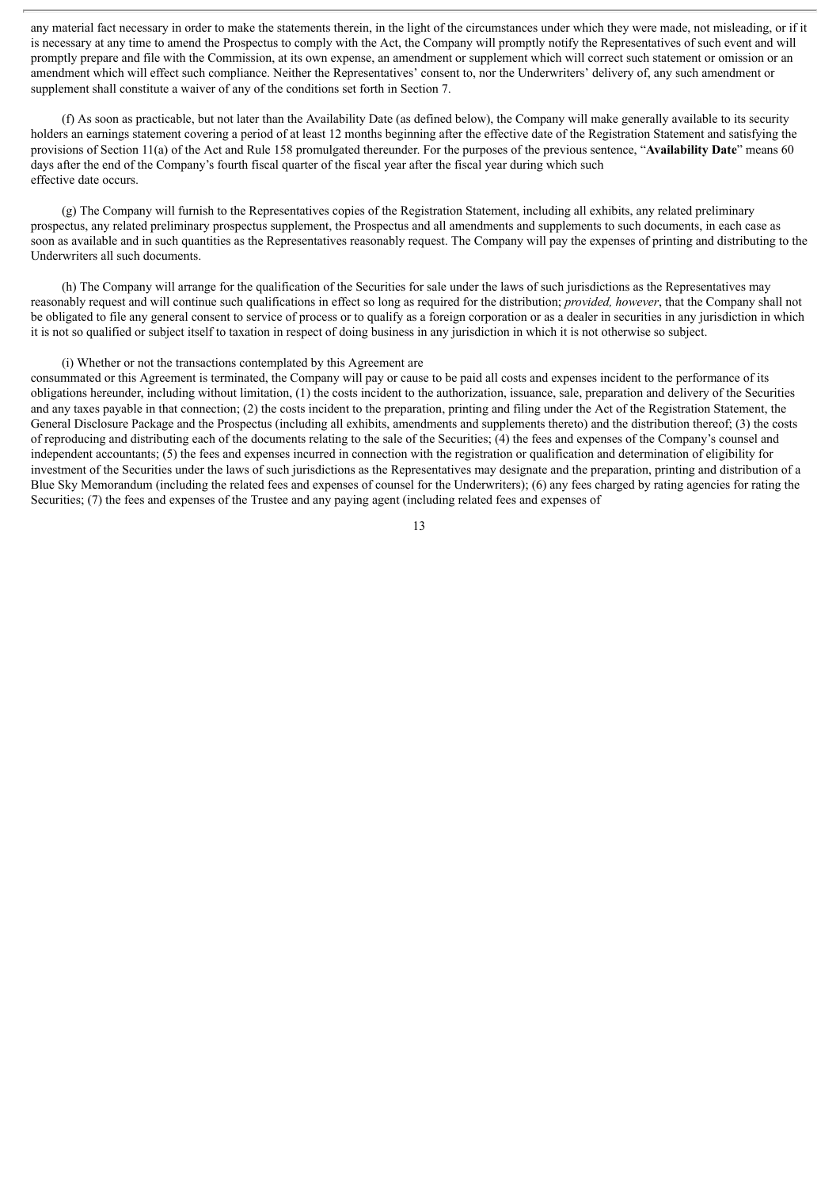any material fact necessary in order to make the statements therein, in the light of the circumstances under which they were made, not misleading, or if it is necessary at any time to amend the Prospectus to comply with the Act, the Company will promptly notify the Representatives of such event and will promptly prepare and file with the Commission, at its own expense, an amendment or supplement which will correct such statement or omission or an amendment which will effect such compliance. Neither the Representatives' consent to, nor the Underwriters' delivery of, any such amendment or supplement shall constitute a waiver of any of the conditions set forth in Section 7.

(f) As soon as practicable, but not later than the Availability Date (as defined below), the Company will make generally available to its security holders an earnings statement covering a period of at least 12 months beginning after the effective date of the Registration Statement and satisfying the provisions of Section 11(a) of the Act and Rule 158 promulgated thereunder. For the purposes of the previous sentence, "**Availability Date**" means 60 days after the end of the Company's fourth fiscal quarter of the fiscal year after the fiscal year during which such effective date occurs.

(g) The Company will furnish to the Representatives copies of the Registration Statement, including all exhibits, any related preliminary prospectus, any related preliminary prospectus supplement, the Prospectus and all amendments and supplements to such documents, in each case as soon as available and in such quantities as the Representatives reasonably request. The Company will pay the expenses of printing and distributing to the Underwriters all such documents.

(h) The Company will arrange for the qualification of the Securities for sale under the laws of such jurisdictions as the Representatives may reasonably request and will continue such qualifications in effect so long as required for the distribution; *provided, however*, that the Company shall not be obligated to file any general consent to service of process or to qualify as a foreign corporation or as a dealer in securities in any jurisdiction in which it is not so qualified or subject itself to taxation in respect of doing business in any jurisdiction in which it is not otherwise so subject.

### (i) Whether or not the transactions contemplated by this Agreement are

consummated or this Agreement is terminated, the Company will pay or cause to be paid all costs and expenses incident to the performance of its obligations hereunder, including without limitation, (1) the costs incident to the authorization, issuance, sale, preparation and delivery of the Securities and any taxes payable in that connection; (2) the costs incident to the preparation, printing and filing under the Act of the Registration Statement, the General Disclosure Package and the Prospectus (including all exhibits, amendments and supplements thereto) and the distribution thereof; (3) the costs of reproducing and distributing each of the documents relating to the sale of the Securities; (4) the fees and expenses of the Company's counsel and independent accountants; (5) the fees and expenses incurred in connection with the registration or qualification and determination of eligibility for investment of the Securities under the laws of such jurisdictions as the Representatives may designate and the preparation, printing and distribution of a Blue Sky Memorandum (including the related fees and expenses of counsel for the Underwriters); (6) any fees charged by rating agencies for rating the Securities; (7) the fees and expenses of the Trustee and any paying agent (including related fees and expenses of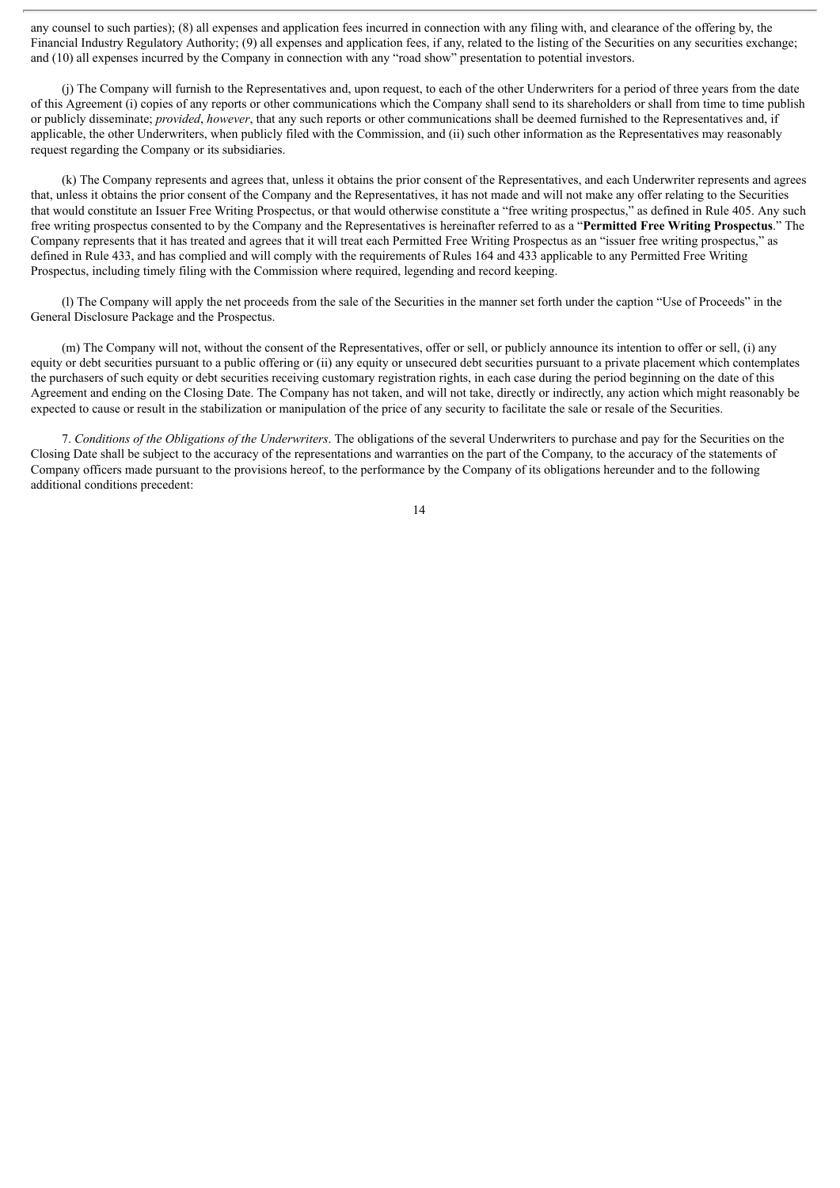any counsel to such parties); (8) all expenses and application fees incurred in connection with any filing with, and clearance of the offering by, the Financial Industry Regulatory Authority; (9) all expenses and application fees, if any, related to the listing of the Securities on any securities exchange; and (10) all expenses incurred by the Company in connection with any "road show" presentation to potential investors.

(j) The Company will furnish to the Representatives and, upon request, to each of the other Underwriters for a period of three years from the date of this Agreement (i) copies of any reports or other communications which the Company shall send to its shareholders or shall from time to time publish or publicly disseminate; *provided*, *however*, that any such reports or other communications shall be deemed furnished to the Representatives and, if applicable, the other Underwriters, when publicly filed with the Commission, and (ii) such other information as the Representatives may reasonably request regarding the Company or its subsidiaries.

(k) The Company represents and agrees that, unless it obtains the prior consent of the Representatives, and each Underwriter represents and agrees that, unless it obtains the prior consent of the Company and the Representatives, it has not made and will not make any offer relating to the Securities that would constitute an Issuer Free Writing Prospectus, or that would otherwise constitute a "free writing prospectus," as defined in Rule 405. Any such free writing prospectus consented to by the Company and the Representatives is hereinafter referred to as a "**Permitted Free Writing Prospectus**." The Company represents that it has treated and agrees that it will treat each Permitted Free Writing Prospectus as an "issuer free writing prospectus," as defined in Rule 433, and has complied and will comply with the requirements of Rules 164 and 433 applicable to any Permitted Free Writing Prospectus, including timely filing with the Commission where required, legending and record keeping.

(l) The Company will apply the net proceeds from the sale of the Securities in the manner set forth under the caption "Use of Proceeds" in the General Disclosure Package and the Prospectus.

(m) The Company will not, without the consent of the Representatives, offer or sell, or publicly announce its intention to offer or sell, (i) any equity or debt securities pursuant to a public offering or (ii) any equity or unsecured debt securities pursuant to a private placement which contemplates the purchasers of such equity or debt securities receiving customary registration rights, in each case during the period beginning on the date of this Agreement and ending on the Closing Date. The Company has not taken, and will not take, directly or indirectly, any action which might reasonably be expected to cause or result in the stabilization or manipulation of the price of any security to facilitate the sale or resale of the Securities.

7. *Conditions of the Obligations of the Underwriters*. The obligations of the several Underwriters to purchase and pay for the Securities on the Closing Date shall be subject to the accuracy of the representations and warranties on the part of the Company, to the accuracy of the statements of Company officers made pursuant to the provisions hereof, to the performance by the Company of its obligations hereunder and to the following additional conditions precedent: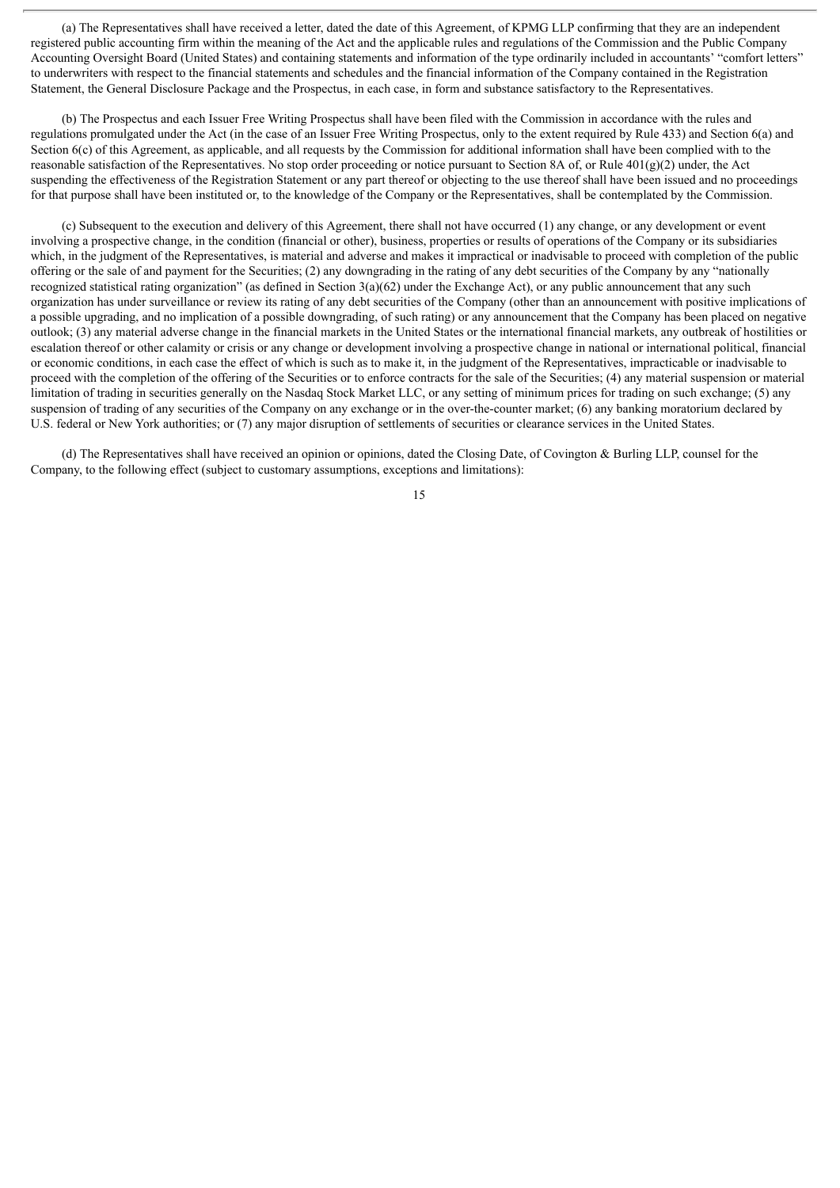(a) The Representatives shall have received a letter, dated the date of this Agreement, of KPMG LLP confirming that they are an independent registered public accounting firm within the meaning of the Act and the applicable rules and regulations of the Commission and the Public Company Accounting Oversight Board (United States) and containing statements and information of the type ordinarily included in accountants' "comfort letters" to underwriters with respect to the financial statements and schedules and the financial information of the Company contained in the Registration Statement, the General Disclosure Package and the Prospectus, in each case, in form and substance satisfactory to the Representatives.

(b) The Prospectus and each Issuer Free Writing Prospectus shall have been filed with the Commission in accordance with the rules and regulations promulgated under the Act (in the case of an Issuer Free Writing Prospectus, only to the extent required by Rule 433) and Section 6(a) and Section 6(c) of this Agreement, as applicable, and all requests by the Commission for additional information shall have been complied with to the reasonable satisfaction of the Representatives. No stop order proceeding or notice pursuant to Section 8A of, or Rule 401(g)(2) under, the Act suspending the effectiveness of the Registration Statement or any part thereof or objecting to the use thereof shall have been issued and no proceedings for that purpose shall have been instituted or, to the knowledge of the Company or the Representatives, shall be contemplated by the Commission.

(c) Subsequent to the execution and delivery of this Agreement, there shall not have occurred (1) any change, or any development or event involving a prospective change, in the condition (financial or other), business, properties or results of operations of the Company or its subsidiaries which, in the judgment of the Representatives, is material and adverse and makes it impractical or inadvisable to proceed with completion of the public offering or the sale of and payment for the Securities; (2) any downgrading in the rating of any debt securities of the Company by any "nationally recognized statistical rating organization" (as defined in Section 3(a)(62) under the Exchange Act), or any public announcement that any such organization has under surveillance or review its rating of any debt securities of the Company (other than an announcement with positive implications of a possible upgrading, and no implication of a possible downgrading, of such rating) or any announcement that the Company has been placed on negative outlook; (3) any material adverse change in the financial markets in the United States or the international financial markets, any outbreak of hostilities or escalation thereof or other calamity or crisis or any change or development involving a prospective change in national or international political, financial or economic conditions, in each case the effect of which is such as to make it, in the judgment of the Representatives, impracticable or inadvisable to proceed with the completion of the offering of the Securities or to enforce contracts for the sale of the Securities; (4) any material suspension or material limitation of trading in securities generally on the Nasdaq Stock Market LLC, or any setting of minimum prices for trading on such exchange; (5) any suspension of trading of any securities of the Company on any exchange or in the over-the-counter market; (6) any banking moratorium declared by U.S. federal or New York authorities; or (7) any major disruption of settlements of securities or clearance services in the United States.

(d) The Representatives shall have received an opinion or opinions, dated the Closing Date, of Covington & Burling LLP, counsel for the Company, to the following effect (subject to customary assumptions, exceptions and limitations):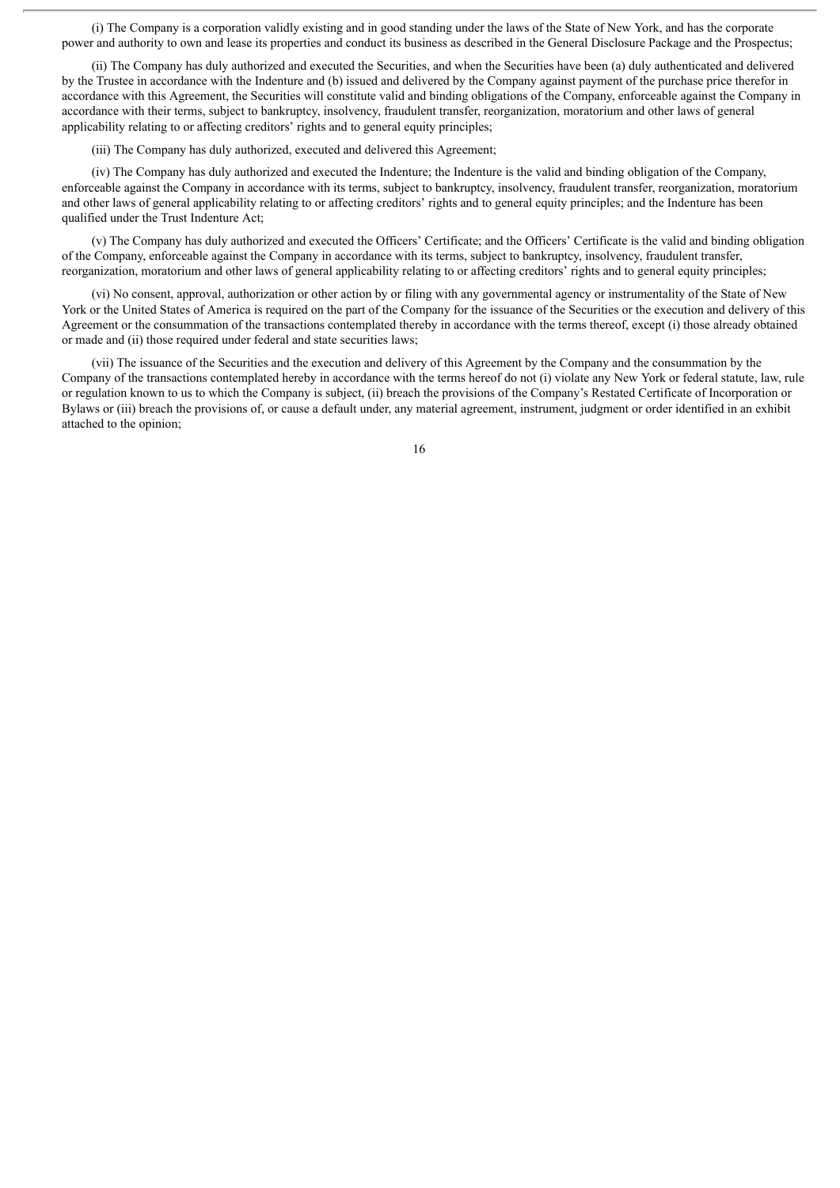(i) The Company is a corporation validly existing and in good standing under the laws of the State of New York, and has the corporate power and authority to own and lease its properties and conduct its business as described in the General Disclosure Package and the Prospectus;

(ii) The Company has duly authorized and executed the Securities, and when the Securities have been (a) duly authenticated and delivered by the Trustee in accordance with the Indenture and (b) issued and delivered by the Company against payment of the purchase price therefor in accordance with this Agreement, the Securities will constitute valid and binding obligations of the Company, enforceable against the Company in accordance with their terms, subject to bankruptcy, insolvency, fraudulent transfer, reorganization, moratorium and other laws of general applicability relating to or affecting creditors' rights and to general equity principles;

(iii) The Company has duly authorized, executed and delivered this Agreement;

(iv) The Company has duly authorized and executed the Indenture; the Indenture is the valid and binding obligation of the Company, enforceable against the Company in accordance with its terms, subject to bankruptcy, insolvency, fraudulent transfer, reorganization, moratorium and other laws of general applicability relating to or affecting creditors' rights and to general equity principles; and the Indenture has been qualified under the Trust Indenture Act;

(v) The Company has duly authorized and executed the Officers' Certificate; and the Officers' Certificate is the valid and binding obligation of the Company, enforceable against the Company in accordance with its terms, subject to bankruptcy, insolvency, fraudulent transfer, reorganization, moratorium and other laws of general applicability relating to or affecting creditors' rights and to general equity principles;

(vi) No consent, approval, authorization or other action by or filing with any governmental agency or instrumentality of the State of New York or the United States of America is required on the part of the Company for the issuance of the Securities or the execution and delivery of this Agreement or the consummation of the transactions contemplated thereby in accordance with the terms thereof, except (i) those already obtained or made and (ii) those required under federal and state securities laws;

(vii) The issuance of the Securities and the execution and delivery of this Agreement by the Company and the consummation by the Company of the transactions contemplated hereby in accordance with the terms hereof do not (i) violate any New York or federal statute, law, rule or regulation known to us to which the Company is subject, (ii) breach the provisions of the Company's Restated Certificate of Incorporation or Bylaws or (iii) breach the provisions of, or cause a default under, any material agreement, instrument, judgment or order identified in an exhibit attached to the opinion;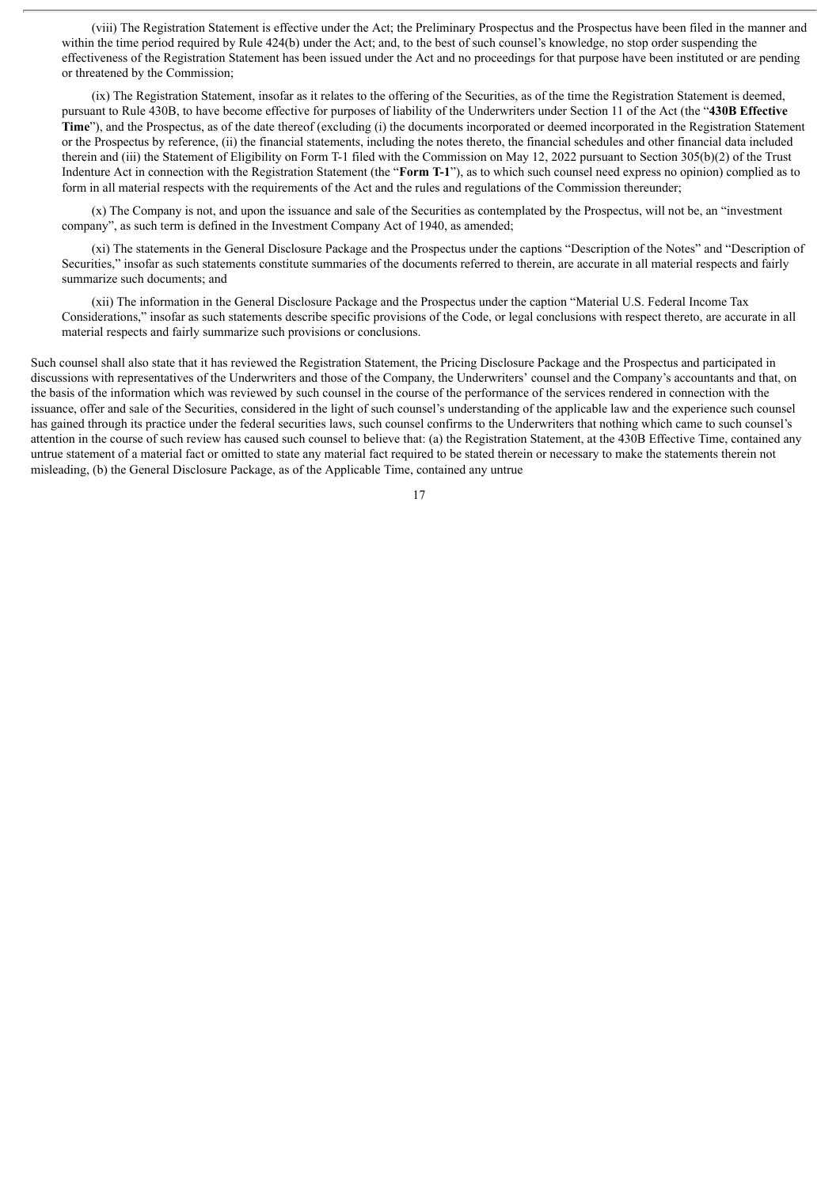(viii) The Registration Statement is effective under the Act; the Preliminary Prospectus and the Prospectus have been filed in the manner and within the time period required by Rule 424(b) under the Act; and, to the best of such counsel's knowledge, no stop order suspending the effectiveness of the Registration Statement has been issued under the Act and no proceedings for that purpose have been instituted or are pending or threatened by the Commission;

(ix) The Registration Statement, insofar as it relates to the offering of the Securities, as of the time the Registration Statement is deemed, pursuant to Rule 430B, to have become effective for purposes of liability of the Underwriters under Section 11 of the Act (the "**430B Effective Time**"), and the Prospectus, as of the date thereof (excluding (i) the documents incorporated or deemed incorporated in the Registration Statement or the Prospectus by reference, (ii) the financial statements, including the notes thereto, the financial schedules and other financial data included therein and (iii) the Statement of Eligibility on Form T-1 filed with the Commission on May 12, 2022 pursuant to Section 305(b)(2) of the Trust Indenture Act in connection with the Registration Statement (the "**Form T-1**"), as to which such counsel need express no opinion) complied as to form in all material respects with the requirements of the Act and the rules and regulations of the Commission thereunder;

(x) The Company is not, and upon the issuance and sale of the Securities as contemplated by the Prospectus, will not be, an "investment company", as such term is defined in the Investment Company Act of 1940, as amended;

(xi) The statements in the General Disclosure Package and the Prospectus under the captions "Description of the Notes" and "Description of Securities," insofar as such statements constitute summaries of the documents referred to therein, are accurate in all material respects and fairly summarize such documents; and

(xii) The information in the General Disclosure Package and the Prospectus under the caption "Material U.S. Federal Income Tax Considerations," insofar as such statements describe specific provisions of the Code, or legal conclusions with respect thereto, are accurate in all material respects and fairly summarize such provisions or conclusions.

Such counsel shall also state that it has reviewed the Registration Statement, the Pricing Disclosure Package and the Prospectus and participated in discussions with representatives of the Underwriters and those of the Company, the Underwriters' counsel and the Company's accountants and that, on the basis of the information which was reviewed by such counsel in the course of the performance of the services rendered in connection with the issuance, offer and sale of the Securities, considered in the light of such counsel's understanding of the applicable law and the experience such counsel has gained through its practice under the federal securities laws, such counsel confirms to the Underwriters that nothing which came to such counsel's attention in the course of such review has caused such counsel to believe that: (a) the Registration Statement, at the 430B Effective Time, contained any untrue statement of a material fact or omitted to state any material fact required to be stated therein or necessary to make the statements therein not misleading, (b) the General Disclosure Package, as of the Applicable Time, contained any untrue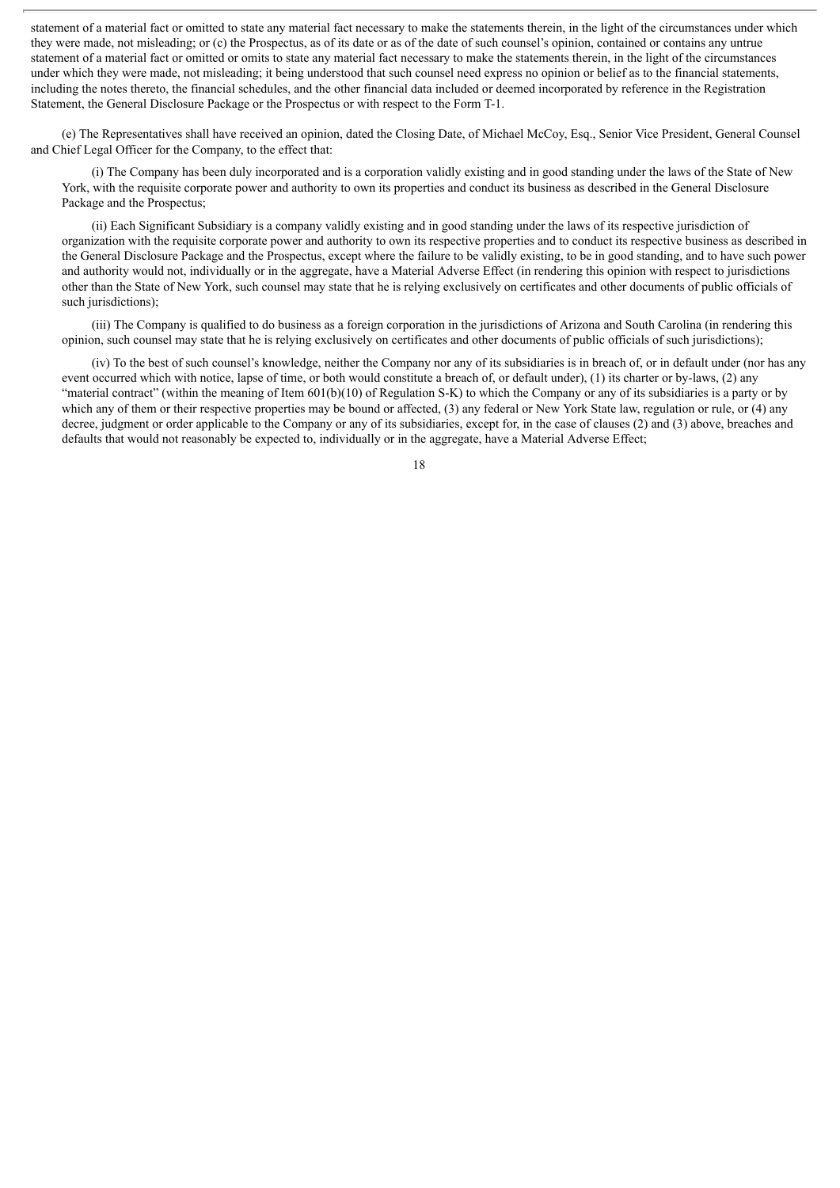statement of a material fact or omitted to state any material fact necessary to make the statements therein, in the light of the circumstances under which they were made, not misleading; or (c) the Prospectus, as of its date or as of the date of such counsel's opinion, contained or contains any untrue statement of a material fact or omitted or omits to state any material fact necessary to make the statements therein, in the light of the circumstances under which they were made, not misleading; it being understood that such counsel need express no opinion or belief as to the financial statements, including the notes thereto, the financial schedules, and the other financial data included or deemed incorporated by reference in the Registration Statement, the General Disclosure Package or the Prospectus or with respect to the Form T-1.

(e) The Representatives shall have received an opinion, dated the Closing Date, of Michael McCoy, Esq., Senior Vice President, General Counsel and Chief Legal Officer for the Company, to the effect that:

(i) The Company has been duly incorporated and is a corporation validly existing and in good standing under the laws of the State of New York, with the requisite corporate power and authority to own its properties and conduct its business as described in the General Disclosure Package and the Prospectus;

(ii) Each Significant Subsidiary is a company validly existing and in good standing under the laws of its respective jurisdiction of organization with the requisite corporate power and authority to own its respective properties and to conduct its respective business as described in the General Disclosure Package and the Prospectus, except where the failure to be validly existing, to be in good standing, and to have such power and authority would not, individually or in the aggregate, have a Material Adverse Effect (in rendering this opinion with respect to jurisdictions other than the State of New York, such counsel may state that he is relying exclusively on certificates and other documents of public officials of such jurisdictions);

(iii) The Company is qualified to do business as a foreign corporation in the jurisdictions of Arizona and South Carolina (in rendering this opinion, such counsel may state that he is relying exclusively on certificates and other documents of public officials of such jurisdictions);

(iv) To the best of such counsel's knowledge, neither the Company nor any of its subsidiaries is in breach of, or in default under (nor has any event occurred which with notice, lapse of time, or both would constitute a breach of, or default under), (1) its charter or by-laws, (2) any "material contract" (within the meaning of Item 601(b)(10) of Regulation S-K) to which the Company or any of its subsidiaries is a party or by which any of them or their respective properties may be bound or affected, (3) any federal or New York State law, regulation or rule, or (4) any decree, judgment or order applicable to the Company or any of its subsidiaries, except for, in the case of clauses (2) and (3) above, breaches and defaults that would not reasonably be expected to, individually or in the aggregate, have a Material Adverse Effect;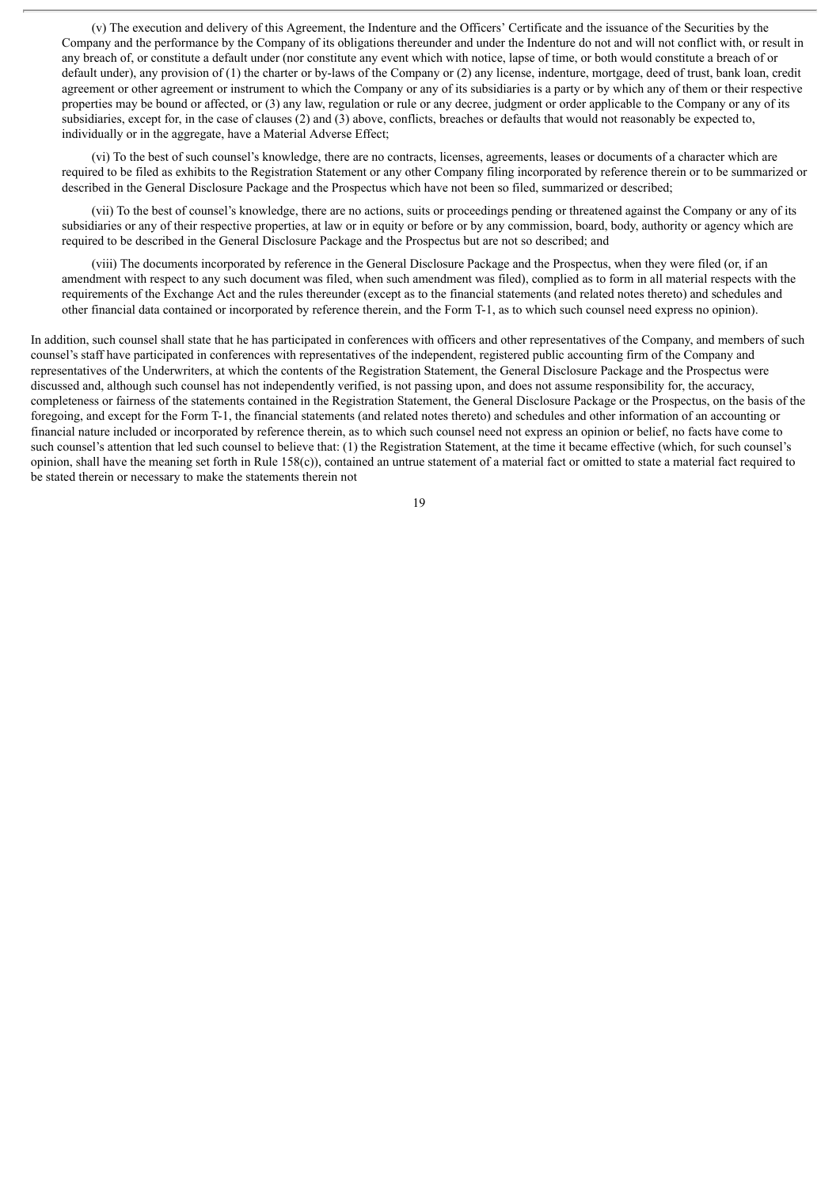(v) The execution and delivery of this Agreement, the Indenture and the Officers' Certificate and the issuance of the Securities by the Company and the performance by the Company of its obligations thereunder and under the Indenture do not and will not conflict with, or result in any breach of, or constitute a default under (nor constitute any event which with notice, lapse of time, or both would constitute a breach of or default under), any provision of (1) the charter or by-laws of the Company or (2) any license, indenture, mortgage, deed of trust, bank loan, credit agreement or other agreement or instrument to which the Company or any of its subsidiaries is a party or by which any of them or their respective properties may be bound or affected, or (3) any law, regulation or rule or any decree, judgment or order applicable to the Company or any of its subsidiaries, except for, in the case of clauses (2) and (3) above, conflicts, breaches or defaults that would not reasonably be expected to, individually or in the aggregate, have a Material Adverse Effect;

(vi) To the best of such counsel's knowledge, there are no contracts, licenses, agreements, leases or documents of a character which are required to be filed as exhibits to the Registration Statement or any other Company filing incorporated by reference therein or to be summarized or described in the General Disclosure Package and the Prospectus which have not been so filed, summarized or described;

(vii) To the best of counsel's knowledge, there are no actions, suits or proceedings pending or threatened against the Company or any of its subsidiaries or any of their respective properties, at law or in equity or before or by any commission, board, body, authority or agency which are required to be described in the General Disclosure Package and the Prospectus but are not so described; and

(viii) The documents incorporated by reference in the General Disclosure Package and the Prospectus, when they were filed (or, if an amendment with respect to any such document was filed, when such amendment was filed), complied as to form in all material respects with the requirements of the Exchange Act and the rules thereunder (except as to the financial statements (and related notes thereto) and schedules and other financial data contained or incorporated by reference therein, and the Form T-1, as to which such counsel need express no opinion).

In addition, such counsel shall state that he has participated in conferences with officers and other representatives of the Company, and members of such counsel's staff have participated in conferences with representatives of the independent, registered public accounting firm of the Company and representatives of the Underwriters, at which the contents of the Registration Statement, the General Disclosure Package and the Prospectus were discussed and, although such counsel has not independently verified, is not passing upon, and does not assume responsibility for, the accuracy, completeness or fairness of the statements contained in the Registration Statement, the General Disclosure Package or the Prospectus, on the basis of the foregoing, and except for the Form T-1, the financial statements (and related notes thereto) and schedules and other information of an accounting or financial nature included or incorporated by reference therein, as to which such counsel need not express an opinion or belief, no facts have come to such counsel's attention that led such counsel to believe that: (1) the Registration Statement, at the time it became effective (which, for such counsel's opinion, shall have the meaning set forth in Rule  $158(c)$ , contained an untrue statement of a material fact or omitted to state a material fact required to be stated therein or necessary to make the statements therein not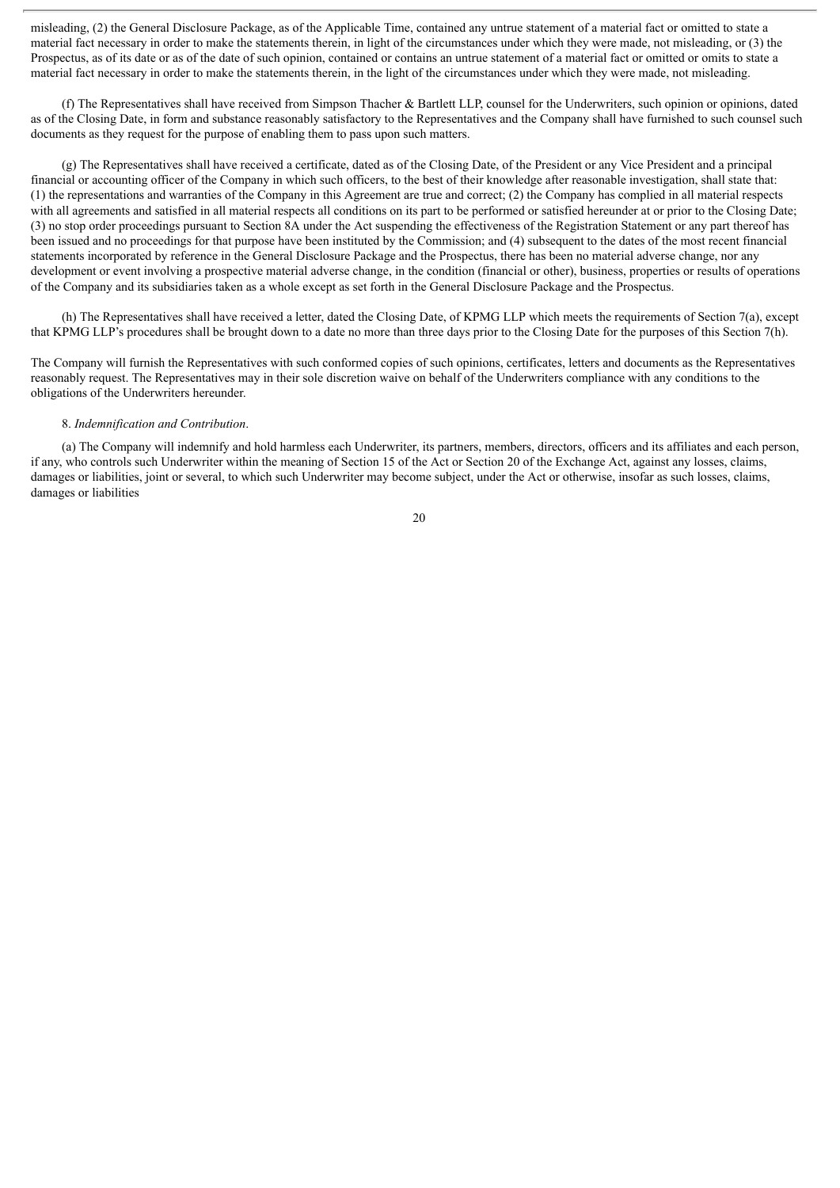misleading, (2) the General Disclosure Package, as of the Applicable Time, contained any untrue statement of a material fact or omitted to state a material fact necessary in order to make the statements therein, in light of the circumstances under which they were made, not misleading, or (3) the Prospectus, as of its date or as of the date of such opinion, contained or contains an untrue statement of a material fact or omitted or omits to state a material fact necessary in order to make the statements therein, in the light of the circumstances under which they were made, not misleading.

(f) The Representatives shall have received from Simpson Thacher & Bartlett LLP, counsel for the Underwriters, such opinion or opinions, dated as of the Closing Date, in form and substance reasonably satisfactory to the Representatives and the Company shall have furnished to such counsel such documents as they request for the purpose of enabling them to pass upon such matters.

(g) The Representatives shall have received a certificate, dated as of the Closing Date, of the President or any Vice President and a principal financial or accounting officer of the Company in which such officers, to the best of their knowledge after reasonable investigation, shall state that: (1) the representations and warranties of the Company in this Agreement are true and correct; (2) the Company has complied in all material respects with all agreements and satisfied in all material respects all conditions on its part to be performed or satisfied hereunder at or prior to the Closing Date; (3) no stop order proceedings pursuant to Section 8A under the Act suspending the effectiveness of the Registration Statement or any part thereof has been issued and no proceedings for that purpose have been instituted by the Commission; and (4) subsequent to the dates of the most recent financial statements incorporated by reference in the General Disclosure Package and the Prospectus, there has been no material adverse change, nor any development or event involving a prospective material adverse change, in the condition (financial or other), business, properties or results of operations of the Company and its subsidiaries taken as a whole except as set forth in the General Disclosure Package and the Prospectus.

(h) The Representatives shall have received a letter, dated the Closing Date, of KPMG LLP which meets the requirements of Section 7(a), except that KPMG LLP's procedures shall be brought down to a date no more than three days prior to the Closing Date for the purposes of this Section 7(h).

The Company will furnish the Representatives with such conformed copies of such opinions, certificates, letters and documents as the Representatives reasonably request. The Representatives may in their sole discretion waive on behalf of the Underwriters compliance with any conditions to the obligations of the Underwriters hereunder.

### 8. *Indemnification and Contribution*.

(a) The Company will indemnify and hold harmless each Underwriter, its partners, members, directors, officers and its affiliates and each person, if any, who controls such Underwriter within the meaning of Section 15 of the Act or Section 20 of the Exchange Act, against any losses, claims, damages or liabilities, joint or several, to which such Underwriter may become subject, under the Act or otherwise, insofar as such losses, claims, damages or liabilities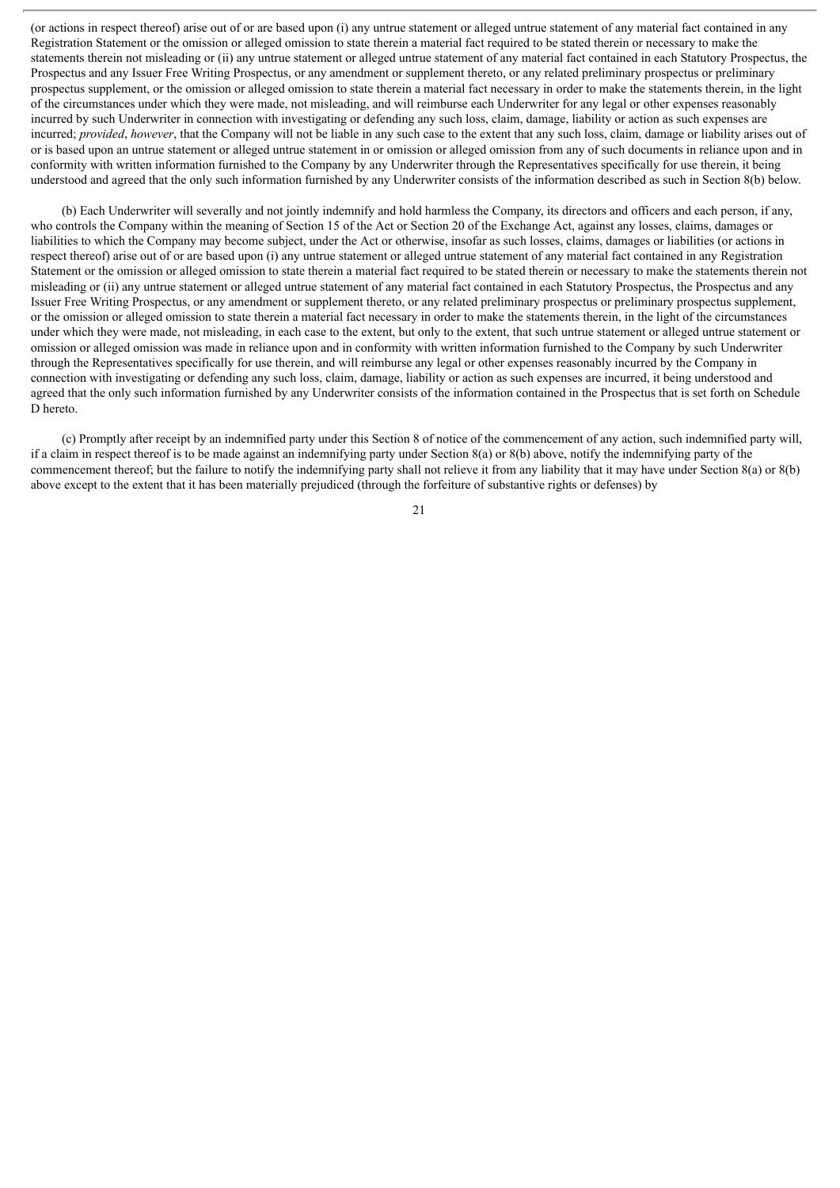(or actions in respect thereof) arise out of or are based upon (i) any untrue statement or alleged untrue statement of any material fact contained in any Registration Statement or the omission or alleged omission to state therein a material fact required to be stated therein or necessary to make the statements therein not misleading or (ii) any untrue statement or alleged untrue statement of any material fact contained in each Statutory Prospectus, the Prospectus and any Issuer Free Writing Prospectus, or any amendment or supplement thereto, or any related preliminary prospectus or preliminary prospectus supplement, or the omission or alleged omission to state therein a material fact necessary in order to make the statements therein, in the light of the circumstances under which they were made, not misleading, and will reimburse each Underwriter for any legal or other expenses reasonably incurred by such Underwriter in connection with investigating or defending any such loss, claim, damage, liability or action as such expenses are incurred; *provided*, *however*, that the Company will not be liable in any such case to the extent that any such loss, claim, damage or liability arises out of or is based upon an untrue statement or alleged untrue statement in or omission or alleged omission from any of such documents in reliance upon and in conformity with written information furnished to the Company by any Underwriter through the Representatives specifically for use therein, it being understood and agreed that the only such information furnished by any Underwriter consists of the information described as such in Section 8(b) below.

(b) Each Underwriter will severally and not jointly indemnify and hold harmless the Company, its directors and officers and each person, if any, who controls the Company within the meaning of Section 15 of the Act or Section 20 of the Exchange Act, against any losses, claims, damages or liabilities to which the Company may become subject, under the Act or otherwise, insofar as such losses, claims, damages or liabilities (or actions in respect thereof) arise out of or are based upon (i) any untrue statement or alleged untrue statement of any material fact contained in any Registration Statement or the omission or alleged omission to state therein a material fact required to be stated therein or necessary to make the statements therein not misleading or (ii) any untrue statement or alleged untrue statement of any material fact contained in each Statutory Prospectus, the Prospectus and any Issuer Free Writing Prospectus, or any amendment or supplement thereto, or any related preliminary prospectus or preliminary prospectus supplement, or the omission or alleged omission to state therein a material fact necessary in order to make the statements therein, in the light of the circumstances under which they were made, not misleading, in each case to the extent, but only to the extent, that such untrue statement or alleged untrue statement or omission or alleged omission was made in reliance upon and in conformity with written information furnished to the Company by such Underwriter through the Representatives specifically for use therein, and will reimburse any legal or other expenses reasonably incurred by the Company in connection with investigating or defending any such loss, claim, damage, liability or action as such expenses are incurred, it being understood and agreed that the only such information furnished by any Underwriter consists of the information contained in the Prospectus that is set forth on Schedule D hereto.

(c) Promptly after receipt by an indemnified party under this Section 8 of notice of the commencement of any action, such indemnified party will, if a claim in respect thereof is to be made against an indemnifying party under Section 8(a) or 8(b) above, notify the indemnifying party of the commencement thereof; but the failure to notify the indemnifying party shall not relieve it from any liability that it may have under Section 8(a) or 8(b) above except to the extent that it has been materially prejudiced (through the forfeiture of substantive rights or defenses) by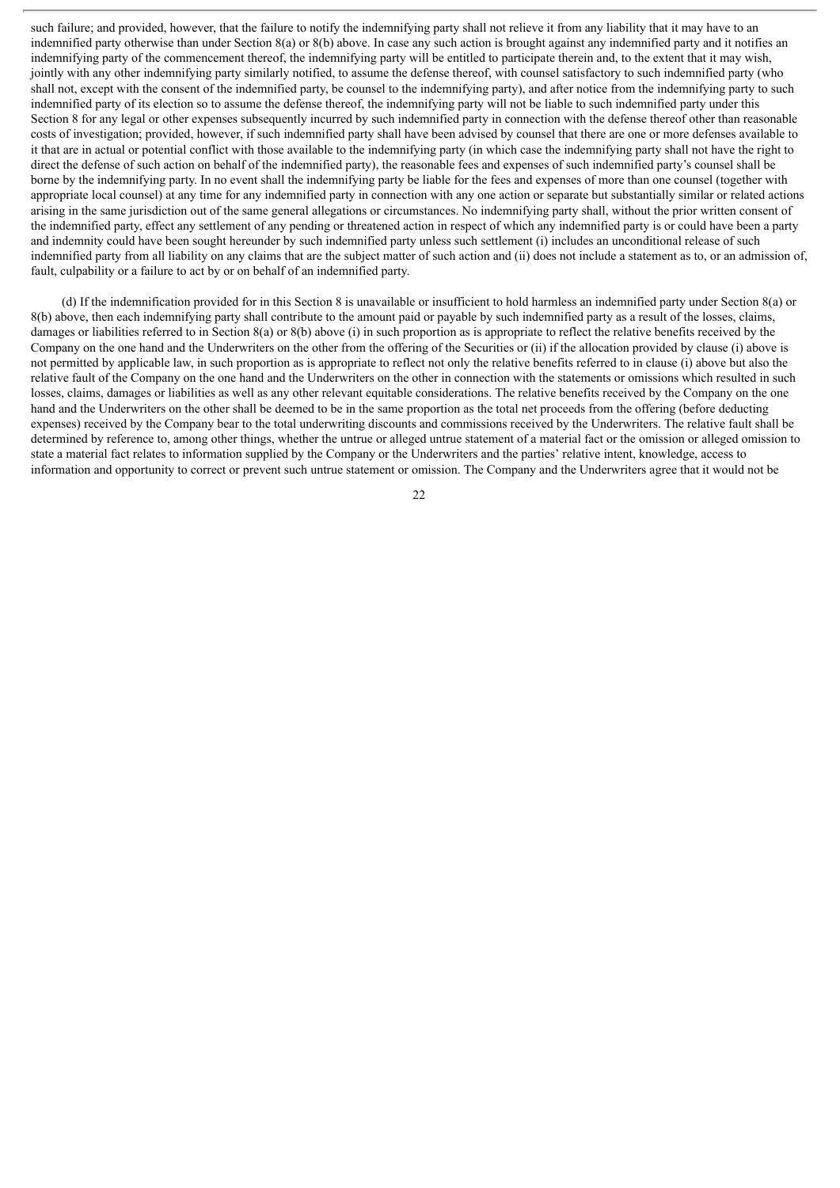such failure; and provided, however, that the failure to notify the indemnifying party shall not relieve it from any liability that it may have to an indemnified party otherwise than under Section 8(a) or 8(b) above. In case any such action is brought against any indemnified party and it notifies an indemnifying party of the commencement thereof, the indemnifying party will be entitled to participate therein and, to the extent that it may wish, jointly with any other indemnifying party similarly notified, to assume the defense thereof, with counsel satisfactory to such indemnified party (who shall not, except with the consent of the indemnified party, be counsel to the indemnifying party), and after notice from the indemnifying party to such indemnified party of its election so to assume the defense thereof, the indemnifying party will not be liable to such indemnified party under this Section 8 for any legal or other expenses subsequently incurred by such indemnified party in connection with the defense thereof other than reasonable costs of investigation; provided, however, if such indemnified party shall have been advised by counsel that there are one or more defenses available to it that are in actual or potential conflict with those available to the indemnifying party (in which case the indemnifying party shall not have the right to direct the defense of such action on behalf of the indemnified party), the reasonable fees and expenses of such indemnified party's counsel shall be borne by the indemnifying party. In no event shall the indemnifying party be liable for the fees and expenses of more than one counsel (together with appropriate local counsel) at any time for any indemnified party in connection with any one action or separate but substantially similar or related actions arising in the same jurisdiction out of the same general allegations or circumstances. No indemnifying party shall, without the prior written consent of the indemnified party, effect any settlement of any pending or threatened action in respect of which any indemnified party is or could have been a party and indemnity could have been sought hereunder by such indemnified party unless such settlement (i) includes an unconditional release of such indemnified party from all liability on any claims that are the subject matter of such action and (ii) does not include a statement as to, or an admission of, fault, culpability or a failure to act by or on behalf of an indemnified party.

(d) If the indemnification provided for in this Section 8 is unavailable or insufficient to hold harmless an indemnified party under Section 8(a) or 8(b) above, then each indemnifying party shall contribute to the amount paid or payable by such indemnified party as a result of the losses, claims, damages or liabilities referred to in Section 8(a) or 8(b) above (i) in such proportion as is appropriate to reflect the relative benefits received by the Company on the one hand and the Underwriters on the other from the offering of the Securities or (ii) if the allocation provided by clause (i) above is not permitted by applicable law, in such proportion as is appropriate to reflect not only the relative benefits referred to in clause (i) above but also the relative fault of the Company on the one hand and the Underwriters on the other in connection with the statements or omissions which resulted in such losses, claims, damages or liabilities as well as any other relevant equitable considerations. The relative benefits received by the Company on the one hand and the Underwriters on the other shall be deemed to be in the same proportion as the total net proceeds from the offering (before deducting expenses) received by the Company bear to the total underwriting discounts and commissions received by the Underwriters. The relative fault shall be determined by reference to, among other things, whether the untrue or alleged untrue statement of a material fact or the omission or alleged omission to state a material fact relates to information supplied by the Company or the Underwriters and the parties' relative intent, knowledge, access to information and opportunity to correct or prevent such untrue statement or omission. The Company and the Underwriters agree that it would not be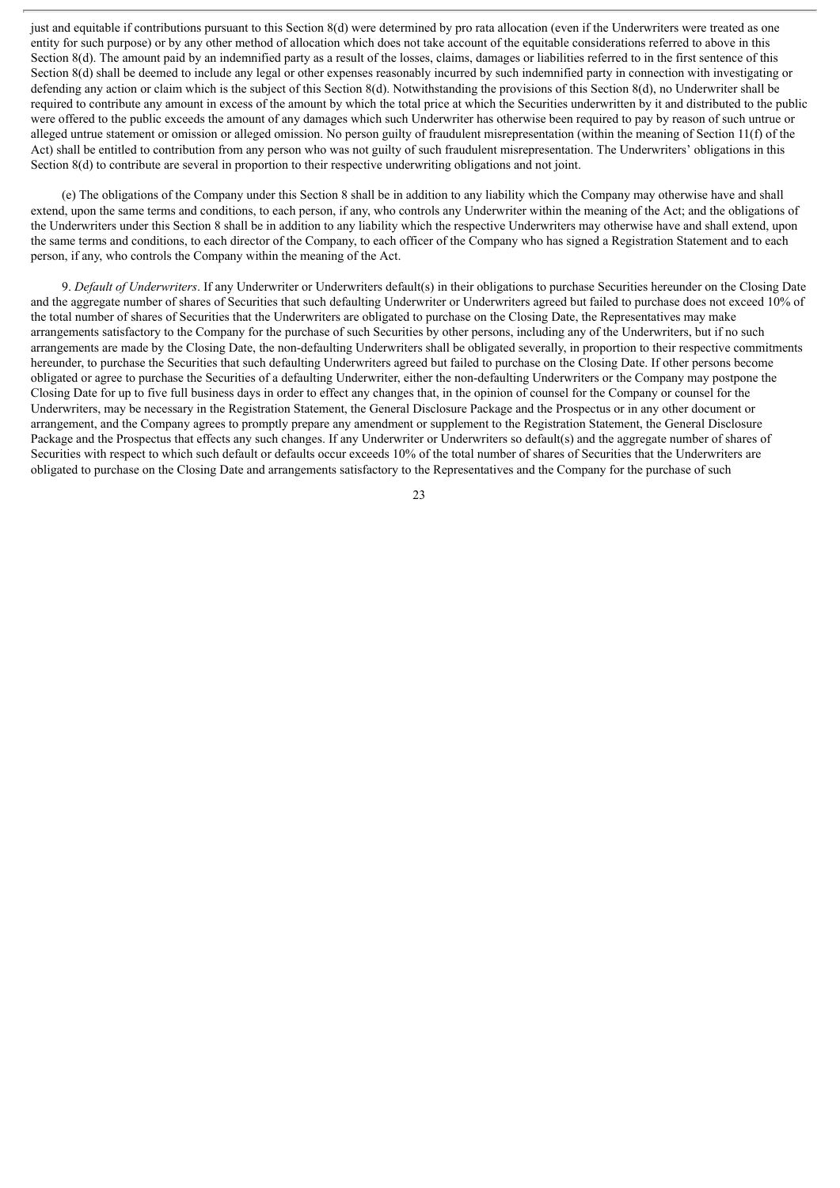just and equitable if contributions pursuant to this Section 8(d) were determined by pro rata allocation (even if the Underwriters were treated as one entity for such purpose) or by any other method of allocation which does not take account of the equitable considerations referred to above in this Section 8(d). The amount paid by an indemnified party as a result of the losses, claims, damages or liabilities referred to in the first sentence of this Section 8(d) shall be deemed to include any legal or other expenses reasonably incurred by such indemnified party in connection with investigating or defending any action or claim which is the subject of this Section 8(d). Notwithstanding the provisions of this Section 8(d), no Underwriter shall be required to contribute any amount in excess of the amount by which the total price at which the Securities underwritten by it and distributed to the public were offered to the public exceeds the amount of any damages which such Underwriter has otherwise been required to pay by reason of such untrue or alleged untrue statement or omission or alleged omission. No person guilty of fraudulent misrepresentation (within the meaning of Section 11(f) of the Act) shall be entitled to contribution from any person who was not guilty of such fraudulent misrepresentation. The Underwriters' obligations in this Section 8(d) to contribute are several in proportion to their respective underwriting obligations and not joint.

(e) The obligations of the Company under this Section 8 shall be in addition to any liability which the Company may otherwise have and shall extend, upon the same terms and conditions, to each person, if any, who controls any Underwriter within the meaning of the Act; and the obligations of the Underwriters under this Section 8 shall be in addition to any liability which the respective Underwriters may otherwise have and shall extend, upon the same terms and conditions, to each director of the Company, to each officer of the Company who has signed a Registration Statement and to each person, if any, who controls the Company within the meaning of the Act.

9. *Default of Underwriters*. If any Underwriter or Underwriters default(s) in their obligations to purchase Securities hereunder on the Closing Date and the aggregate number of shares of Securities that such defaulting Underwriter or Underwriters agreed but failed to purchase does not exceed 10% of the total number of shares of Securities that the Underwriters are obligated to purchase on the Closing Date, the Representatives may make arrangements satisfactory to the Company for the purchase of such Securities by other persons, including any of the Underwriters, but if no such arrangements are made by the Closing Date, the non-defaulting Underwriters shall be obligated severally, in proportion to their respective commitments hereunder, to purchase the Securities that such defaulting Underwriters agreed but failed to purchase on the Closing Date. If other persons become obligated or agree to purchase the Securities of a defaulting Underwriter, either the non-defaulting Underwriters or the Company may postpone the Closing Date for up to five full business days in order to effect any changes that, in the opinion of counsel for the Company or counsel for the Underwriters, may be necessary in the Registration Statement, the General Disclosure Package and the Prospectus or in any other document or arrangement, and the Company agrees to promptly prepare any amendment or supplement to the Registration Statement, the General Disclosure Package and the Prospectus that effects any such changes. If any Underwriter or Underwriters so default(s) and the aggregate number of shares of Securities with respect to which such default or defaults occur exceeds 10% of the total number of shares of Securities that the Underwriters are obligated to purchase on the Closing Date and arrangements satisfactory to the Representatives and the Company for the purchase of such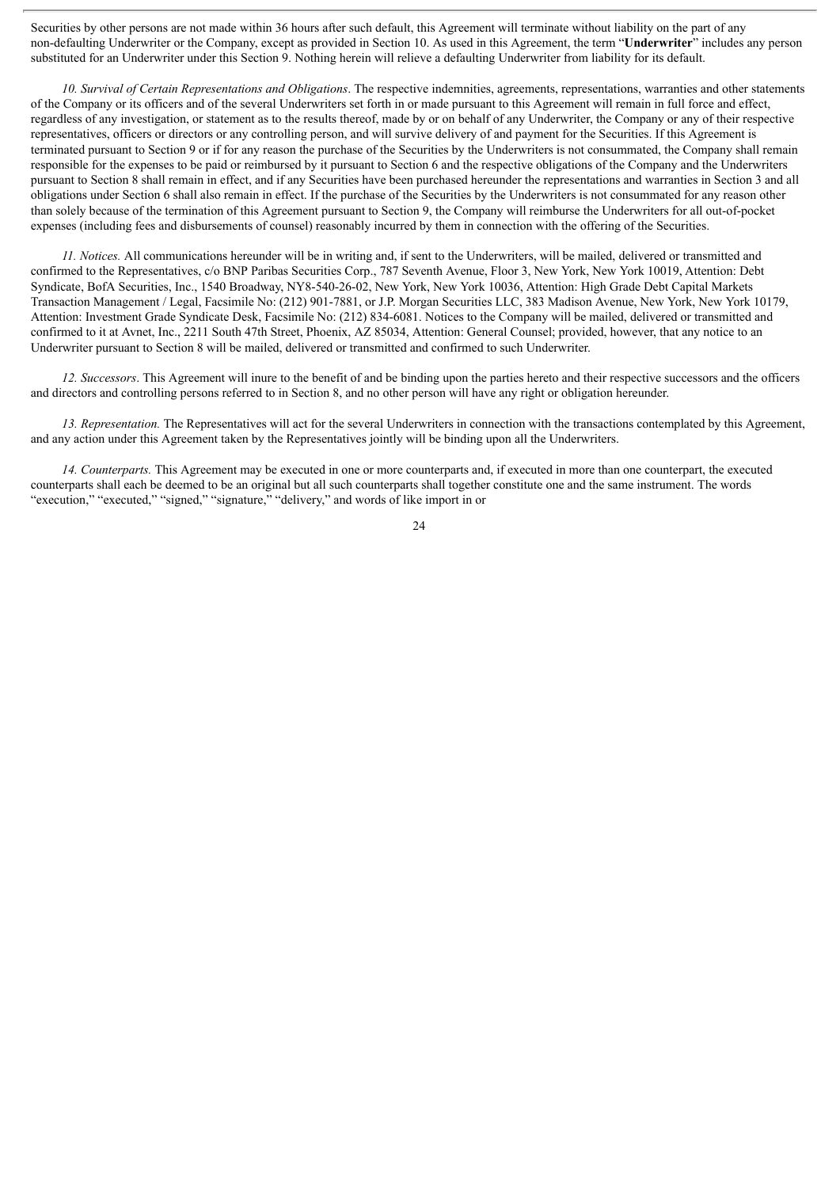Securities by other persons are not made within 36 hours after such default, this Agreement will terminate without liability on the part of any non-defaulting Underwriter or the Company, except as provided in Section 10. As used in this Agreement, the term "**Underwriter**" includes any person substituted for an Underwriter under this Section 9. Nothing herein will relieve a defaulting Underwriter from liability for its default.

*10. Survival of Certain Representations and Obligations*. The respective indemnities, agreements, representations, warranties and other statements of the Company or its officers and of the several Underwriters set forth in or made pursuant to this Agreement will remain in full force and effect, regardless of any investigation, or statement as to the results thereof, made by or on behalf of any Underwriter, the Company or any of their respective representatives, officers or directors or any controlling person, and will survive delivery of and payment for the Securities. If this Agreement is terminated pursuant to Section 9 or if for any reason the purchase of the Securities by the Underwriters is not consummated, the Company shall remain responsible for the expenses to be paid or reimbursed by it pursuant to Section 6 and the respective obligations of the Company and the Underwriters pursuant to Section 8 shall remain in effect, and if any Securities have been purchased hereunder the representations and warranties in Section 3 and all obligations under Section 6 shall also remain in effect. If the purchase of the Securities by the Underwriters is not consummated for any reason other than solely because of the termination of this Agreement pursuant to Section 9, the Company will reimburse the Underwriters for all out-of-pocket expenses (including fees and disbursements of counsel) reasonably incurred by them in connection with the offering of the Securities.

*11. Notices.* All communications hereunder will be in writing and, if sent to the Underwriters, will be mailed, delivered or transmitted and confirmed to the Representatives, c/o BNP Paribas Securities Corp., 787 Seventh Avenue, Floor 3, New York, New York 10019, Attention: Debt Syndicate, BofA Securities, Inc., 1540 Broadway, NY8-540-26-02, New York, New York 10036, Attention: High Grade Debt Capital Markets Transaction Management / Legal, Facsimile No: (212) 901-7881, or J.P. Morgan Securities LLC, 383 Madison Avenue, New York, New York 10179, Attention: Investment Grade Syndicate Desk, Facsimile No: (212) 834-6081. Notices to the Company will be mailed, delivered or transmitted and confirmed to it at Avnet, Inc., 2211 South 47th Street, Phoenix, AZ 85034, Attention: General Counsel; provided, however, that any notice to an Underwriter pursuant to Section 8 will be mailed, delivered or transmitted and confirmed to such Underwriter.

*12. Successors*. This Agreement will inure to the benefit of and be binding upon the parties hereto and their respective successors and the officers and directors and controlling persons referred to in Section 8, and no other person will have any right or obligation hereunder.

*13. Representation.* The Representatives will act for the several Underwriters in connection with the transactions contemplated by this Agreement, and any action under this Agreement taken by the Representatives jointly will be binding upon all the Underwriters.

*14. Counterparts.* This Agreement may be executed in one or more counterparts and, if executed in more than one counterpart, the executed counterparts shall each be deemed to be an original but all such counterparts shall together constitute one and the same instrument. The words "execution," "executed," "signed," "signature," "delivery," and words of like import in or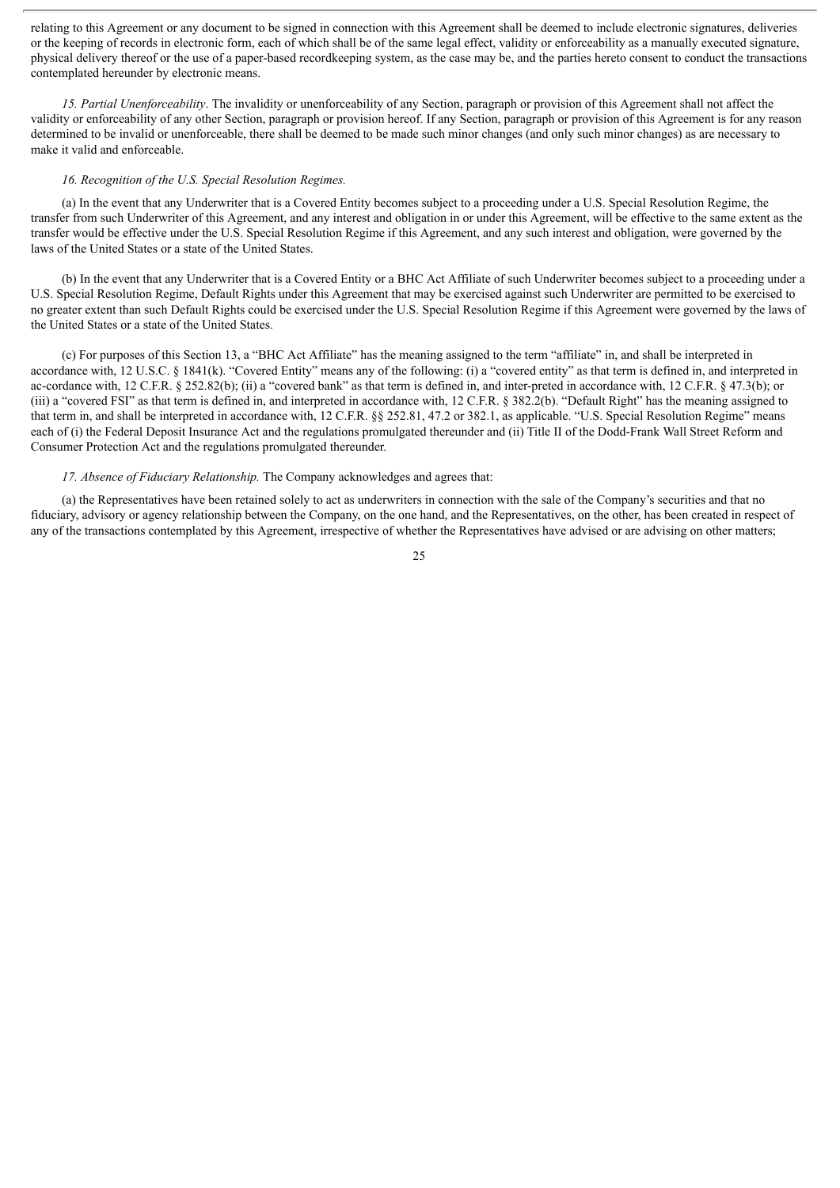relating to this Agreement or any document to be signed in connection with this Agreement shall be deemed to include electronic signatures, deliveries or the keeping of records in electronic form, each of which shall be of the same legal effect, validity or enforceability as a manually executed signature, physical delivery thereof or the use of a paper-based recordkeeping system, as the case may be, and the parties hereto consent to conduct the transactions contemplated hereunder by electronic means.

*15. Partial Unenforceability*. The invalidity or unenforceability of any Section, paragraph or provision of this Agreement shall not affect the validity or enforceability of any other Section, paragraph or provision hereof. If any Section, paragraph or provision of this Agreement is for any reason determined to be invalid or unenforceable, there shall be deemed to be made such minor changes (and only such minor changes) as are necessary to make it valid and enforceable.

### *16. Recognition of the U.S. Special Resolution Regimes.*

(a) In the event that any Underwriter that is a Covered Entity becomes subject to a proceeding under a U.S. Special Resolution Regime, the transfer from such Underwriter of this Agreement, and any interest and obligation in or under this Agreement, will be effective to the same extent as the transfer would be effective under the U.S. Special Resolution Regime if this Agreement, and any such interest and obligation, were governed by the laws of the United States or a state of the United States.

(b) In the event that any Underwriter that is a Covered Entity or a BHC Act Affiliate of such Underwriter becomes subject to a proceeding under a U.S. Special Resolution Regime, Default Rights under this Agreement that may be exercised against such Underwriter are permitted to be exercised to no greater extent than such Default Rights could be exercised under the U.S. Special Resolution Regime if this Agreement were governed by the laws of the United States or a state of the United States.

(c) For purposes of this Section 13, a "BHC Act Affiliate" has the meaning assigned to the term "affiliate" in, and shall be interpreted in accordance with, 12 U.S.C. § 1841(k). "Covered Entity" means any of the following: (i) a "covered entity" as that term is defined in, and interpreted in ac-cordance with, 12 C.F.R. § 252.82(b); (ii) a "covered bank" as that term is defined in, and inter-preted in accordance with, 12 C.F.R. § 47.3(b); or (iii) a "covered FSI" as that term is defined in, and interpreted in accordance with, 12 C.F.R. § 382.2(b). "Default Right" has the meaning assigned to that term in, and shall be interpreted in accordance with, 12 C.F.R. §§ 252.81, 47.2 or 382.1, as applicable. "U.S. Special Resolution Regime" means each of (i) the Federal Deposit Insurance Act and the regulations promulgated thereunder and (ii) Title II of the Dodd-Frank Wall Street Reform and Consumer Protection Act and the regulations promulgated thereunder.

### *17. Absence of Fiduciary Relationship.* The Company acknowledges and agrees that:

(a) the Representatives have been retained solely to act as underwriters in connection with the sale of the Company's securities and that no fiduciary, advisory or agency relationship between the Company, on the one hand, and the Representatives, on the other, has been created in respect of any of the transactions contemplated by this Agreement, irrespective of whether the Representatives have advised or are advising on other matters;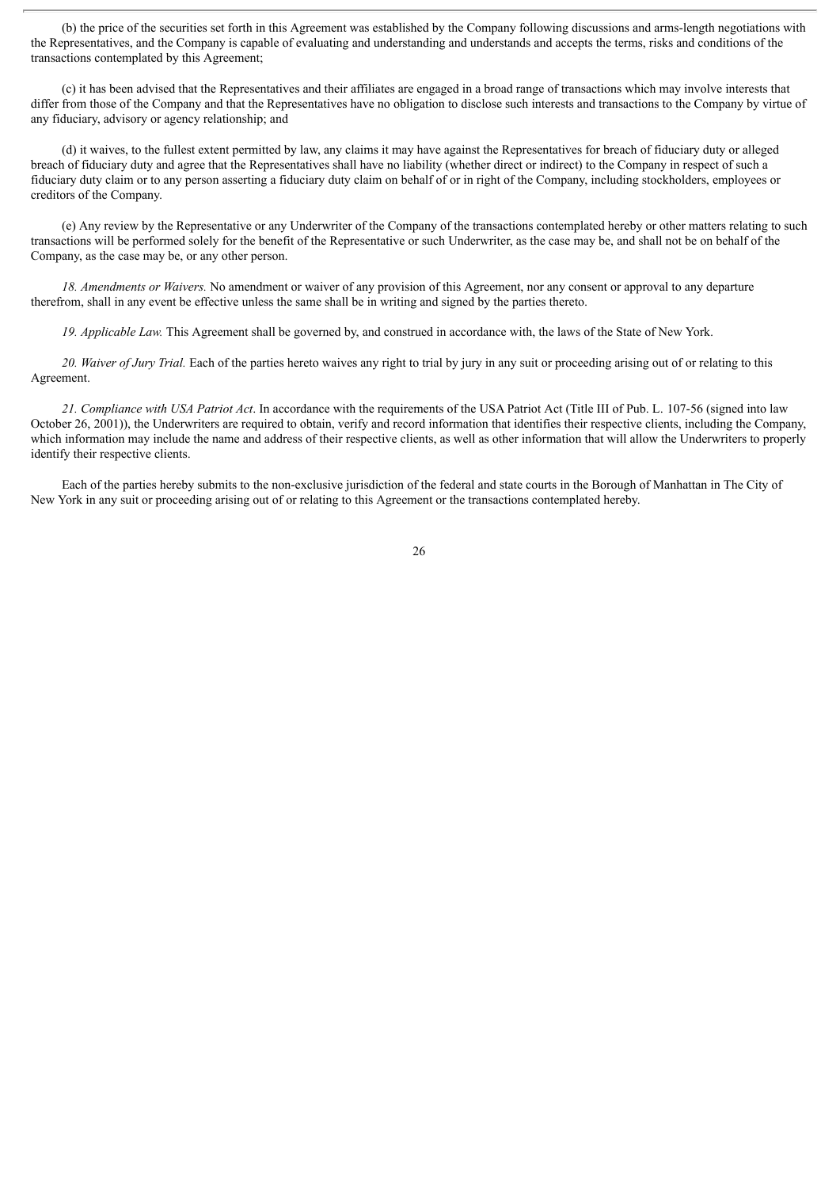(b) the price of the securities set forth in this Agreement was established by the Company following discussions and arms-length negotiations with the Representatives, and the Company is capable of evaluating and understanding and understands and accepts the terms, risks and conditions of the transactions contemplated by this Agreement;

(c) it has been advised that the Representatives and their affiliates are engaged in a broad range of transactions which may involve interests that differ from those of the Company and that the Representatives have no obligation to disclose such interests and transactions to the Company by virtue of any fiduciary, advisory or agency relationship; and

(d) it waives, to the fullest extent permitted by law, any claims it may have against the Representatives for breach of fiduciary duty or alleged breach of fiduciary duty and agree that the Representatives shall have no liability (whether direct or indirect) to the Company in respect of such a fiduciary duty claim or to any person asserting a fiduciary duty claim on behalf of or in right of the Company, including stockholders, employees or creditors of the Company.

(e) Any review by the Representative or any Underwriter of the Company of the transactions contemplated hereby or other matters relating to such transactions will be performed solely for the benefit of the Representative or such Underwriter, as the case may be, and shall not be on behalf of the Company, as the case may be, or any other person.

*18. Amendments or Waivers.* No amendment or waiver of any provision of this Agreement, nor any consent or approval to any departure therefrom, shall in any event be effective unless the same shall be in writing and signed by the parties thereto.

*19. Applicable Law.* This Agreement shall be governed by, and construed in accordance with, the laws of the State of New York.

*20. Waiver of Jury Trial.* Each of the parties hereto waives any right to trial by jury in any suit or proceeding arising out of or relating to this Agreement.

*21. Compliance with USA Patriot Act*. In accordance with the requirements of the USA Patriot Act (Title III of Pub. L. 107-56 (signed into law October 26, 2001)), the Underwriters are required to obtain, verify and record information that identifies their respective clients, including the Company, which information may include the name and address of their respective clients, as well as other information that will allow the Underwriters to properly identify their respective clients.

Each of the parties hereby submits to the non-exclusive jurisdiction of the federal and state courts in the Borough of Manhattan in The City of New York in any suit or proceeding arising out of or relating to this Agreement or the transactions contemplated hereby.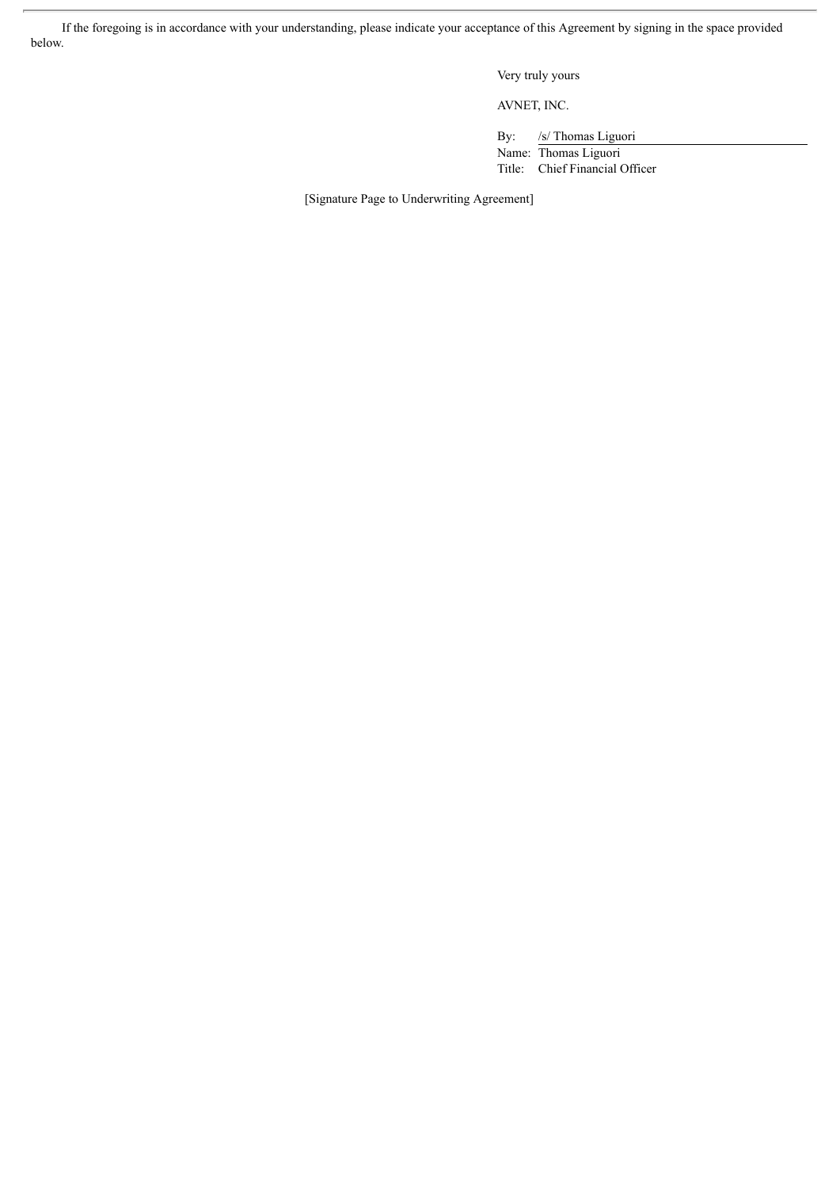If the foregoing is in accordance with your understanding, please indicate your acceptance of this Agreement by signing in the space provided below.

Very truly yours

AVNET, INC.

By: /s/ Thomas Liguori

Name: Thomas Liguori Title: Chief Financial Officer

[Signature Page to Underwriting Agreement]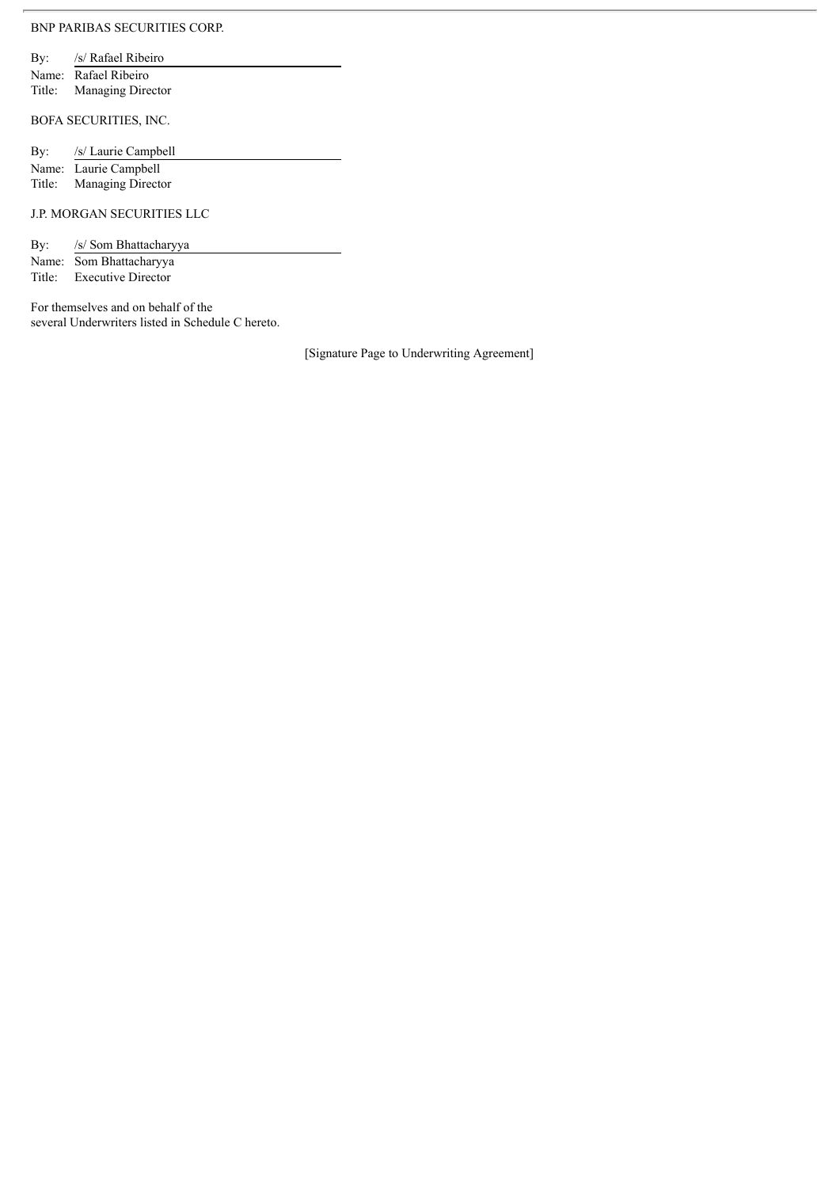### BNP PARIBAS SECURITIES CORP.

By: /s/ Rafael Ribeiro Name: Rafael Ribeiro Title: Managing Director

BOFA SECURITIES, INC.

| By: | /s/ Laurie Campbell   |
|-----|-----------------------|
|     | Name: Laurie Campbell |

Title: Managing Director

### J.P. MORGAN SECURITIES LLC

By: /s/ Som Bhattacharyya

Name: Som Bhattacharyya Title: Executive Director

For themselves and on behalf of the several Underwriters listed in Schedule C hereto.

[Signature Page to Underwriting Agreement]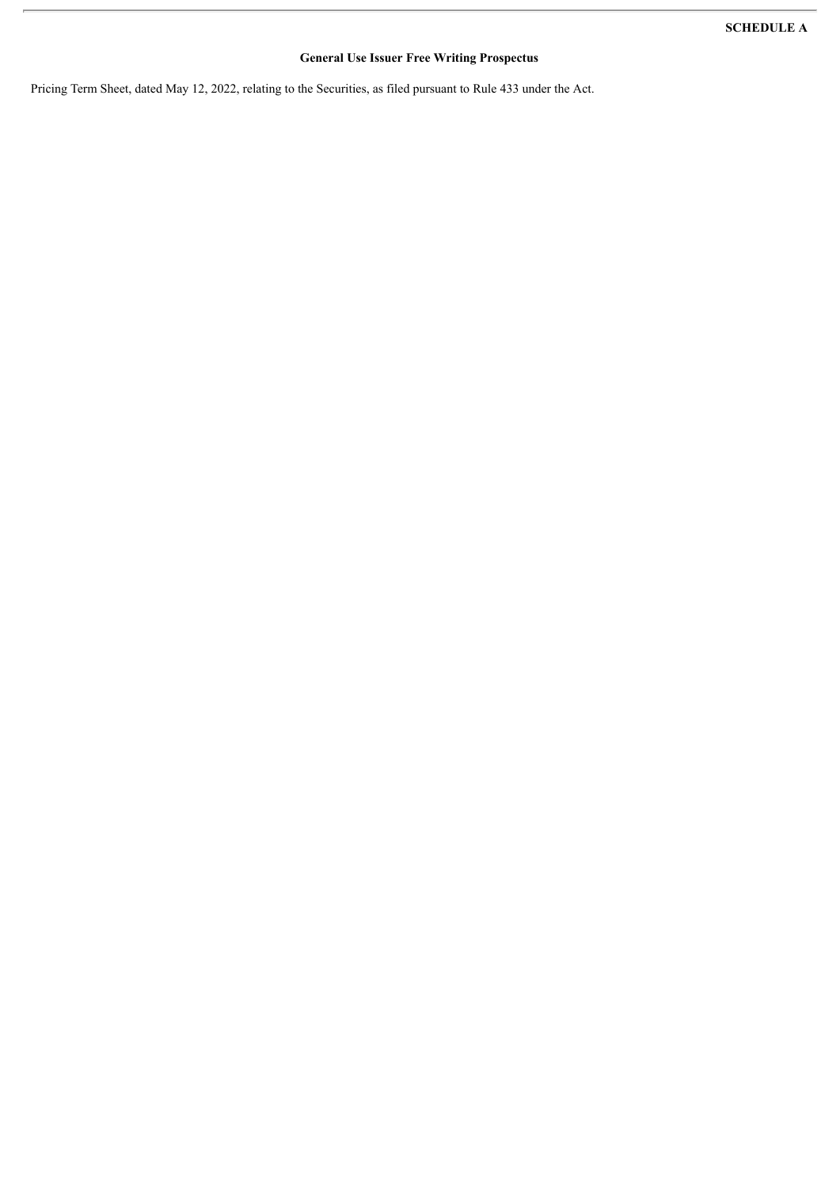## **General Use Issuer Free Writing Prospectus**

Pricing Term Sheet, dated May 12, 2022, relating to the Securities, as filed pursuant to Rule 433 under the Act.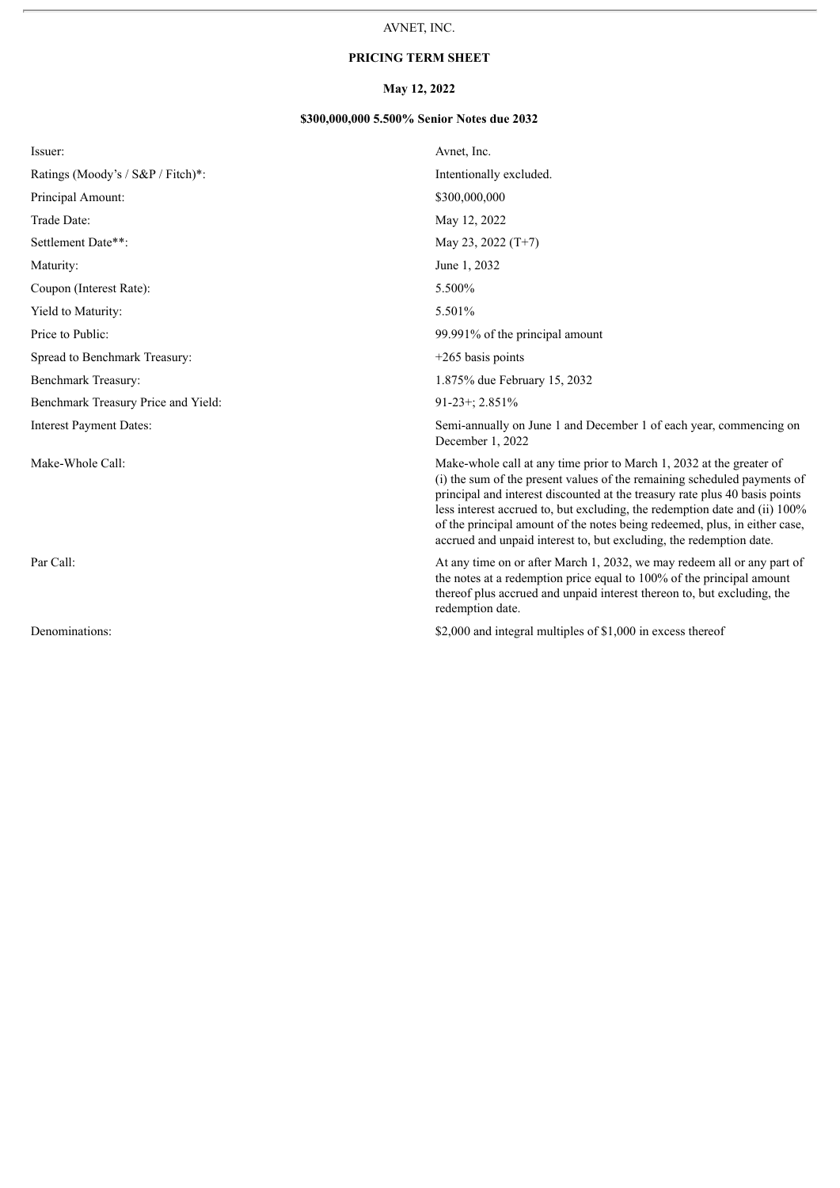## **PRICING TERM SHEET**

## **May 12, 2022**

### **\$300,000,000 5.500% Senior Notes due 2032**

| Issuer:                             | Avnet, Inc.                                                                                                                                                                                                                                                                                                                                                                                                                                                        |
|-------------------------------------|--------------------------------------------------------------------------------------------------------------------------------------------------------------------------------------------------------------------------------------------------------------------------------------------------------------------------------------------------------------------------------------------------------------------------------------------------------------------|
| Ratings (Moody's / S&P / Fitch)*:   | Intentionally excluded.                                                                                                                                                                                                                                                                                                                                                                                                                                            |
| Principal Amount:                   | \$300,000,000                                                                                                                                                                                                                                                                                                                                                                                                                                                      |
| Trade Date:                         | May 12, 2022                                                                                                                                                                                                                                                                                                                                                                                                                                                       |
| Settlement Date**:                  | May 23, 2022 $(T+7)$                                                                                                                                                                                                                                                                                                                                                                                                                                               |
| Maturity:                           | June 1, 2032                                                                                                                                                                                                                                                                                                                                                                                                                                                       |
| Coupon (Interest Rate):             | 5.500%                                                                                                                                                                                                                                                                                                                                                                                                                                                             |
| Yield to Maturity:                  | 5.501%                                                                                                                                                                                                                                                                                                                                                                                                                                                             |
| Price to Public:                    | 99.991% of the principal amount                                                                                                                                                                                                                                                                                                                                                                                                                                    |
| Spread to Benchmark Treasury:       | $+265$ basis points                                                                                                                                                                                                                                                                                                                                                                                                                                                |
| Benchmark Treasury:                 | 1.875% due February 15, 2032                                                                                                                                                                                                                                                                                                                                                                                                                                       |
| Benchmark Treasury Price and Yield: | 91-23+; 2.851%                                                                                                                                                                                                                                                                                                                                                                                                                                                     |
| <b>Interest Payment Dates:</b>      | Semi-annually on June 1 and December 1 of each year, commencing on<br>December 1, 2022                                                                                                                                                                                                                                                                                                                                                                             |
| Make-Whole Call:                    | Make-whole call at any time prior to March 1, 2032 at the greater of<br>(i) the sum of the present values of the remaining scheduled payments of<br>principal and interest discounted at the treasury rate plus 40 basis points<br>less interest accrued to, but excluding, the redemption date and (ii) 100%<br>of the principal amount of the notes being redeemed, plus, in either case,<br>accrued and unpaid interest to, but excluding, the redemption date. |
| Par Call:                           | At any time on or after March 1, 2032, we may redeem all or any part of<br>the notes at a redemption price equal to 100% of the principal amount<br>thereof plus accrued and unpaid interest thereon to, but excluding, the<br>redemption date.                                                                                                                                                                                                                    |
| Denominations:                      | \$2,000 and integral multiples of \$1,000 in excess thereof                                                                                                                                                                                                                                                                                                                                                                                                        |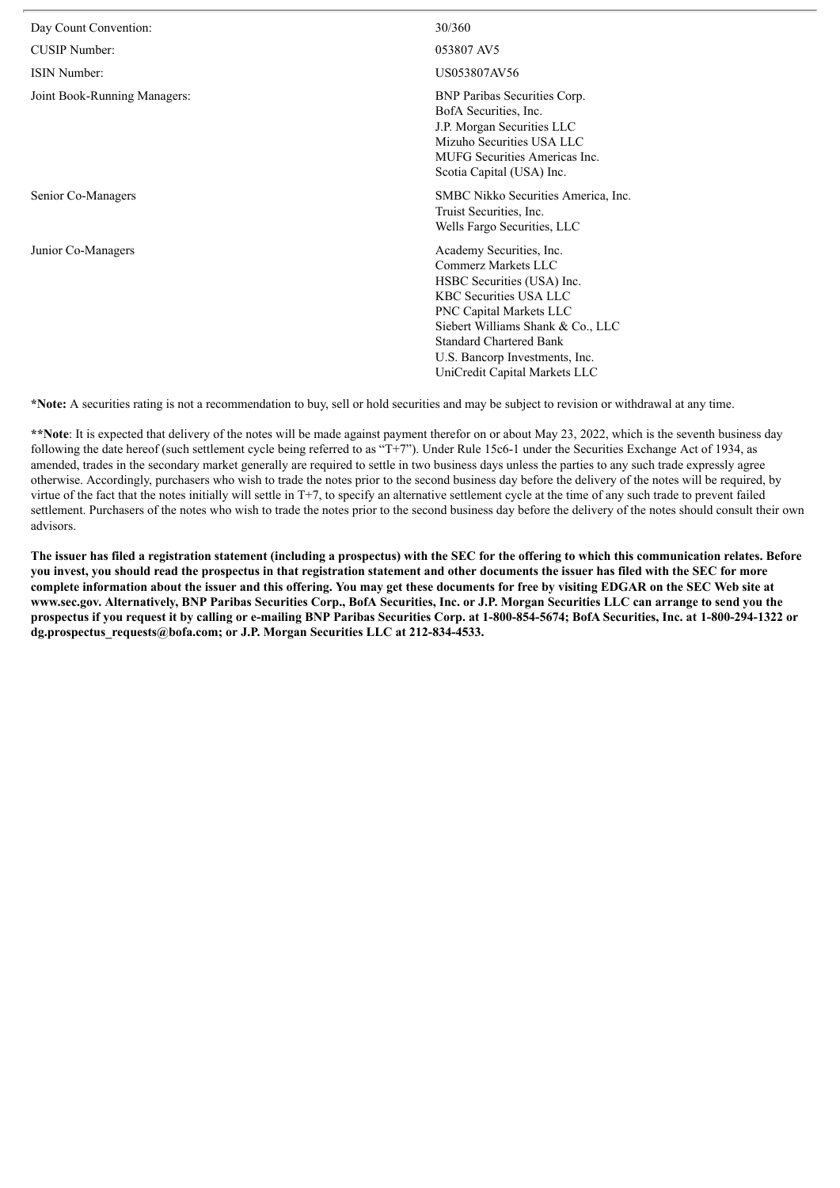| Day Count Convention:        | 30/360                                                                                                                                                                                                                                                                                     |
|------------------------------|--------------------------------------------------------------------------------------------------------------------------------------------------------------------------------------------------------------------------------------------------------------------------------------------|
| CUSIP Number:                | 053807 AV5                                                                                                                                                                                                                                                                                 |
| ISIN Number:                 | US053807AV56                                                                                                                                                                                                                                                                               |
| Joint Book-Running Managers: | <b>BNP Paribas Securities Corp.</b><br>BofA Securities, Inc.<br>J.P. Morgan Securities LLC<br>Mizuho Securities USA LLC<br><b>MUFG</b> Securities Americas Inc.<br>Scotia Capital (USA) Inc.                                                                                               |
| Senior Co-Managers           | SMBC Nikko Securities America, Inc.<br>Truist Securities, Inc.<br>Wells Fargo Securities, LLC                                                                                                                                                                                              |
| Junior Co-Managers           | Academy Securities, Inc.<br>Commerz Markets LLC<br>HSBC Securities (USA) Inc.<br><b>KBC Securities USA LLC</b><br><b>PNC Capital Markets LLC</b><br>Siebert Williams Shank & Co., LLC<br><b>Standard Chartered Bank</b><br>U.S. Bancorp Investments, Inc.<br>UniCredit Capital Markets LLC |

**\*Note:** A securities rating is not a recommendation to buy, sell or hold securities and may be subject to revision or withdrawal at any time.

\*\*Note: It is expected that delivery of the notes will be made against payment therefor on or about May 23, 2022, which is the seventh business day following the date hereof (such settlement cycle being referred to as "T+7"). Under Rule 15c6-1 under the Securities Exchange Act of 1934, as amended, trades in the secondary market generally are required to settle in two business days unless the parties to any such trade expressly agree otherwise. Accordingly, purchasers who wish to trade the notes prior to the second business day before the delivery of the notes will be required, by virtue of the fact that the notes initially will settle in T+7, to specify an alternative settlement cycle at the time of any such trade to prevent failed settlement. Purchasers of the notes who wish to trade the notes prior to the second business day before the delivery of the notes should consult their own advisors.

The issuer has filed a registration statement (including a prospectus) with the SEC for the offering to which this communication relates. Before you invest, you should read the prospectus in that registration statement and other documents the issuer has filed with the SEC for more complete information about the issuer and this offering. You may get these documents for free by visiting EDGAR on the SEC Web site at www.sec.gov. Alternatively, BNP Paribas Securities Corp., BofA Securities, Inc. or J.P. Morgan Securities LLC can arrange to send you the prospectus if you request it by calling or e-mailing BNP Paribas Securities Corp. at 1-800-854-5674; BofA Securities, Inc. at 1-800-294-1322 or **dg.prospectus\_requests@bofa.com; or J.P. Morgan Securities LLC at 212-834-4533.**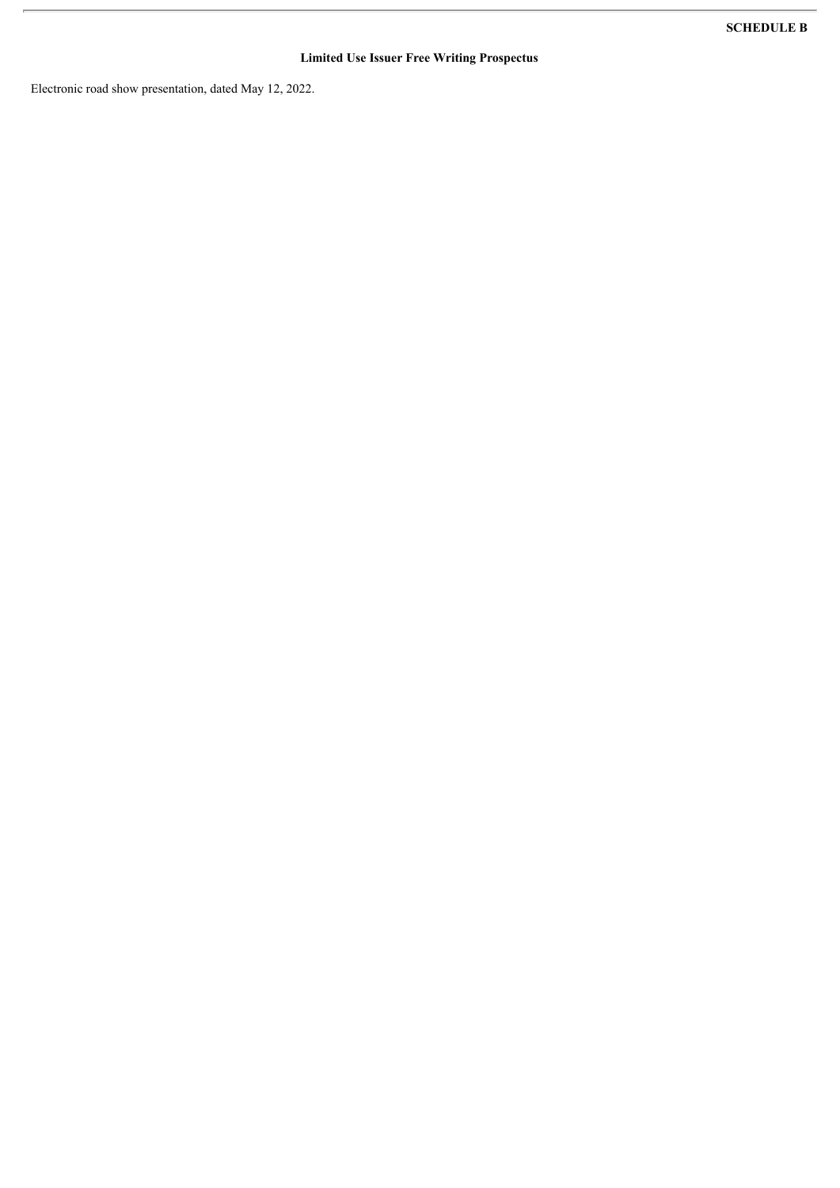## **Limited Use Issuer Free Writing Prospectus**

Electronic road show presentation, dated May 12, 2022.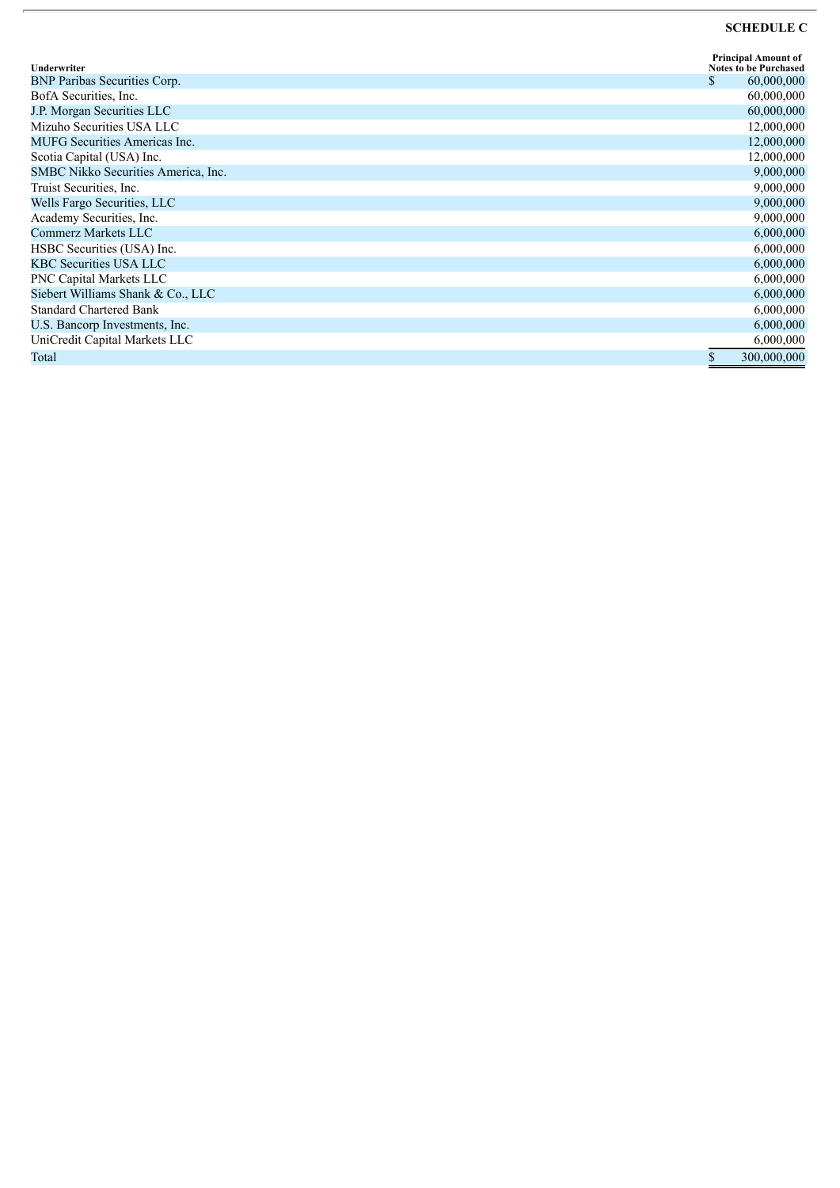### **SCHEDULE C**

| Underwriter                          | <b>Principal Amount of</b><br><b>Notes to be Purchased</b> |
|--------------------------------------|------------------------------------------------------------|
| <b>BNP Paribas Securities Corp.</b>  | \$<br>60,000,000                                           |
| BofA Securities, Inc.                | 60,000,000                                                 |
| J.P. Morgan Securities LLC           | 60,000,000                                                 |
| Mizuho Securities USA LLC            | 12,000,000                                                 |
| <b>MUFG</b> Securities Americas Inc. | 12,000,000                                                 |
| Scotia Capital (USA) Inc.            | 12,000,000                                                 |
| SMBC Nikko Securities America, Inc.  | 9,000,000                                                  |
| Truist Securities, Inc.              | 9,000,000                                                  |
| Wells Fargo Securities, LLC          | 9,000,000                                                  |
| Academy Securities, Inc.             | 9,000,000                                                  |
| Commerz Markets LLC                  | 6,000,000                                                  |
| HSBC Securities (USA) Inc.           | 6,000,000                                                  |
| <b>KBC Securities USA LLC</b>        | 6,000,000                                                  |
| PNC Capital Markets LLC              | 6,000,000                                                  |
| Siebert Williams Shank & Co., LLC    | 6,000,000                                                  |
| <b>Standard Chartered Bank</b>       | 6,000,000                                                  |
| U.S. Bancorp Investments, Inc.       | 6,000,000                                                  |
| UniCredit Capital Markets LLC        | 6,000,000                                                  |
| Total                                | \$<br>300,000,000                                          |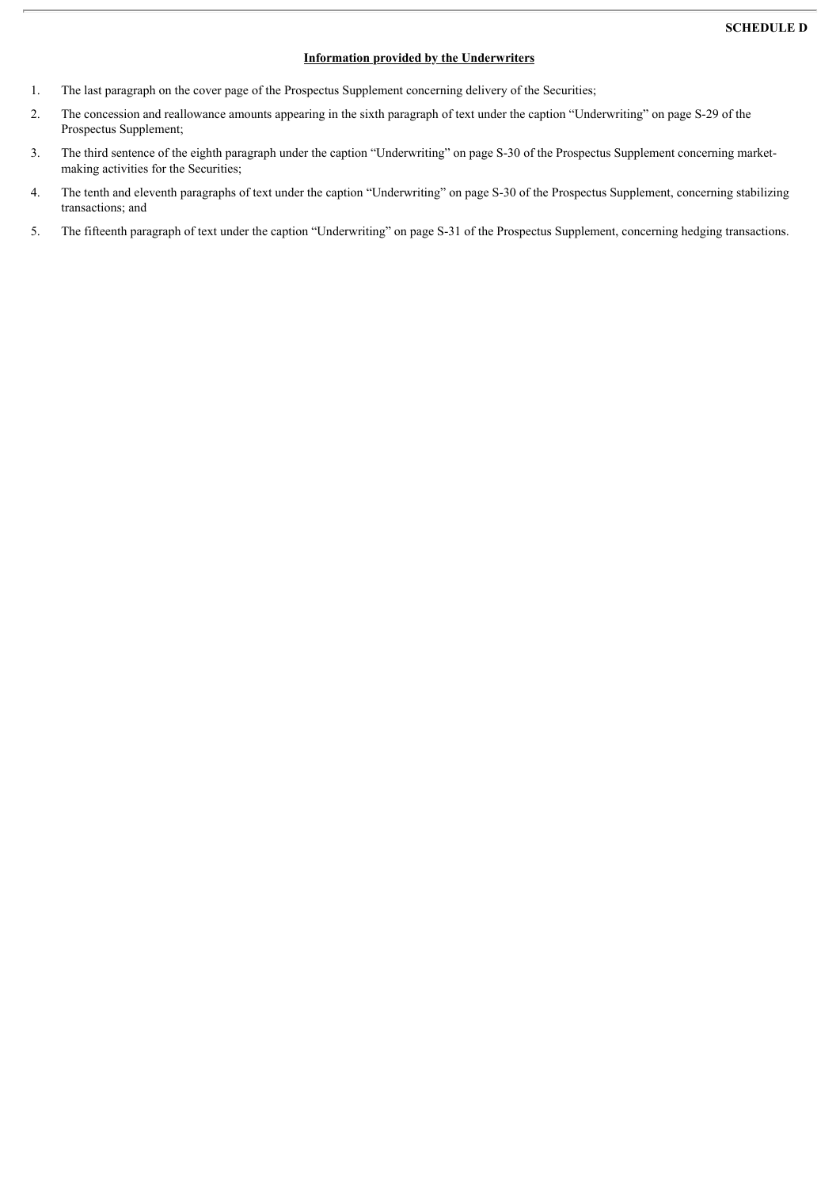### **Information provided by the Underwriters**

- 1. The last paragraph on the cover page of the Prospectus Supplement concerning delivery of the Securities;
- 2. The concession and reallowance amounts appearing in the sixth paragraph of text under the caption "Underwriting" on page S-29 of the Prospectus Supplement;
- 3. The third sentence of the eighth paragraph under the caption "Underwriting" on page S-30 of the Prospectus Supplement concerning marketmaking activities for the Securities;
- 4. The tenth and eleventh paragraphs of text under the caption "Underwriting" on page S-30 of the Prospectus Supplement, concerning stabilizing transactions; and
- 5. The fifteenth paragraph of text under the caption "Underwriting" on page S-31 of the Prospectus Supplement, concerning hedging transactions.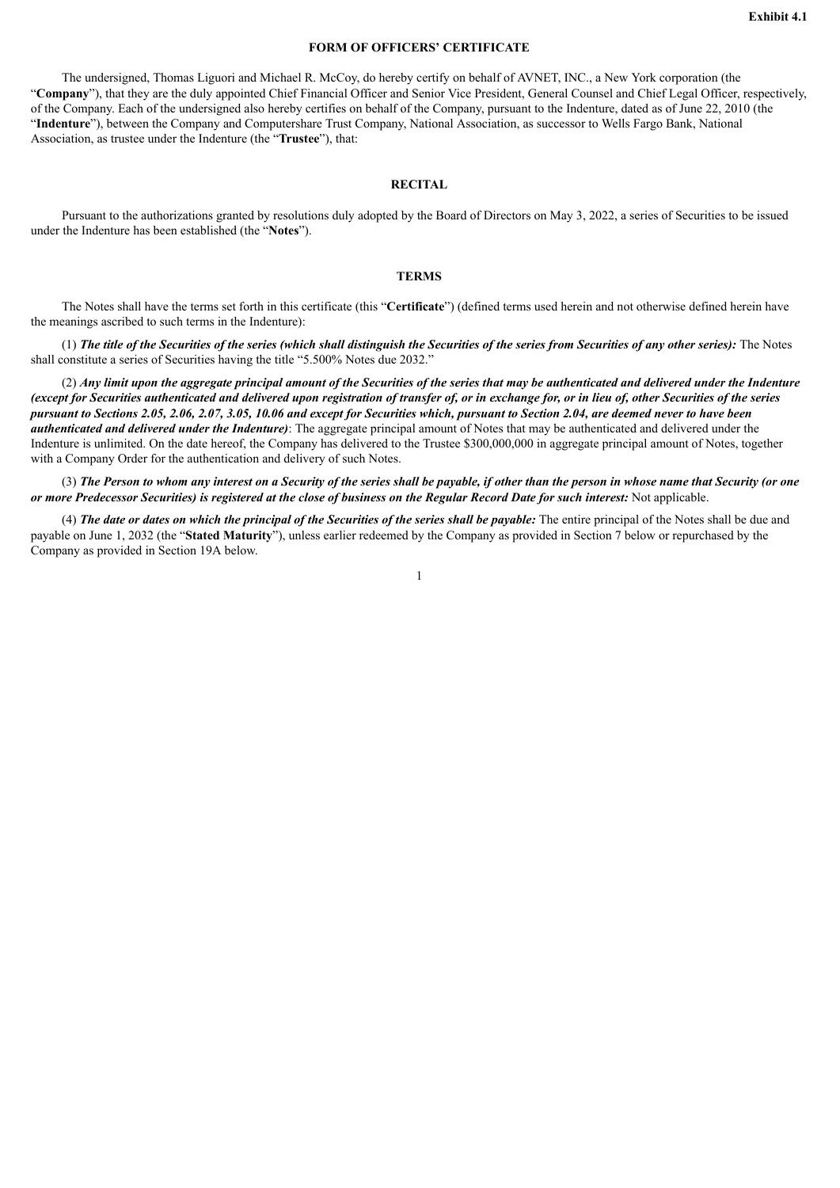### **FORM OF OFFICERS' CERTIFICATE**

<span id="page-37-0"></span>The undersigned, Thomas Liguori and Michael R. McCoy, do hereby certify on behalf of AVNET, INC., a New York corporation (the "**Company**"), that they are the duly appointed Chief Financial Officer and Senior Vice President, General Counsel and Chief Legal Officer, respectively, of the Company. Each of the undersigned also hereby certifies on behalf of the Company, pursuant to the Indenture, dated as of June 22, 2010 (the "**Indenture**"), between the Company and Computershare Trust Company, National Association, as successor to Wells Fargo Bank, National Association, as trustee under the Indenture (the "**Trustee**"), that:

#### **RECITAL**

Pursuant to the authorizations granted by resolutions duly adopted by the Board of Directors on May 3, 2022, a series of Securities to be issued under the Indenture has been established (the "**Notes**").

#### **TERMS**

The Notes shall have the terms set forth in this certificate (this "**Certificate**") (defined terms used herein and not otherwise defined herein have the meanings ascribed to such terms in the Indenture):

(1) The title of the Securities of the series (which shall distinguish the Securities of the series from Securities of any other series): The Notes shall constitute a series of Securities having the title "5.500% Notes due 2032."

(2) Any limit upon the aggregate principal amount of the Securities of the series that may be authenticated and delivered under the Indenture (except for Securities authenticated and delivered upon registration of transfer of, or in exchange for, or in lieu of, other Securities of the series pursuant to Sections 2.05, 2.06, 2.07, 3.05, 10.06 and except for Securities which, pursuant to Section 2.04, are deemed never to have been *authenticated and delivered under the Indenture)*: The aggregate principal amount of Notes that may be authenticated and delivered under the Indenture is unlimited. On the date hereof, the Company has delivered to the Trustee \$300,000,000 in aggregate principal amount of Notes, together with a Company Order for the authentication and delivery of such Notes.

(3) The Person to whom any interest on a Security of the series shall be payable, if other than the person in whose name that Security (or one or more Predecessor Securities) is registered at the close of business on the Regular Record Date for such interest: Not applicable.

(4) The date or dates on which the principal of the Securities of the series shall be payable: The entire principal of the Notes shall be due and payable on June 1, 2032 (the "**Stated Maturity**"), unless earlier redeemed by the Company as provided in Section 7 below or repurchased by the Company as provided in Section 19A below.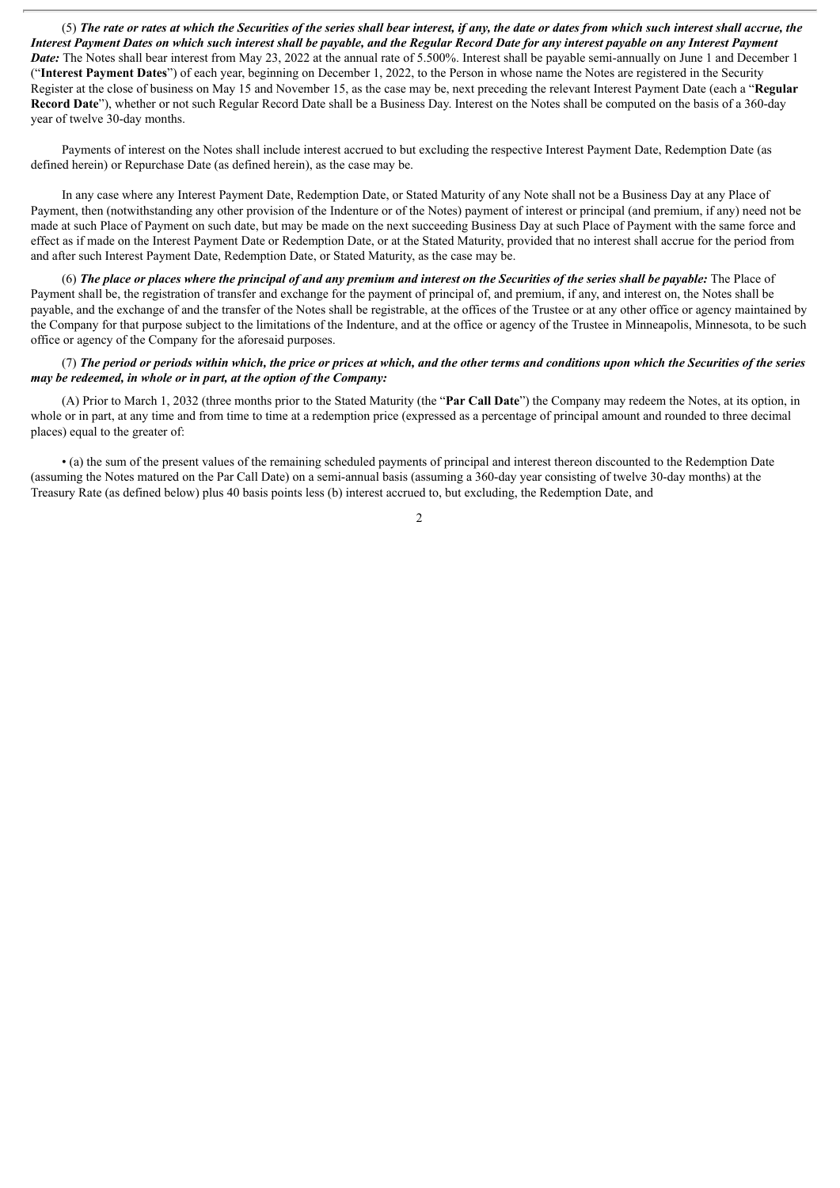(5) The rate or rates at which the Securities of the series shall bear interest, if any, the date or dates from which such interest shall accrue, the Interest Payment Dates on which such interest shall be payable, and the Regular Record Date for any interest payable on any Interest Payment *Date:* The Notes shall bear interest from May 23, 2022 at the annual rate of 5.500%. Interest shall be payable semi-annually on June 1 and December 1 ("**Interest Payment Dates**") of each year, beginning on December 1, 2022, to the Person in whose name the Notes are registered in the Security Register at the close of business on May 15 and November 15, as the case may be, next preceding the relevant Interest Payment Date (each a "**Regular Record Date**"), whether or not such Regular Record Date shall be a Business Day. Interest on the Notes shall be computed on the basis of a 360-day year of twelve 30-day months.

Payments of interest on the Notes shall include interest accrued to but excluding the respective Interest Payment Date, Redemption Date (as defined herein) or Repurchase Date (as defined herein), as the case may be.

In any case where any Interest Payment Date, Redemption Date, or Stated Maturity of any Note shall not be a Business Day at any Place of Payment, then (notwithstanding any other provision of the Indenture or of the Notes) payment of interest or principal (and premium, if any) need not be made at such Place of Payment on such date, but may be made on the next succeeding Business Day at such Place of Payment with the same force and effect as if made on the Interest Payment Date or Redemption Date, or at the Stated Maturity, provided that no interest shall accrue for the period from and after such Interest Payment Date, Redemption Date, or Stated Maturity, as the case may be.

(6) The place or places where the principal of and any premium and interest on the Securities of the series shall be payable: The Place of Payment shall be, the registration of transfer and exchange for the payment of principal of, and premium, if any, and interest on, the Notes shall be payable, and the exchange of and the transfer of the Notes shall be registrable, at the offices of the Trustee or at any other office or agency maintained by the Company for that purpose subject to the limitations of the Indenture, and at the office or agency of the Trustee in Minneapolis, Minnesota, to be such office or agency of the Company for the aforesaid purposes.

### (7) The period or periods within which, the price or prices at which, and the other terms and conditions upon which the Securities of the series *may be redeemed, in whole or in part, at the option of the Company:*

(A) Prior to March 1, 2032 (three months prior to the Stated Maturity (the "**Par Call Date**") the Company may redeem the Notes, at its option, in whole or in part, at any time and from time to time at a redemption price (expressed as a percentage of principal amount and rounded to three decimal places) equal to the greater of:

• (a) the sum of the present values of the remaining scheduled payments of principal and interest thereon discounted to the Redemption Date (assuming the Notes matured on the Par Call Date) on a semi-annual basis (assuming a 360-day year consisting of twelve 30-day months) at the Treasury Rate (as defined below) plus 40 basis points less (b) interest accrued to, but excluding, the Redemption Date, and

 $\overline{2}$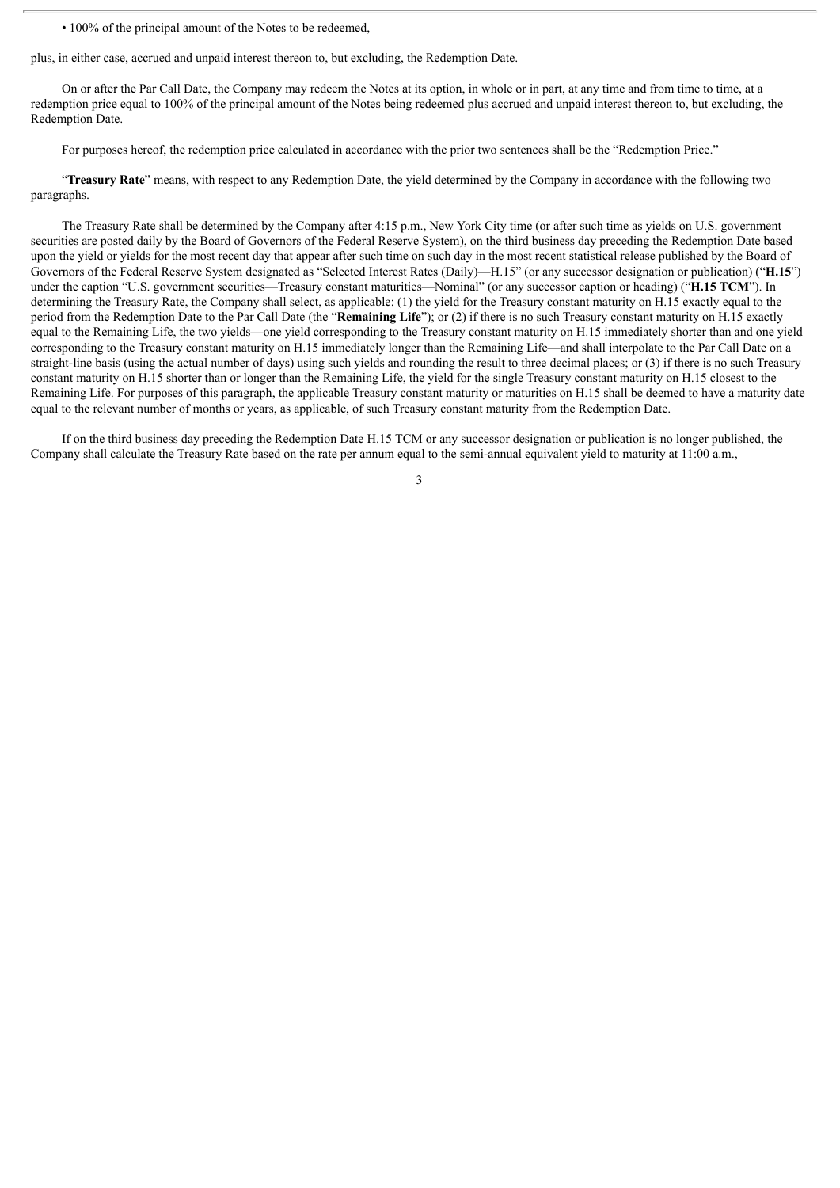• 100% of the principal amount of the Notes to be redeemed,

plus, in either case, accrued and unpaid interest thereon to, but excluding, the Redemption Date.

On or after the Par Call Date, the Company may redeem the Notes at its option, in whole or in part, at any time and from time to time, at a redemption price equal to 100% of the principal amount of the Notes being redeemed plus accrued and unpaid interest thereon to, but excluding, the Redemption Date.

For purposes hereof, the redemption price calculated in accordance with the prior two sentences shall be the "Redemption Price."

"**Treasury Rate**" means, with respect to any Redemption Date, the yield determined by the Company in accordance with the following two paragraphs.

The Treasury Rate shall be determined by the Company after 4:15 p.m., New York City time (or after such time as yields on U.S. government securities are posted daily by the Board of Governors of the Federal Reserve System), on the third business day preceding the Redemption Date based upon the yield or yields for the most recent day that appear after such time on such day in the most recent statistical release published by the Board of Governors of the Federal Reserve System designated as "Selected Interest Rates (Daily)—H.15" (or any successor designation or publication) ("**H.15**") under the caption "U.S. government securities—Treasury constant maturities—Nominal" (or any successor caption or heading) ("**H.15 TCM**"). In determining the Treasury Rate, the Company shall select, as applicable: (1) the yield for the Treasury constant maturity on H.15 exactly equal to the period from the Redemption Date to the Par Call Date (the "**Remaining Life**"); or (2) if there is no such Treasury constant maturity on H.15 exactly equal to the Remaining Life, the two yields—one yield corresponding to the Treasury constant maturity on H.15 immediately shorter than and one yield corresponding to the Treasury constant maturity on H.15 immediately longer than the Remaining Life—and shall interpolate to the Par Call Date on a straight-line basis (using the actual number of days) using such yields and rounding the result to three decimal places; or (3) if there is no such Treasury constant maturity on H.15 shorter than or longer than the Remaining Life, the yield for the single Treasury constant maturity on H.15 closest to the Remaining Life. For purposes of this paragraph, the applicable Treasury constant maturity or maturities on H.15 shall be deemed to have a maturity date equal to the relevant number of months or years, as applicable, of such Treasury constant maturity from the Redemption Date.

If on the third business day preceding the Redemption Date H.15 TCM or any successor designation or publication is no longer published, the Company shall calculate the Treasury Rate based on the rate per annum equal to the semi-annual equivalent yield to maturity at 11:00 a.m.,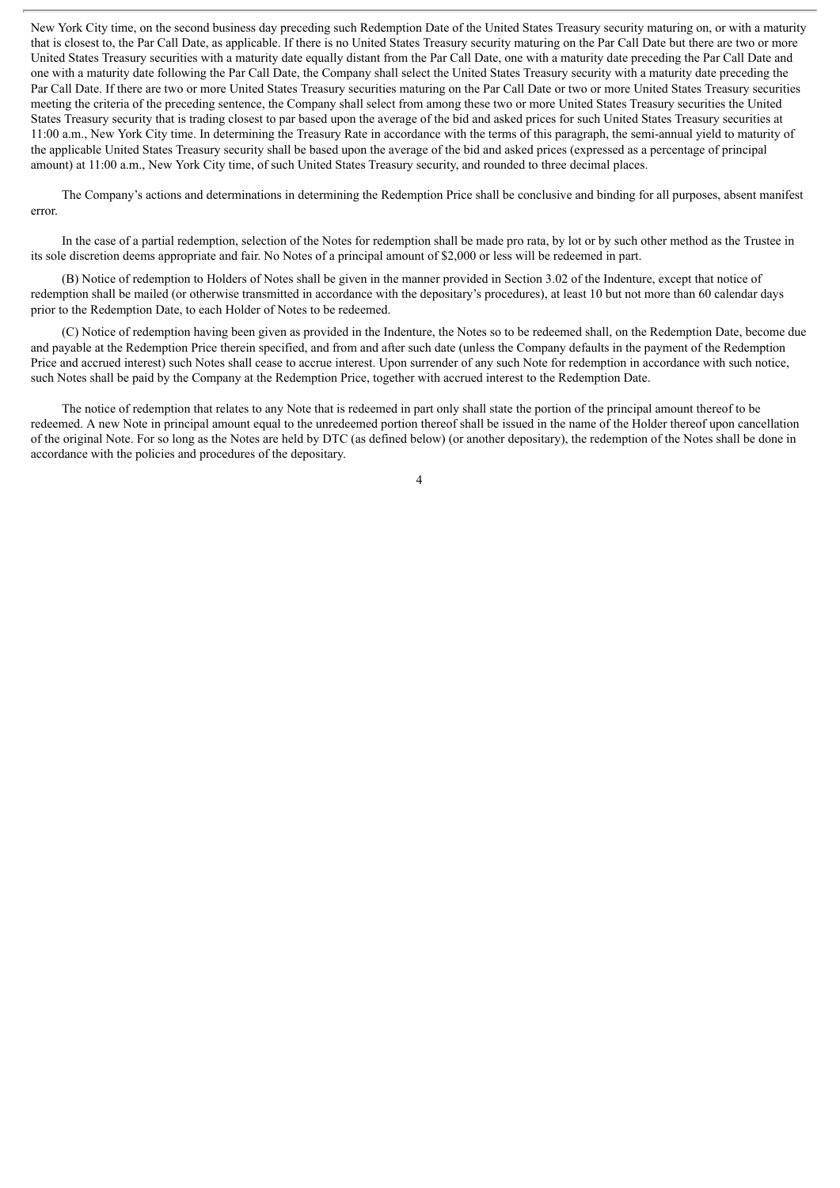New York City time, on the second business day preceding such Redemption Date of the United States Treasury security maturing on, or with a maturity that is closest to, the Par Call Date, as applicable. If there is no United States Treasury security maturing on the Par Call Date but there are two or more United States Treasury securities with a maturity date equally distant from the Par Call Date, one with a maturity date preceding the Par Call Date and one with a maturity date following the Par Call Date, the Company shall select the United States Treasury security with a maturity date preceding the Par Call Date. If there are two or more United States Treasury securities maturing on the Par Call Date or two or more United States Treasury securities meeting the criteria of the preceding sentence, the Company shall select from among these two or more United States Treasury securities the United States Treasury security that is trading closest to par based upon the average of the bid and asked prices for such United States Treasury securities at 11:00 a.m., New York City time. In determining the Treasury Rate in accordance with the terms of this paragraph, the semi-annual yield to maturity of the applicable United States Treasury security shall be based upon the average of the bid and asked prices (expressed as a percentage of principal amount) at 11:00 a.m., New York City time, of such United States Treasury security, and rounded to three decimal places.

The Company's actions and determinations in determining the Redemption Price shall be conclusive and binding for all purposes, absent manifest error.

In the case of a partial redemption, selection of the Notes for redemption shall be made pro rata, by lot or by such other method as the Trustee in its sole discretion deems appropriate and fair. No Notes of a principal amount of \$2,000 or less will be redeemed in part.

(B) Notice of redemption to Holders of Notes shall be given in the manner provided in Section 3.02 of the Indenture, except that notice of redemption shall be mailed (or otherwise transmitted in accordance with the depositary's procedures), at least 10 but not more than 60 calendar days prior to the Redemption Date, to each Holder of Notes to be redeemed.

(C) Notice of redemption having been given as provided in the Indenture, the Notes so to be redeemed shall, on the Redemption Date, become due and payable at the Redemption Price therein specified, and from and after such date (unless the Company defaults in the payment of the Redemption Price and accrued interest) such Notes shall cease to accrue interest. Upon surrender of any such Note for redemption in accordance with such notice, such Notes shall be paid by the Company at the Redemption Price, together with accrued interest to the Redemption Date.

The notice of redemption that relates to any Note that is redeemed in part only shall state the portion of the principal amount thereof to be redeemed. A new Note in principal amount equal to the unredeemed portion thereof shall be issued in the name of the Holder thereof upon cancellation of the original Note. For so long as the Notes are held by DTC (as defined below) (or another depositary), the redemption of the Notes shall be done in accordance with the policies and procedures of the depositary.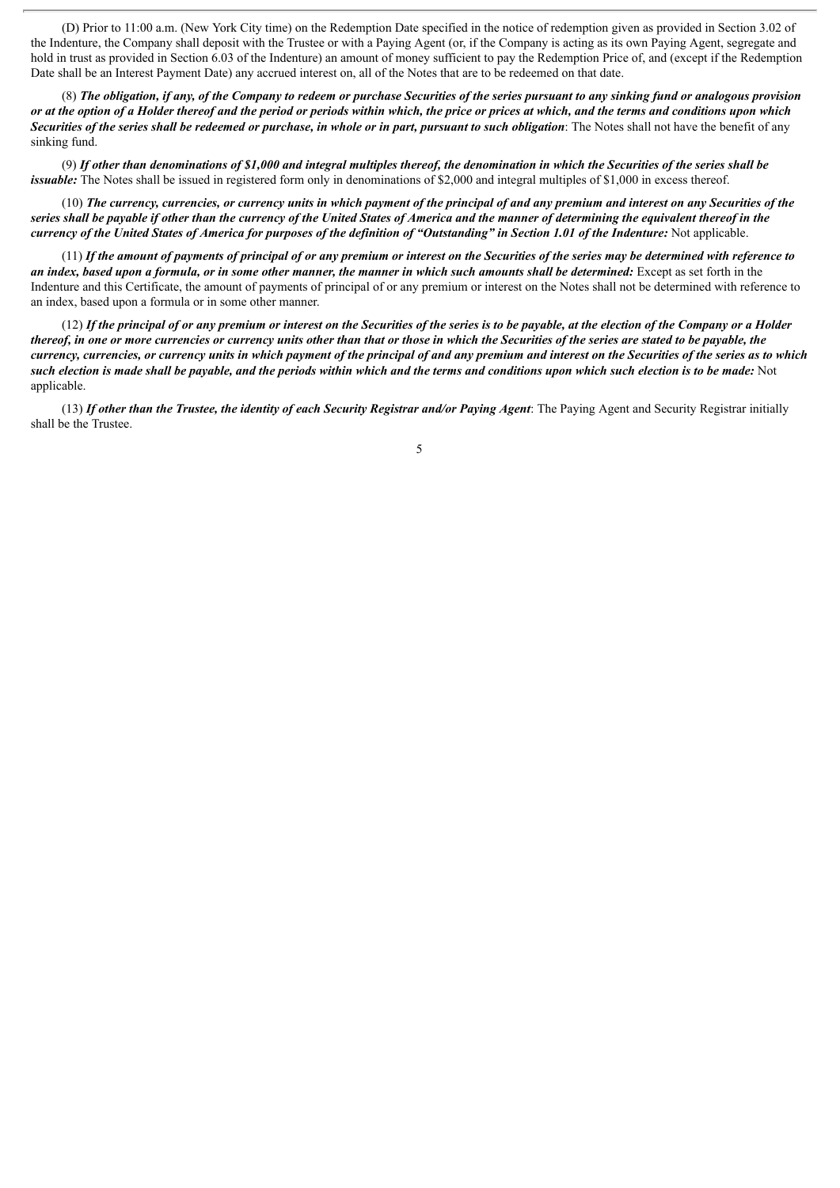(D) Prior to 11:00 a.m. (New York City time) on the Redemption Date specified in the notice of redemption given as provided in Section 3.02 of the Indenture, the Company shall deposit with the Trustee or with a Paying Agent (or, if the Company is acting as its own Paying Agent, segregate and hold in trust as provided in Section 6.03 of the Indenture) an amount of money sufficient to pay the Redemption Price of, and (except if the Redemption Date shall be an Interest Payment Date) any accrued interest on, all of the Notes that are to be redeemed on that date.

(8) The obligation, if any, of the Company to redeem or purchase Securities of the series pursuant to any sinking fund or analogous provision or at the option of a Holder thereof and the period or periods within which, the price or prices at which, and the terms and conditions upon which Securities of the series shall be redeemed or purchase, in whole or in part, pursuant to such obligation: The Notes shall not have the benefit of any sinking fund.

 $(9)$  If other than denominations of \$1,000 and integral multiples thereof, the denomination in which the Securities of the series shall be *issuable:* The Notes shall be issued in registered form only in denominations of \$2,000 and integral multiples of \$1,000 in excess thereof.

(10) The currency, currencies, or currency units in which payment of the principal of and any premium and interest on any Securities of the series shall be payable if other than the currency of the United States of America and the manner of determining the equivalent thereof in the currency of the United States of America for purposes of the definition of "Outstanding" in Section 1.01 of the Indenture: Not applicable.

 $(11)$  If the amount of payments of principal of or any premium or interest on the Securities of the series may be determined with reference to an index, based upon a formula, or in some other manner, the manner in which such amounts shall be determined: Except as set forth in the Indenture and this Certificate, the amount of payments of principal of or any premium or interest on the Notes shall not be determined with reference to an index, based upon a formula or in some other manner.

 $(12)$  If the principal of or any premium or interest on the Securities of the series is to be payable, at the election of the Company or a Holder thereof, in one or more currencies or currency units other than that or those in which the Securities of the series are stated to be payable, the currency, currencies, or currency units in which payment of the principal of and any premium and interest on the Securities of the series as to which such election is made shall be payable, and the periods within which and the terms and conditions upon which such election is to be made: Not applicable.

(13) If other than the Trustee, the identity of each Security Registrar and/or Paying Agent: The Paying Agent and Security Registrar initially shall be the Trustee.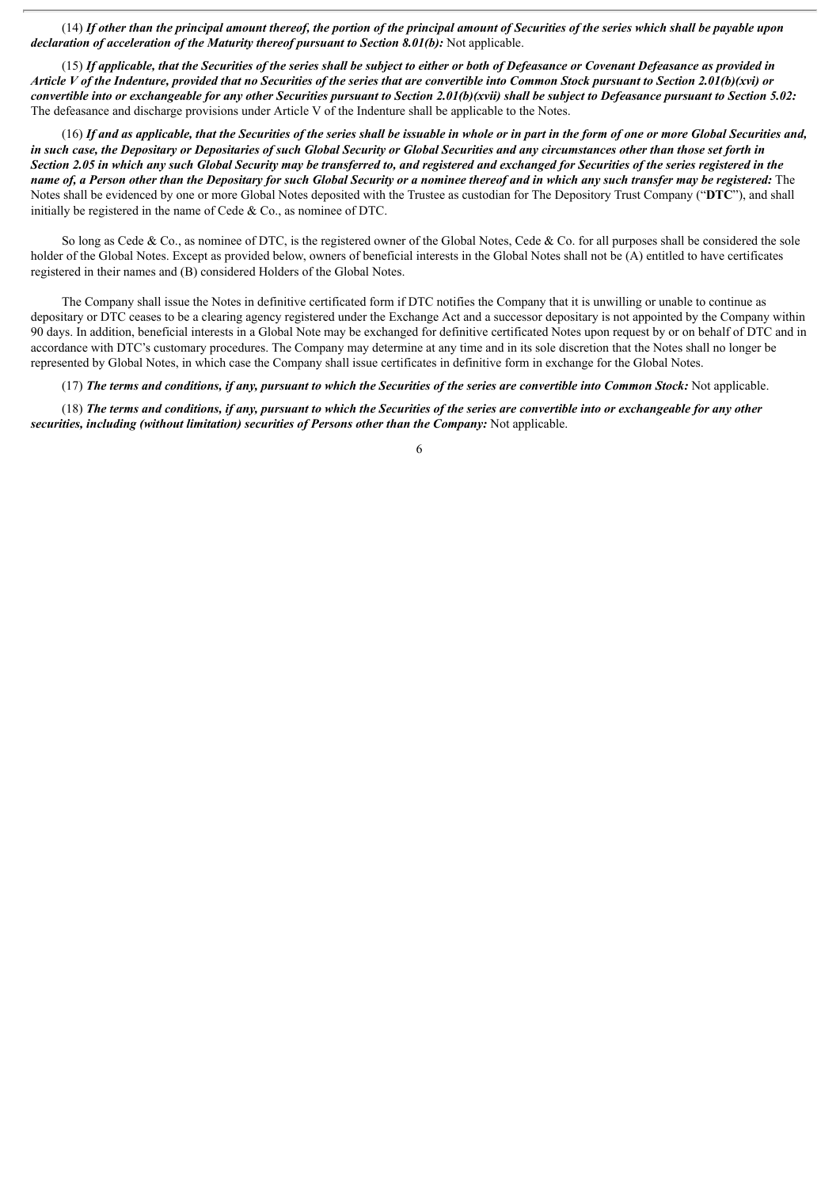$(14)$  If other than the principal amount thereof, the portion of the principal amount of Securities of the series which shall be payable upon *declaration of acceleration of the Maturity thereof pursuant to Section 8.01(b):* Not applicable.

(15) If applicable, that the Securities of the series shall be subject to either or both of Defeasance or Covenant Defeasance as provided in Article V of the Indenture, provided that no Securities of the series that are convertible into Common Stock pursuant to Section 2.01(b)(xvi) or convertible into or exchangeable for any other Securities pursuant to Section 2.01(b)(xvii) shall be subject to Defeasance pursuant to Section 5.02: The defeasance and discharge provisions under Article V of the Indenture shall be applicable to the Notes.

(16) If and as applicable, that the Securities of the series shall be issuable in whole or in part in the form of one or more Global Securities and, in such case, the Depositary or Depositaries of such Global Security or Global Securities and any circumstances other than those set forth in Section 2.05 in which any such Global Security may be transferred to, and registered and exchanged for Securities of the series registered in the name of, a Person other than the Depositary for such Global Security or a nominee thereof and in which any such transfer may be registered: The Notes shall be evidenced by one or more Global Notes deposited with the Trustee as custodian for The Depository Trust Company ("**DTC**"), and shall initially be registered in the name of Cede  $& Co.,$  as nominee of DTC.

So long as Cede & Co., as nominee of DTC, is the registered owner of the Global Notes, Cede & Co. for all purposes shall be considered the sole holder of the Global Notes. Except as provided below, owners of beneficial interests in the Global Notes shall not be (A) entitled to have certificates registered in their names and (B) considered Holders of the Global Notes.

The Company shall issue the Notes in definitive certificated form if DTC notifies the Company that it is unwilling or unable to continue as depositary or DTC ceases to be a clearing agency registered under the Exchange Act and a successor depositary is not appointed by the Company within 90 days. In addition, beneficial interests in a Global Note may be exchanged for definitive certificated Notes upon request by or on behalf of DTC and in accordance with DTC's customary procedures. The Company may determine at any time and in its sole discretion that the Notes shall no longer be represented by Global Notes, in which case the Company shall issue certificates in definitive form in exchange for the Global Notes.

(17) The terms and conditions, if any, pursuant to which the Securities of the series are convertible into Common Stock: Not applicable.

(18) The terms and conditions, if any, pursuant to which the Securities of the series are convertible into or exchangeable for any other *securities, including (without limitation) securities of Persons other than the Company:* Not applicable.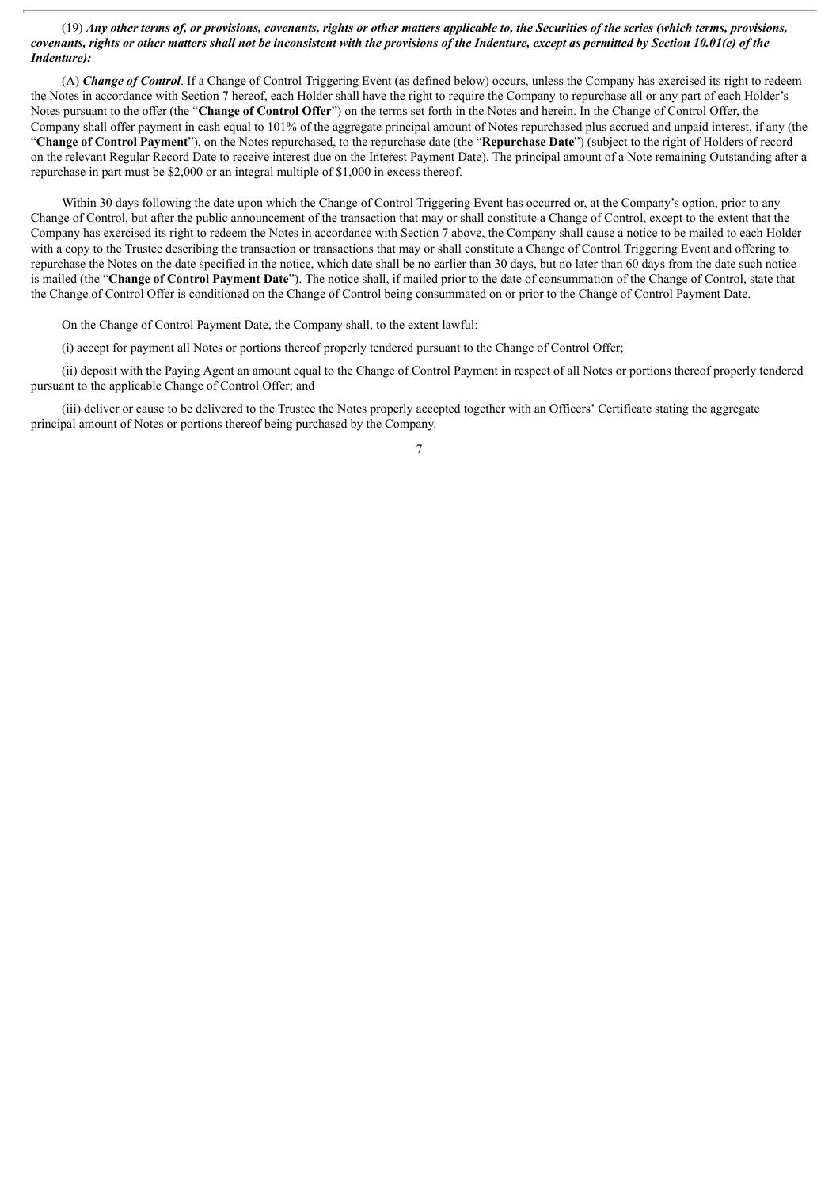$(19)$  Any other terms of, or provisions, covenants, rights or other matters applicable to, the Securities of the series (which terms, provisions, covenants, rights or other matters shall not be inconsistent with the provisions of the Indenture, except as permitted by Section 10.01(e) of the *Indenture):*

(A) *Change of Control*. If a Change of Control Triggering Event (as defined below) occurs, unless the Company has exercised its right to redeem the Notes in accordance with Section 7 hereof, each Holder shall have the right to require the Company to repurchase all or any part of each Holder's Notes pursuant to the offer (the "**Change of Control Offer**") on the terms set forth in the Notes and herein. In the Change of Control Offer, the Company shall offer payment in cash equal to 101% of the aggregate principal amount of Notes repurchased plus accrued and unpaid interest, if any (the "**Change of Control Payment**"), on the Notes repurchased, to the repurchase date (the "**Repurchase Date**") (subject to the right of Holders of record on the relevant Regular Record Date to receive interest due on the Interest Payment Date). The principal amount of a Note remaining Outstanding after a repurchase in part must be \$2,000 or an integral multiple of \$1,000 in excess thereof.

Within 30 days following the date upon which the Change of Control Triggering Event has occurred or, at the Company's option, prior to any Change of Control, but after the public announcement of the transaction that may or shall constitute a Change of Control, except to the extent that the Company has exercised its right to redeem the Notes in accordance with Section 7 above, the Company shall cause a notice to be mailed to each Holder with a copy to the Trustee describing the transaction or transactions that may or shall constitute a Change of Control Triggering Event and offering to repurchase the Notes on the date specified in the notice, which date shall be no earlier than 30 days, but no later than 60 days from the date such notice is mailed (the "**Change of Control Payment Date**"). The notice shall, if mailed prior to the date of consummation of the Change of Control, state that the Change of Control Offer is conditioned on the Change of Control being consummated on or prior to the Change of Control Payment Date.

On the Change of Control Payment Date, the Company shall, to the extent lawful:

(i) accept for payment all Notes or portions thereof properly tendered pursuant to the Change of Control Offer;

(ii) deposit with the Paying Agent an amount equal to the Change of Control Payment in respect of all Notes or portions thereof properly tendered pursuant to the applicable Change of Control Offer; and

(iii) deliver or cause to be delivered to the Trustee the Notes properly accepted together with an Officers' Certificate stating the aggregate principal amount of Notes or portions thereof being purchased by the Company.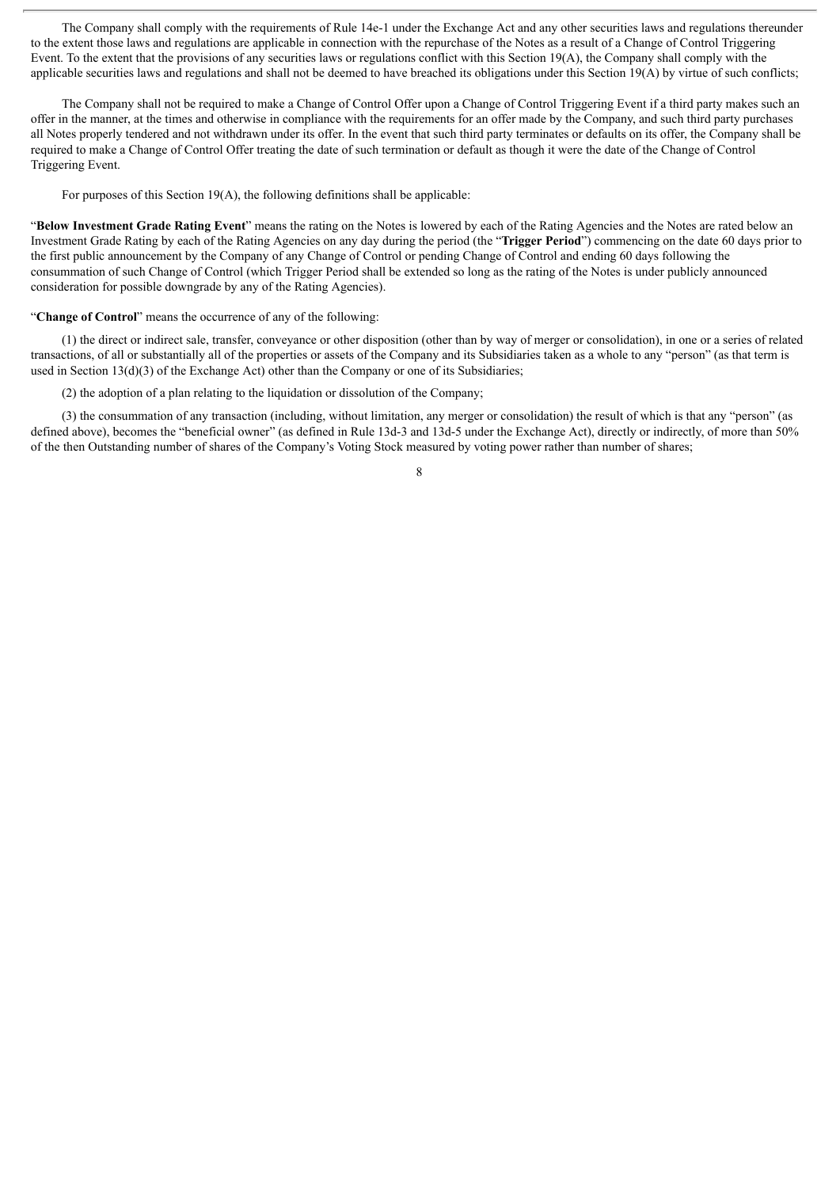The Company shall comply with the requirements of Rule 14e-1 under the Exchange Act and any other securities laws and regulations thereunder to the extent those laws and regulations are applicable in connection with the repurchase of the Notes as a result of a Change of Control Triggering Event. To the extent that the provisions of any securities laws or regulations conflict with this Section 19(A), the Company shall comply with the applicable securities laws and regulations and shall not be deemed to have breached its obligations under this Section 19(A) by virtue of such conflicts;

The Company shall not be required to make a Change of Control Offer upon a Change of Control Triggering Event if a third party makes such an offer in the manner, at the times and otherwise in compliance with the requirements for an offer made by the Company, and such third party purchases all Notes properly tendered and not withdrawn under its offer. In the event that such third party terminates or defaults on its offer, the Company shall be required to make a Change of Control Offer treating the date of such termination or default as though it were the date of the Change of Control Triggering Event.

For purposes of this Section 19(A), the following definitions shall be applicable:

"**Below Investment Grade Rating Event**" means the rating on the Notes is lowered by each of the Rating Agencies and the Notes are rated below an Investment Grade Rating by each of the Rating Agencies on any day during the period (the "**Trigger Period**") commencing on the date 60 days prior to the first public announcement by the Company of any Change of Control or pending Change of Control and ending 60 days following the consummation of such Change of Control (which Trigger Period shall be extended so long as the rating of the Notes is under publicly announced consideration for possible downgrade by any of the Rating Agencies).

"**Change of Control**" means the occurrence of any of the following:

(1) the direct or indirect sale, transfer, conveyance or other disposition (other than by way of merger or consolidation), in one or a series of related transactions, of all or substantially all of the properties or assets of the Company and its Subsidiaries taken as a whole to any "person" (as that term is used in Section 13(d)(3) of the Exchange Act) other than the Company or one of its Subsidiaries;

(2) the adoption of a plan relating to the liquidation or dissolution of the Company;

(3) the consummation of any transaction (including, without limitation, any merger or consolidation) the result of which is that any "person" (as defined above), becomes the "beneficial owner" (as defined in Rule 13d-3 and 13d-5 under the Exchange Act), directly or indirectly, of more than 50% of the then Outstanding number of shares of the Company's Voting Stock measured by voting power rather than number of shares;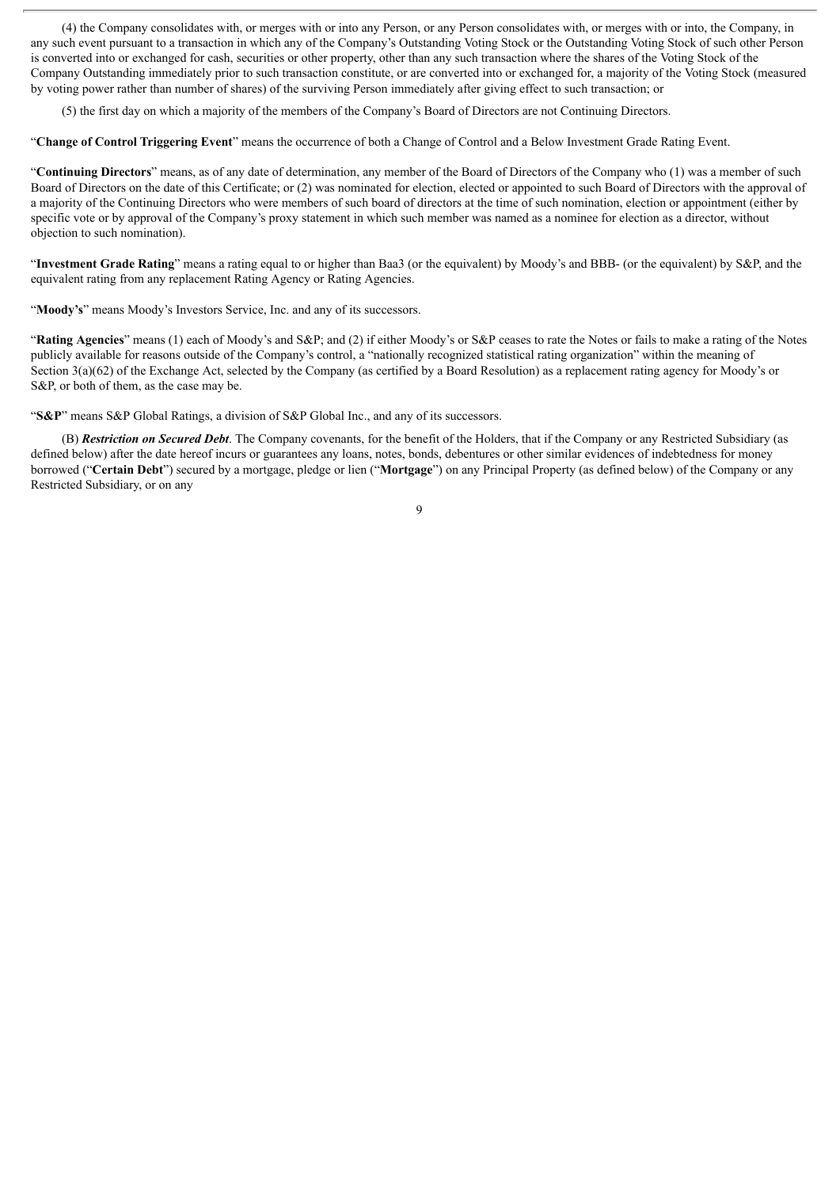(4) the Company consolidates with, or merges with or into any Person, or any Person consolidates with, or merges with or into, the Company, in any such event pursuant to a transaction in which any of the Company's Outstanding Voting Stock or the Outstanding Voting Stock of such other Person is converted into or exchanged for cash, securities or other property, other than any such transaction where the shares of the Voting Stock of the Company Outstanding immediately prior to such transaction constitute, or are converted into or exchanged for, a majority of the Voting Stock (measured by voting power rather than number of shares) of the surviving Person immediately after giving effect to such transaction; or

(5) the first day on which a majority of the members of the Company's Board of Directors are not Continuing Directors.

"**Change of Control Triggering Event**" means the occurrence of both a Change of Control and a Below Investment Grade Rating Event.

"**Continuing Directors**" means, as of any date of determination, any member of the Board of Directors of the Company who (1) was a member of such Board of Directors on the date of this Certificate; or (2) was nominated for election, elected or appointed to such Board of Directors with the approval of a majority of the Continuing Directors who were members of such board of directors at the time of such nomination, election or appointment (either by specific vote or by approval of the Company's proxy statement in which such member was named as a nominee for election as a director, without objection to such nomination).

"**Investment Grade Rating**" means a rating equal to or higher than Baa3 (or the equivalent) by Moody's and BBB- (or the equivalent) by S&P, and the equivalent rating from any replacement Rating Agency or Rating Agencies.

"**Moody's**" means Moody's Investors Service, Inc. and any of its successors.

"**Rating Agencies**" means (1) each of Moody's and S&P; and (2) if either Moody's or S&P ceases to rate the Notes or fails to make a rating of the Notes publicly available for reasons outside of the Company's control, a "nationally recognized statistical rating organization" within the meaning of Section 3(a)(62) of the Exchange Act, selected by the Company (as certified by a Board Resolution) as a replacement rating agency for Moody's or S&P, or both of them, as the case may be.

"**S&P**" means S&P Global Ratings, a division of S&P Global Inc., and any of its successors.

(B) *Restriction on Secured Debt*. The Company covenants, for the benefit of the Holders, that if the Company or any Restricted Subsidiary (as defined below) after the date hereof incurs or guarantees any loans, notes, bonds, debentures or other similar evidences of indebtedness for money borrowed ("**Certain Debt**") secured by a mortgage, pledge or lien ("**Mortgage**") on any Principal Property (as defined below) of the Company or any Restricted Subsidiary, or on any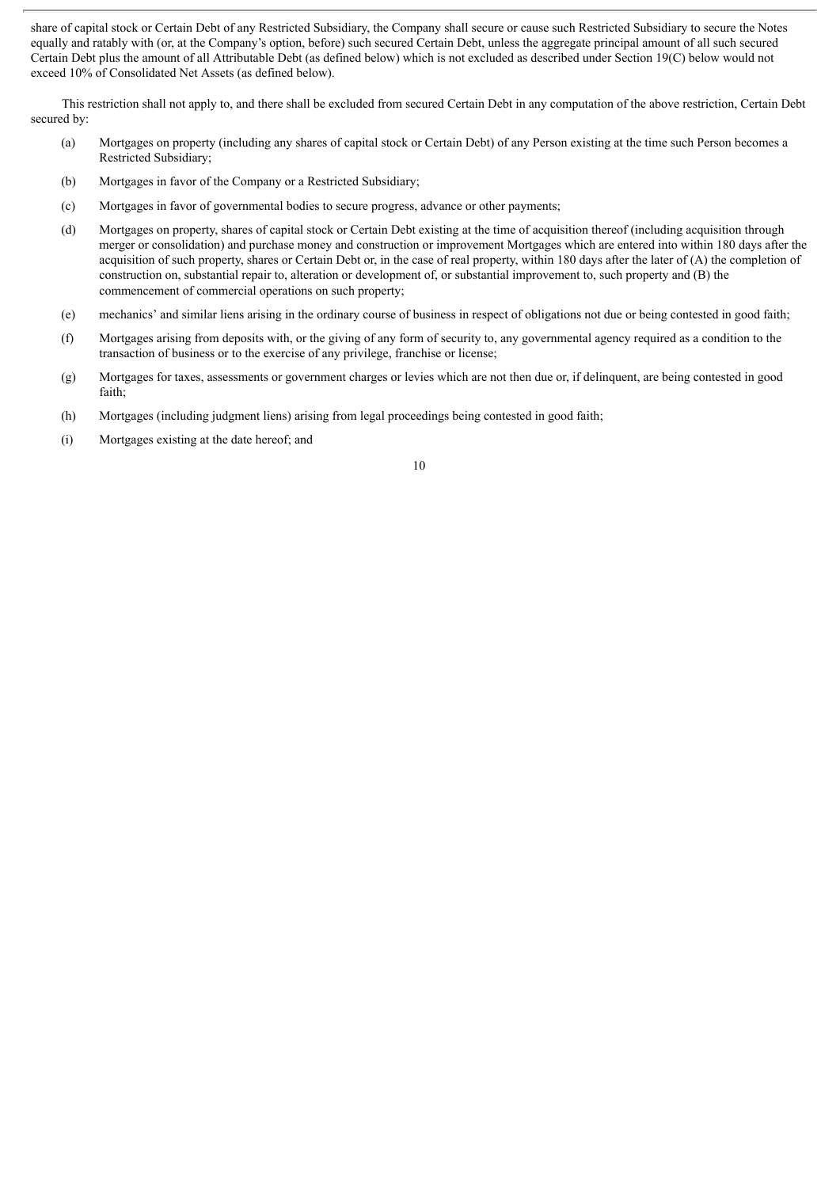share of capital stock or Certain Debt of any Restricted Subsidiary, the Company shall secure or cause such Restricted Subsidiary to secure the Notes equally and ratably with (or, at the Company's option, before) such secured Certain Debt, unless the aggregate principal amount of all such secured Certain Debt plus the amount of all Attributable Debt (as defined below) which is not excluded as described under Section 19(C) below would not exceed 10% of Consolidated Net Assets (as defined below).

This restriction shall not apply to, and there shall be excluded from secured Certain Debt in any computation of the above restriction, Certain Debt secured by:

- (a) Mortgages on property (including any shares of capital stock or Certain Debt) of any Person existing at the time such Person becomes a Restricted Subsidiary;
- (b) Mortgages in favor of the Company or a Restricted Subsidiary;
- (c) Mortgages in favor of governmental bodies to secure progress, advance or other payments;
- (d) Mortgages on property, shares of capital stock or Certain Debt existing at the time of acquisition thereof (including acquisition through merger or consolidation) and purchase money and construction or improvement Mortgages which are entered into within 180 days after the acquisition of such property, shares or Certain Debt or, in the case of real property, within 180 days after the later of (A) the completion of construction on, substantial repair to, alteration or development of, or substantial improvement to, such property and (B) the commencement of commercial operations on such property;
- (e) mechanics' and similar liens arising in the ordinary course of business in respect of obligations not due or being contested in good faith;
- (f) Mortgages arising from deposits with, or the giving of any form of security to, any governmental agency required as a condition to the transaction of business or to the exercise of any privilege, franchise or license;
- (g) Mortgages for taxes, assessments or government charges or levies which are not then due or, if delinquent, are being contested in good faith;
- (h) Mortgages (including judgment liens) arising from legal proceedings being contested in good faith;
- (i) Mortgages existing at the date hereof; and
- 10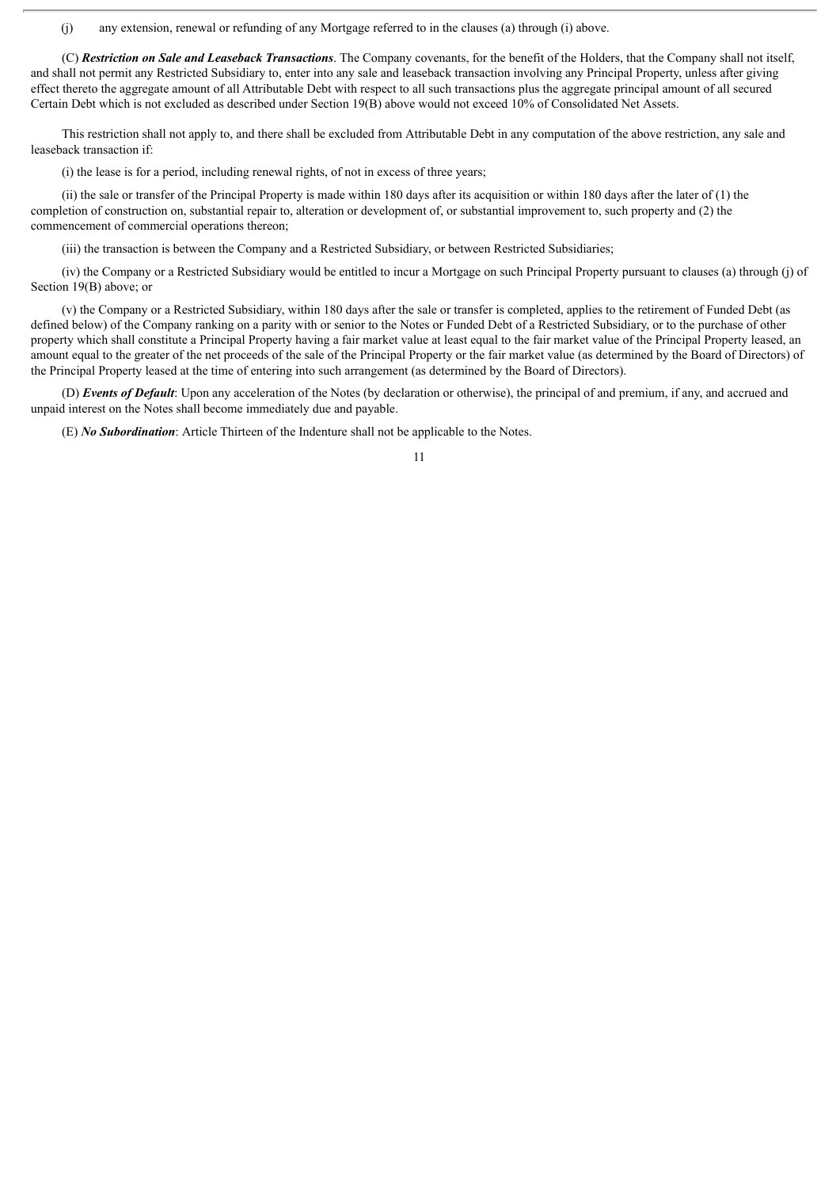(j) any extension, renewal or refunding of any Mortgage referred to in the clauses (a) through (i) above.

(C) *Restriction on Sale and Leaseback Transactions*. The Company covenants, for the benefit of the Holders, that the Company shall not itself, and shall not permit any Restricted Subsidiary to, enter into any sale and leaseback transaction involving any Principal Property, unless after giving effect thereto the aggregate amount of all Attributable Debt with respect to all such transactions plus the aggregate principal amount of all secured Certain Debt which is not excluded as described under Section 19(B) above would not exceed 10% of Consolidated Net Assets.

This restriction shall not apply to, and there shall be excluded from Attributable Debt in any computation of the above restriction, any sale and leaseback transaction if:

(i) the lease is for a period, including renewal rights, of not in excess of three years;

(ii) the sale or transfer of the Principal Property is made within 180 days after its acquisition or within 180 days after the later of (1) the completion of construction on, substantial repair to, alteration or development of, or substantial improvement to, such property and (2) the commencement of commercial operations thereon;

(iii) the transaction is between the Company and a Restricted Subsidiary, or between Restricted Subsidiaries;

(iv) the Company or a Restricted Subsidiary would be entitled to incur a Mortgage on such Principal Property pursuant to clauses (a) through (j) of Section 19(B) above; or

(v) the Company or a Restricted Subsidiary, within 180 days after the sale or transfer is completed, applies to the retirement of Funded Debt (as defined below) of the Company ranking on a parity with or senior to the Notes or Funded Debt of a Restricted Subsidiary, or to the purchase of other property which shall constitute a Principal Property having a fair market value at least equal to the fair market value of the Principal Property leased, an amount equal to the greater of the net proceeds of the sale of the Principal Property or the fair market value (as determined by the Board of Directors) of the Principal Property leased at the time of entering into such arrangement (as determined by the Board of Directors).

(D) *Events of Default*: Upon any acceleration of the Notes (by declaration or otherwise), the principal of and premium, if any, and accrued and unpaid interest on the Notes shall become immediately due and payable.

(E) *No Subordination*: Article Thirteen of the Indenture shall not be applicable to the Notes.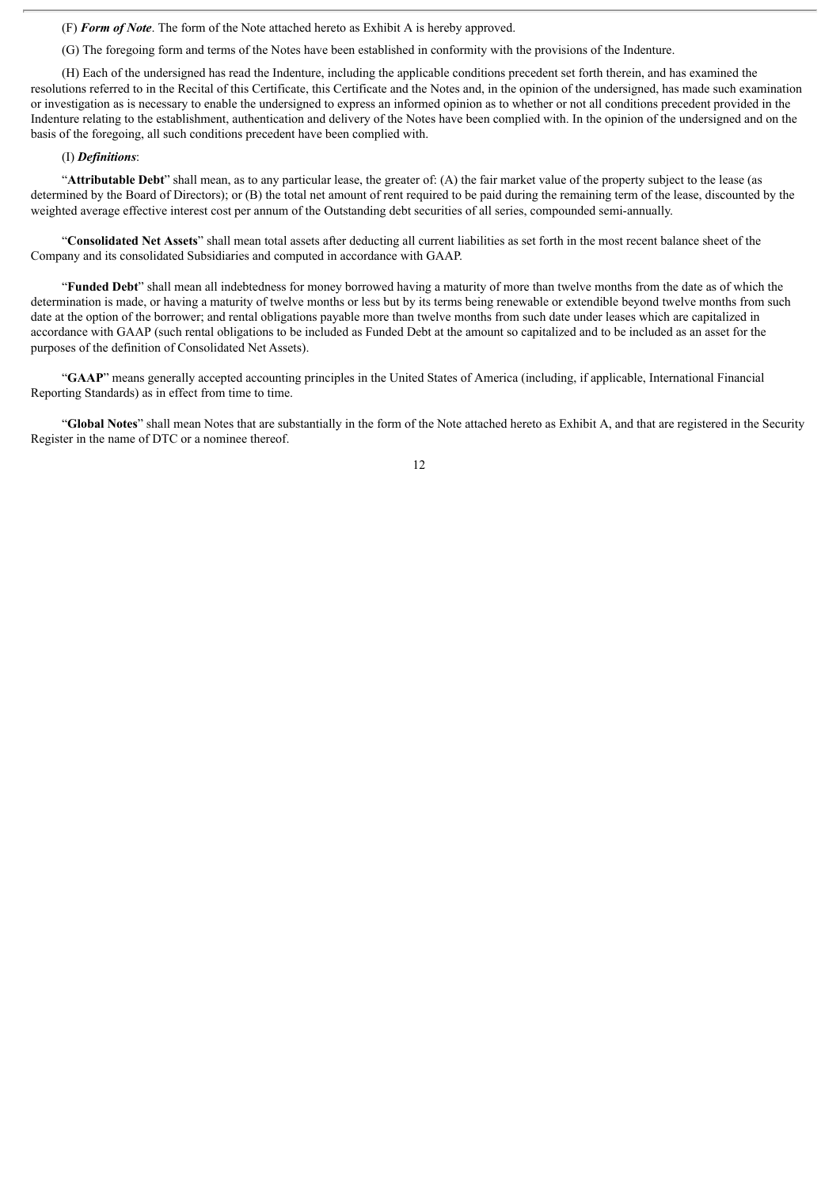(F) *Form of Note*. The form of the Note attached hereto as Exhibit A is hereby approved.

(G) The foregoing form and terms of the Notes have been established in conformity with the provisions of the Indenture.

(H) Each of the undersigned has read the Indenture, including the applicable conditions precedent set forth therein, and has examined the resolutions referred to in the Recital of this Certificate, this Certificate and the Notes and, in the opinion of the undersigned, has made such examination or investigation as is necessary to enable the undersigned to express an informed opinion as to whether or not all conditions precedent provided in the Indenture relating to the establishment, authentication and delivery of the Notes have been complied with. In the opinion of the undersigned and on the basis of the foregoing, all such conditions precedent have been complied with.

#### (I) *Definitions*:

"**Attributable Debt**" shall mean, as to any particular lease, the greater of: (A) the fair market value of the property subject to the lease (as determined by the Board of Directors); or (B) the total net amount of rent required to be paid during the remaining term of the lease, discounted by the weighted average effective interest cost per annum of the Outstanding debt securities of all series, compounded semi-annually.

"**Consolidated Net Assets**" shall mean total assets after deducting all current liabilities as set forth in the most recent balance sheet of the Company and its consolidated Subsidiaries and computed in accordance with GAAP.

"**Funded Debt**" shall mean all indebtedness for money borrowed having a maturity of more than twelve months from the date as of which the determination is made, or having a maturity of twelve months or less but by its terms being renewable or extendible beyond twelve months from such date at the option of the borrower; and rental obligations payable more than twelve months from such date under leases which are capitalized in accordance with GAAP (such rental obligations to be included as Funded Debt at the amount so capitalized and to be included as an asset for the purposes of the definition of Consolidated Net Assets).

"**GAAP**" means generally accepted accounting principles in the United States of America (including, if applicable, International Financial Reporting Standards) as in effect from time to time.

"**Global Notes**" shall mean Notes that are substantially in the form of the Note attached hereto as Exhibit A, and that are registered in the Security Register in the name of DTC or a nominee thereof.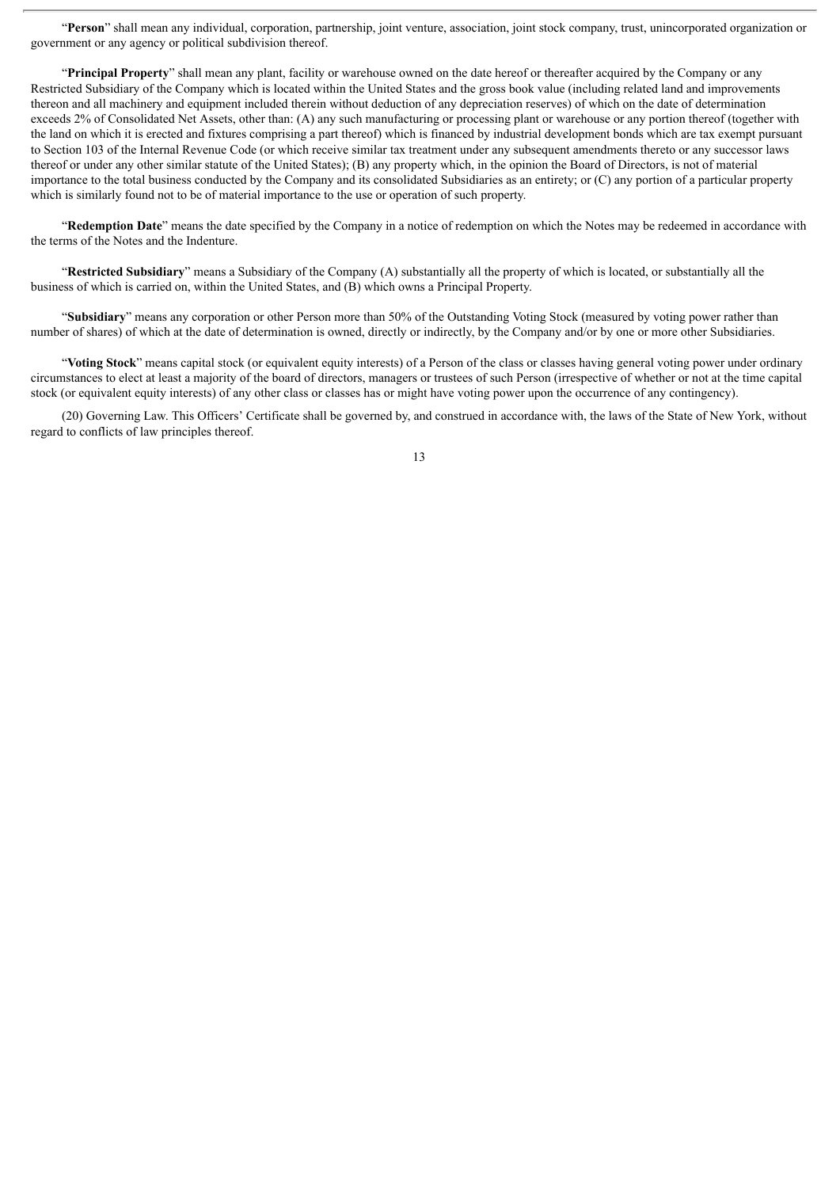"**Person**" shall mean any individual, corporation, partnership, joint venture, association, joint stock company, trust, unincorporated organization or government or any agency or political subdivision thereof.

"**Principal Property**" shall mean any plant, facility or warehouse owned on the date hereof or thereafter acquired by the Company or any Restricted Subsidiary of the Company which is located within the United States and the gross book value (including related land and improvements thereon and all machinery and equipment included therein without deduction of any depreciation reserves) of which on the date of determination exceeds 2% of Consolidated Net Assets, other than: (A) any such manufacturing or processing plant or warehouse or any portion thereof (together with the land on which it is erected and fixtures comprising a part thereof) which is financed by industrial development bonds which are tax exempt pursuant to Section 103 of the Internal Revenue Code (or which receive similar tax treatment under any subsequent amendments thereto or any successor laws thereof or under any other similar statute of the United States); (B) any property which, in the opinion the Board of Directors, is not of material importance to the total business conducted by the Company and its consolidated Subsidiaries as an entirety; or (C) any portion of a particular property which is similarly found not to be of material importance to the use or operation of such property.

"**Redemption Date**" means the date specified by the Company in a notice of redemption on which the Notes may be redeemed in accordance with the terms of the Notes and the Indenture.

"**Restricted Subsidiary**" means a Subsidiary of the Company (A) substantially all the property of which is located, or substantially all the business of which is carried on, within the United States, and (B) which owns a Principal Property.

"**Subsidiary**" means any corporation or other Person more than 50% of the Outstanding Voting Stock (measured by voting power rather than number of shares) of which at the date of determination is owned, directly or indirectly, by the Company and/or by one or more other Subsidiaries.

"**Voting Stock**" means capital stock (or equivalent equity interests) of a Person of the class or classes having general voting power under ordinary circumstances to elect at least a majority of the board of directors, managers or trustees of such Person (irrespective of whether or not at the time capital stock (or equivalent equity interests) of any other class or classes has or might have voting power upon the occurrence of any contingency).

(20) Governing Law. This Officers' Certificate shall be governed by, and construed in accordance with, the laws of the State of New York, without regard to conflicts of law principles thereof.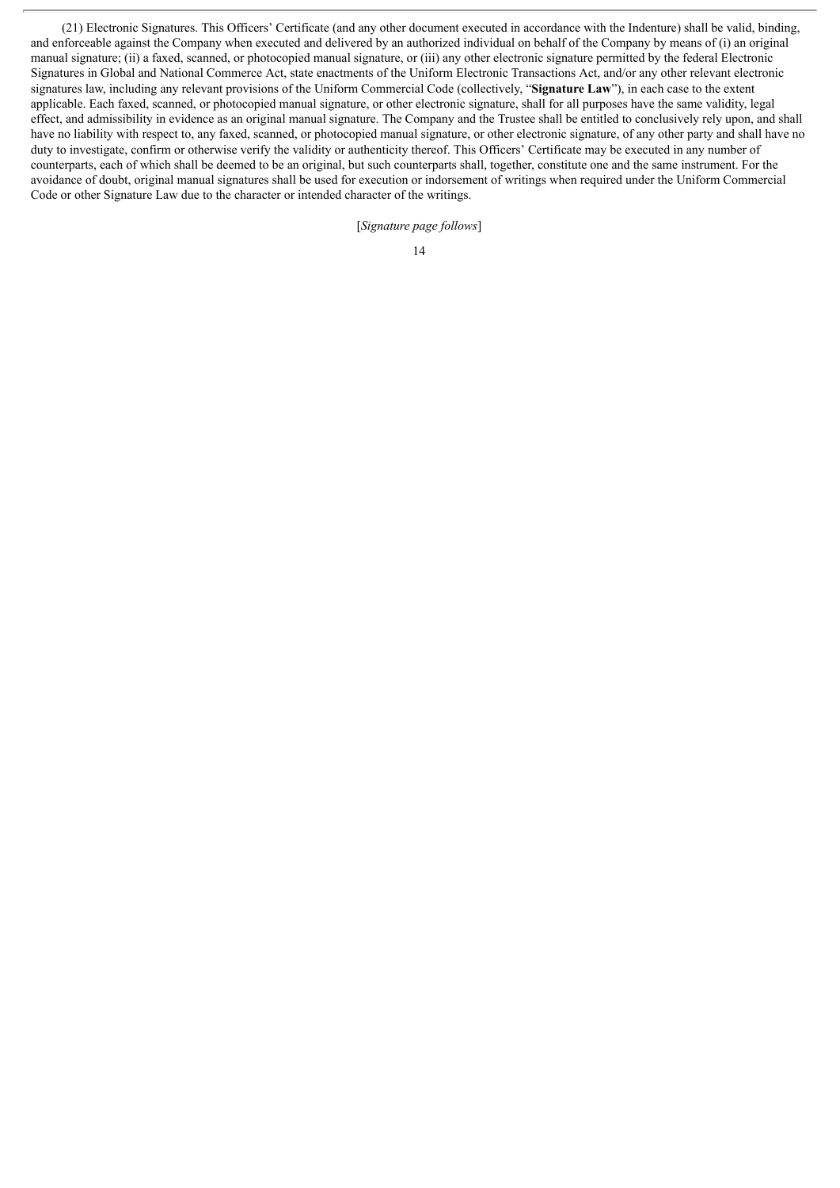(21) Electronic Signatures. This Officers' Certificate (and any other document executed in accordance with the Indenture) shall be valid, binding, and enforceable against the Company when executed and delivered by an authorized individual on behalf of the Company by means of (i) an original manual signature; (ii) a faxed, scanned, or photocopied manual signature, or (iii) any other electronic signature permitted by the federal Electronic Signatures in Global and National Commerce Act, state enactments of the Uniform Electronic Transactions Act, and/or any other relevant electronic signatures law, including any relevant provisions of the Uniform Commercial Code (collectively, "**Signature Law**"), in each case to the extent applicable. Each faxed, scanned, or photocopied manual signature, or other electronic signature, shall for all purposes have the same validity, legal effect, and admissibility in evidence as an original manual signature. The Company and the Trustee shall be entitled to conclusively rely upon, and shall have no liability with respect to, any faxed, scanned, or photocopied manual signature, or other electronic signature, of any other party and shall have no duty to investigate, confirm or otherwise verify the validity or authenticity thereof. This Officers' Certificate may be executed in any number of counterparts, each of which shall be deemed to be an original, but such counterparts shall, together, constitute one and the same instrument. For the avoidance of doubt, original manual signatures shall be used for execution or indorsement of writings when required under the Uniform Commercial Code or other Signature Law due to the character or intended character of the writings.

[*Signature page follows*]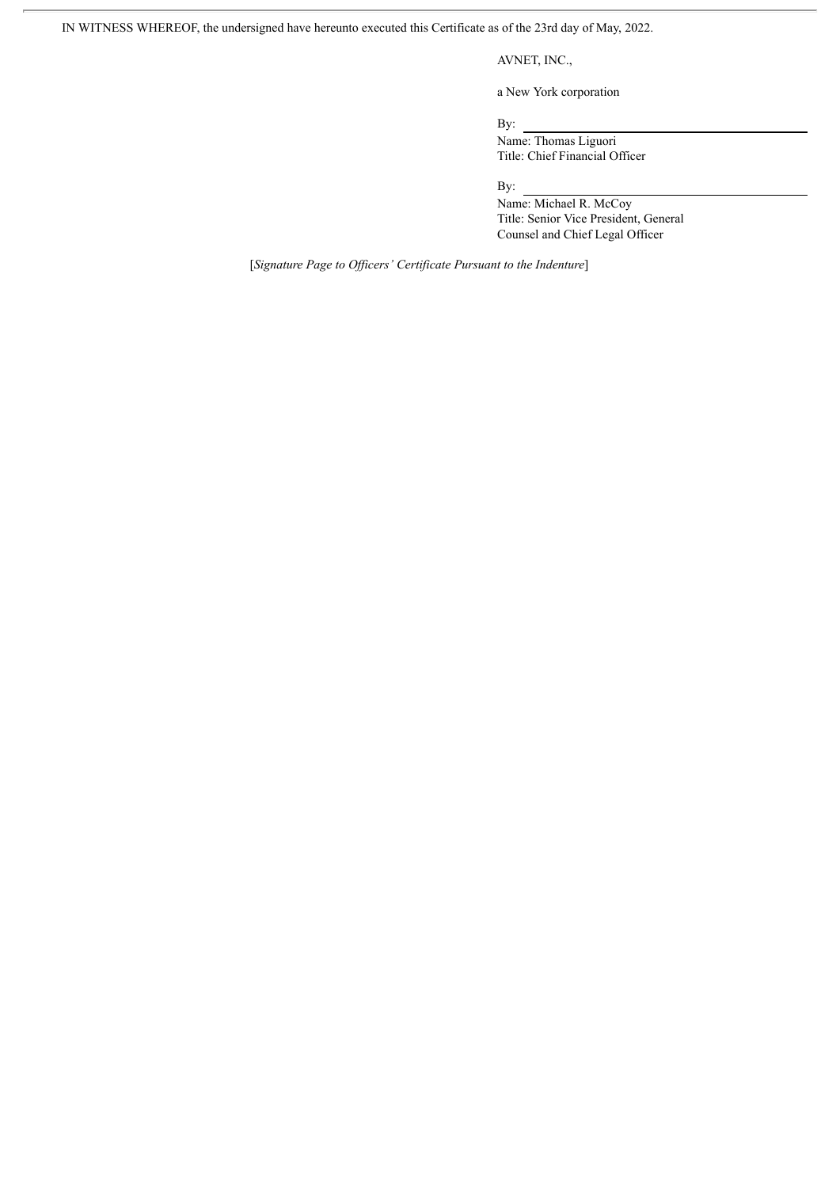IN WITNESS WHEREOF, the undersigned have hereunto executed this Certificate as of the 23rd day of May, 2022.

### AVNET, INC.,

a New York corporation

By:

Name: Thomas Liguori Title: Chief Financial Officer

By:

Name: Michael R. McCoy Title: Senior Vice President, General Counsel and Chief Legal Officer

[*Signature Page to Of icers' Certificate Pursuant to the Indenture*]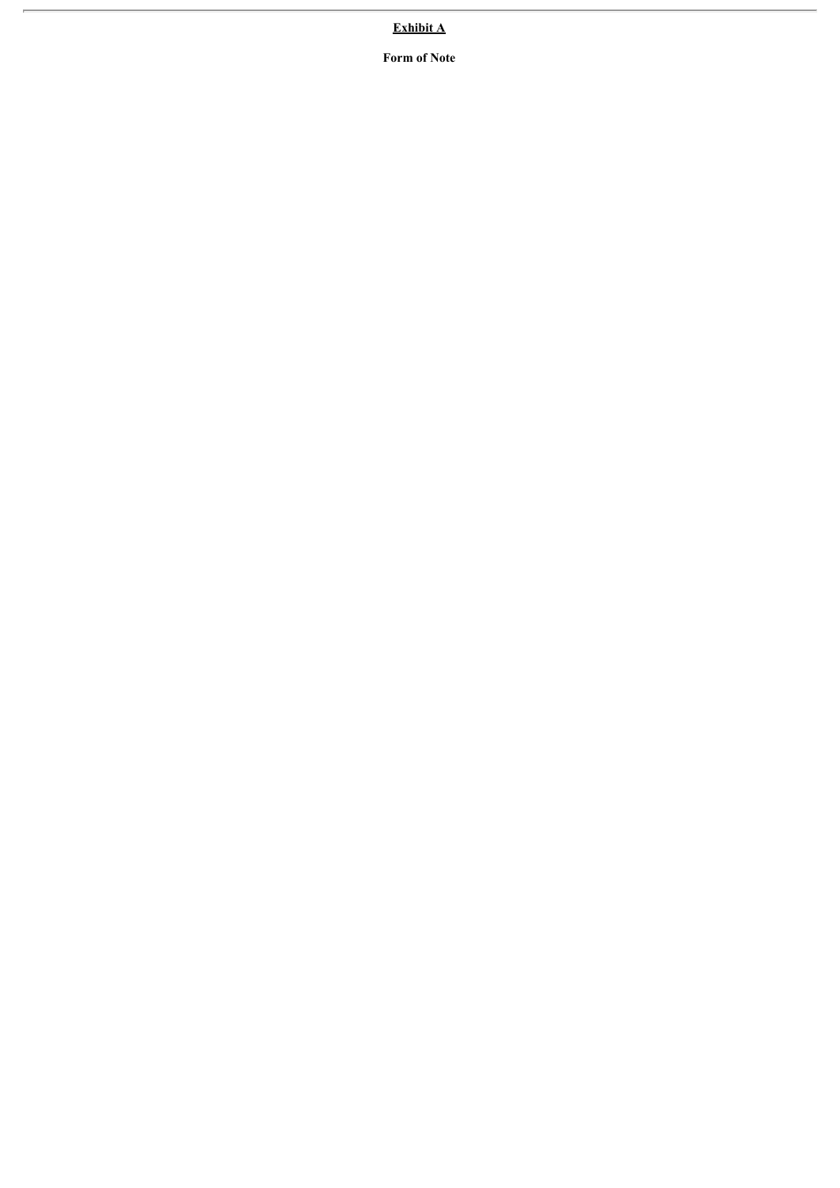**Exhibit A**

**Form of Note**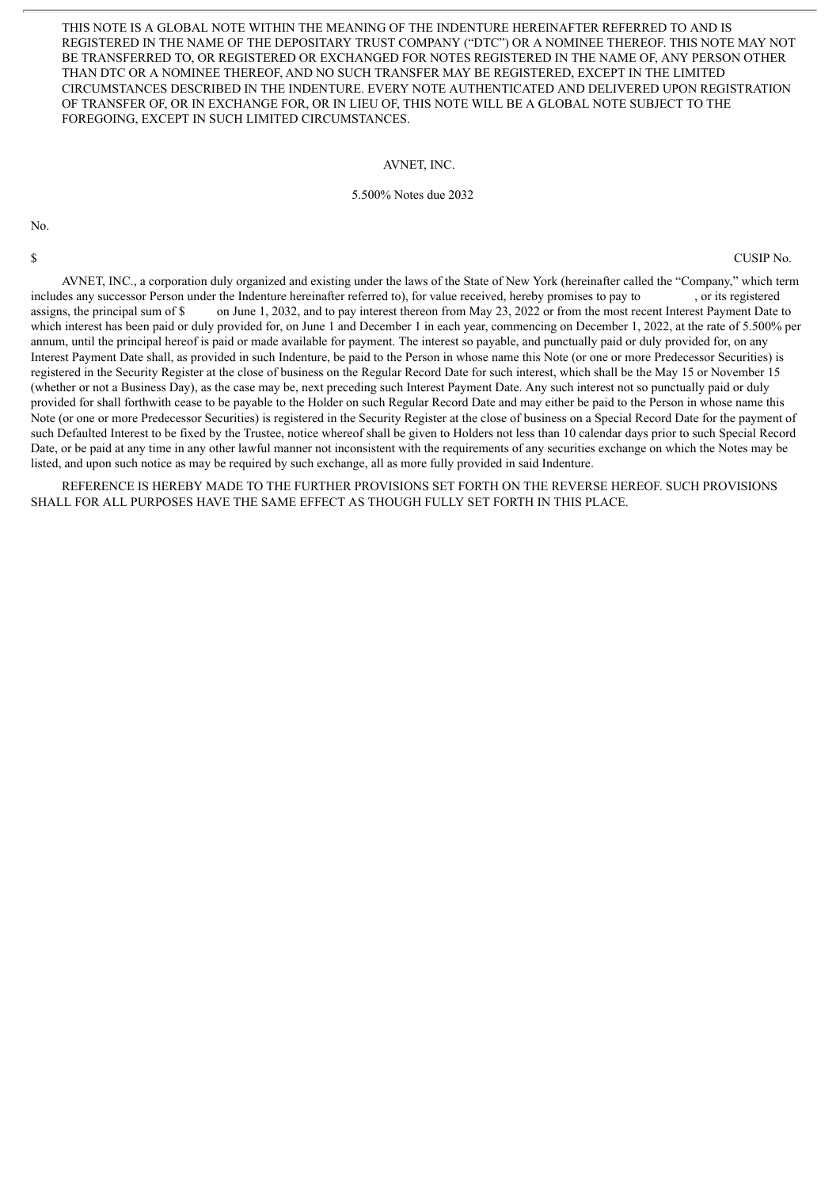THIS NOTE IS A GLOBAL NOTE WITHIN THE MEANING OF THE INDENTURE HEREINAFTER REFERRED TO AND IS REGISTERED IN THE NAME OF THE DEPOSITARY TRUST COMPANY ("DTC") OR A NOMINEE THEREOF. THIS NOTE MAY NOT BE TRANSFERRED TO, OR REGISTERED OR EXCHANGED FOR NOTES REGISTERED IN THE NAME OF, ANY PERSON OTHER THAN DTC OR A NOMINEE THEREOF, AND NO SUCH TRANSFER MAY BE REGISTERED, EXCEPT IN THE LIMITED CIRCUMSTANCES DESCRIBED IN THE INDENTURE. EVERY NOTE AUTHENTICATED AND DELIVERED UPON REGISTRATION OF TRANSFER OF, OR IN EXCHANGE FOR, OR IN LIEU OF, THIS NOTE WILL BE A GLOBAL NOTE SUBJECT TO THE FOREGOING, EXCEPT IN SUCH LIMITED CIRCUMSTANCES.

#### AVNET, INC.

#### 5.500% Notes due 2032

No.

\$ CUSIP No.

AVNET, INC., a corporation duly organized and existing under the laws of the State of New York (hereinafter called the "Company," which term includes any successor Person under the Indenture hereinafter referred to), for value received, hereby promises to pay to , or its registered assigns, the principal sum of \$ on June 1, 2032, and to pay interest thereon from May 23, 2022 or from the most recent Interest Payment Date to which interest has been paid or duly provided for, on June 1 and December 1 in each year, commencing on December 1, 2022, at the rate of 5.500% per annum, until the principal hereof is paid or made available for payment. The interest so payable, and punctually paid or duly provided for, on any Interest Payment Date shall, as provided in such Indenture, be paid to the Person in whose name this Note (or one or more Predecessor Securities) is registered in the Security Register at the close of business on the Regular Record Date for such interest, which shall be the May 15 or November 15 (whether or not a Business Day), as the case may be, next preceding such Interest Payment Date. Any such interest not so punctually paid or duly provided for shall forthwith cease to be payable to the Holder on such Regular Record Date and may either be paid to the Person in whose name this Note (or one or more Predecessor Securities) is registered in the Security Register at the close of business on a Special Record Date for the payment of such Defaulted Interest to be fixed by the Trustee, notice whereof shall be given to Holders not less than 10 calendar days prior to such Special Record Date, or be paid at any time in any other lawful manner not inconsistent with the requirements of any securities exchange on which the Notes may be listed, and upon such notice as may be required by such exchange, all as more fully provided in said Indenture.

REFERENCE IS HEREBY MADE TO THE FURTHER PROVISIONS SET FORTH ON THE REVERSE HEREOF. SUCH PROVISIONS SHALL FOR ALL PURPOSES HAVE THE SAME EFFECT AS THOUGH FULLY SET FORTH IN THIS PLACE.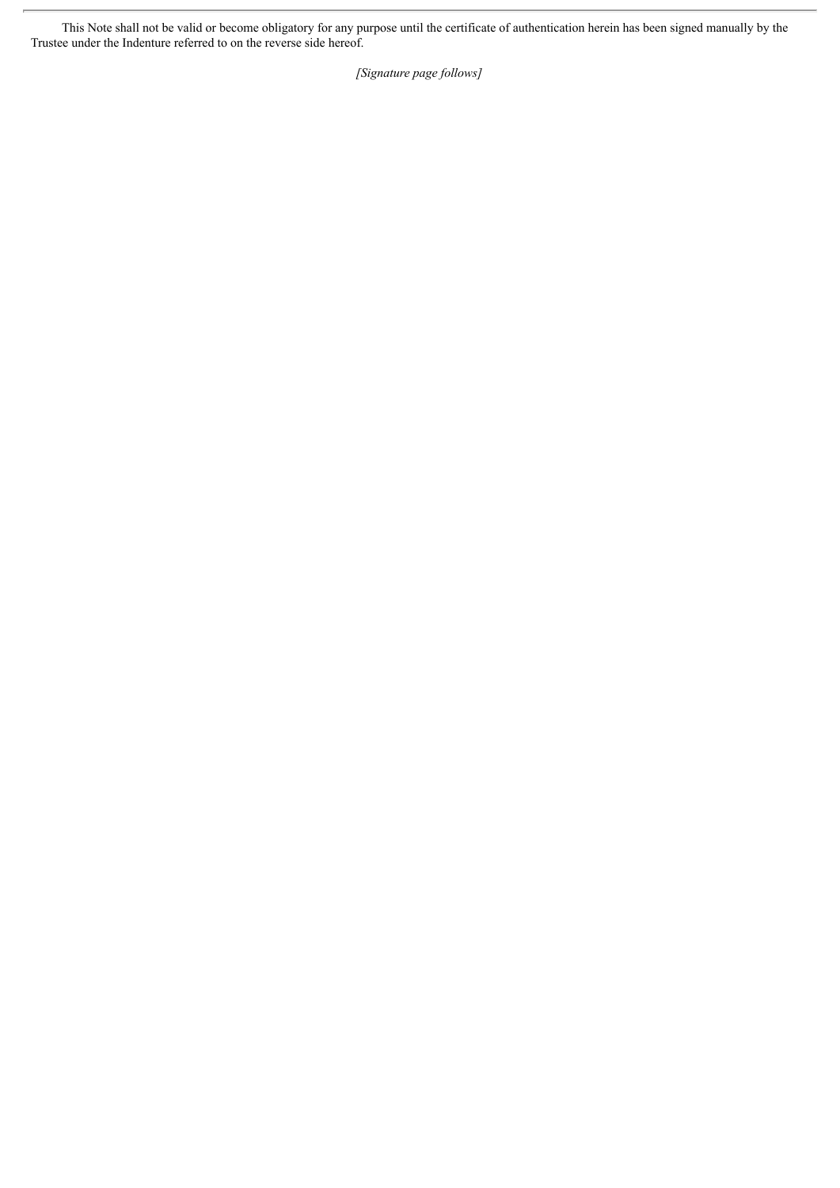This Note shall not be valid or become obligatory for any purpose until the certificate of authentication herein has been signed manually by the Trustee under the Indenture referred to on the reverse side hereof.

*[Signature page follows]*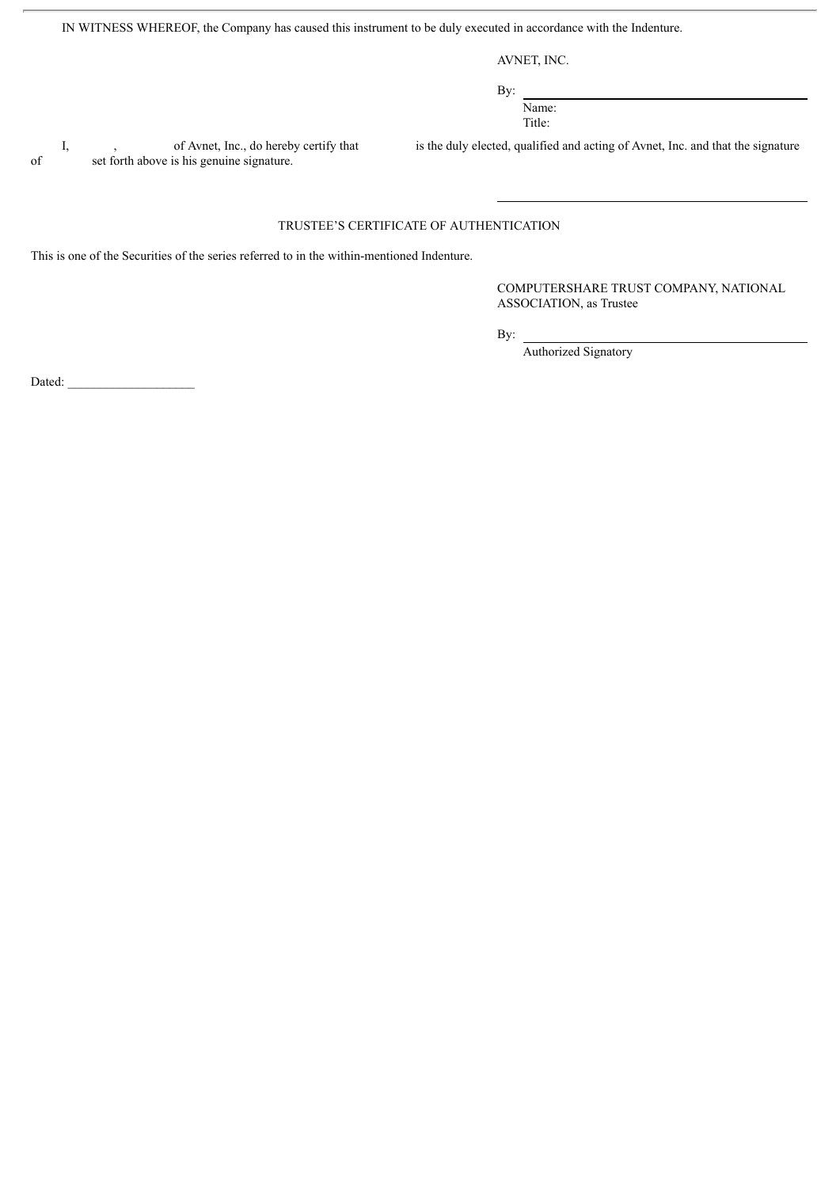IN WITNESS WHEREOF, the Company has caused this instrument to be duly executed in accordance with the Indenture.

AVNET, INC.

By: Name: Title:

of set forth above is his genuine signature.

I, of Avnet, Inc., do hereby certify that is the duly elected, qualified and acting of Avnet, Inc. and that the signature

### TRUSTEE'S CERTIFICATE OF AUTHENTICATION

This is one of the Securities of the series referred to in the within-mentioned Indenture.

COMPUTERSHARE TRUST COMPANY, NATIONAL ASSOCIATION, as Trustee

By:

Authorized Signatory

Dated: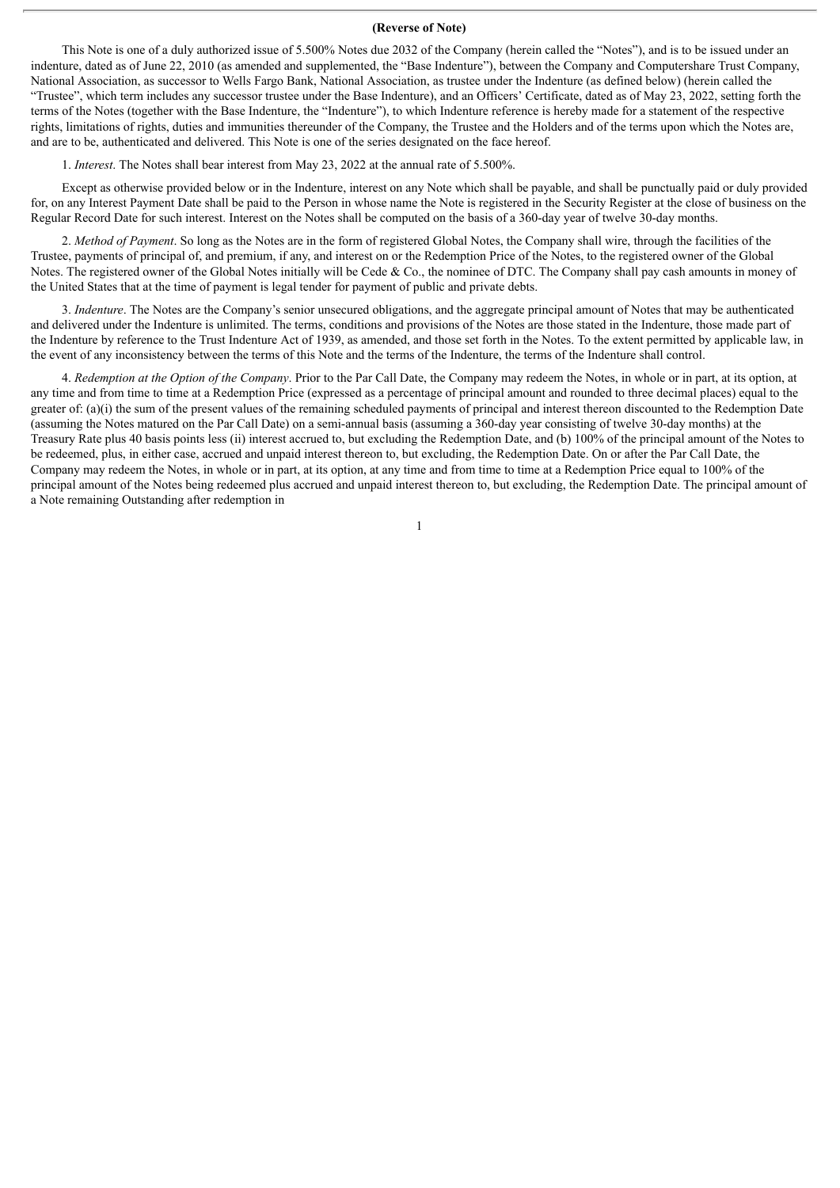### **(Reverse of Note)**

This Note is one of a duly authorized issue of 5.500% Notes due 2032 of the Company (herein called the "Notes"), and is to be issued under an indenture, dated as of June 22, 2010 (as amended and supplemented, the "Base Indenture"), between the Company and Computershare Trust Company, National Association, as successor to Wells Fargo Bank, National Association, as trustee under the Indenture (as defined below) (herein called the "Trustee", which term includes any successor trustee under the Base Indenture), and an Officers' Certificate, dated as of May 23, 2022, setting forth the terms of the Notes (together with the Base Indenture, the "Indenture"), to which Indenture reference is hereby made for a statement of the respective rights, limitations of rights, duties and immunities thereunder of the Company, the Trustee and the Holders and of the terms upon which the Notes are, and are to be, authenticated and delivered. This Note is one of the series designated on the face hereof.

1. *Interest*. The Notes shall bear interest from May 23, 2022 at the annual rate of 5.500%.

Except as otherwise provided below or in the Indenture, interest on any Note which shall be payable, and shall be punctually paid or duly provided for, on any Interest Payment Date shall be paid to the Person in whose name the Note is registered in the Security Register at the close of business on the Regular Record Date for such interest. Interest on the Notes shall be computed on the basis of a 360-day year of twelve 30-day months.

2. *Method of Payment*. So long as the Notes are in the form of registered Global Notes, the Company shall wire, through the facilities of the Trustee, payments of principal of, and premium, if any, and interest on or the Redemption Price of the Notes, to the registered owner of the Global Notes. The registered owner of the Global Notes initially will be Cede & Co., the nominee of DTC. The Company shall pay cash amounts in money of the United States that at the time of payment is legal tender for payment of public and private debts.

3. *Indenture*. The Notes are the Company's senior unsecured obligations, and the aggregate principal amount of Notes that may be authenticated and delivered under the Indenture is unlimited. The terms, conditions and provisions of the Notes are those stated in the Indenture, those made part of the Indenture by reference to the Trust Indenture Act of 1939, as amended, and those set forth in the Notes. To the extent permitted by applicable law, in the event of any inconsistency between the terms of this Note and the terms of the Indenture, the terms of the Indenture shall control.

4. *Redemption at the Option of the Company*. Prior to the Par Call Date, the Company may redeem the Notes, in whole or in part, at its option, at any time and from time to time at a Redemption Price (expressed as a percentage of principal amount and rounded to three decimal places) equal to the greater of: (a)(i) the sum of the present values of the remaining scheduled payments of principal and interest thereon discounted to the Redemption Date (assuming the Notes matured on the Par Call Date) on a semi-annual basis (assuming a 360-day year consisting of twelve 30-day months) at the Treasury Rate plus 40 basis points less (ii) interest accrued to, but excluding the Redemption Date, and (b) 100% of the principal amount of the Notes to be redeemed, plus, in either case, accrued and unpaid interest thereon to, but excluding, the Redemption Date. On or after the Par Call Date, the Company may redeem the Notes, in whole or in part, at its option, at any time and from time to time at a Redemption Price equal to 100% of the principal amount of the Notes being redeemed plus accrued and unpaid interest thereon to, but excluding, the Redemption Date. The principal amount of a Note remaining Outstanding after redemption in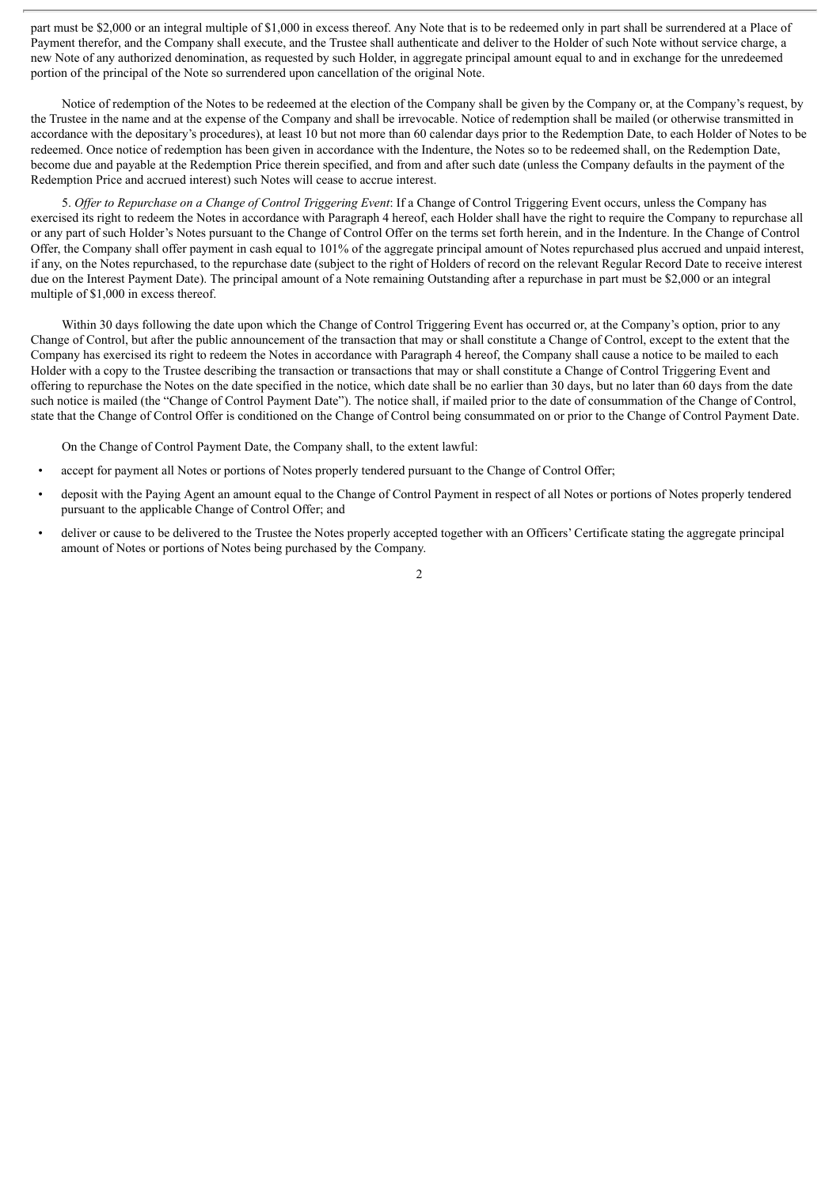part must be \$2,000 or an integral multiple of \$1,000 in excess thereof. Any Note that is to be redeemed only in part shall be surrendered at a Place of Payment therefor, and the Company shall execute, and the Trustee shall authenticate and deliver to the Holder of such Note without service charge, a new Note of any authorized denomination, as requested by such Holder, in aggregate principal amount equal to and in exchange for the unredeemed portion of the principal of the Note so surrendered upon cancellation of the original Note.

Notice of redemption of the Notes to be redeemed at the election of the Company shall be given by the Company or, at the Company's request, by the Trustee in the name and at the expense of the Company and shall be irrevocable. Notice of redemption shall be mailed (or otherwise transmitted in accordance with the depositary's procedures), at least 10 but not more than 60 calendar days prior to the Redemption Date, to each Holder of Notes to be redeemed. Once notice of redemption has been given in accordance with the Indenture, the Notes so to be redeemed shall, on the Redemption Date, become due and payable at the Redemption Price therein specified, and from and after such date (unless the Company defaults in the payment of the Redemption Price and accrued interest) such Notes will cease to accrue interest.

5. *Of er to Repurchase on a Change of Control Triggering Event*: If a Change of Control Triggering Event occurs, unless the Company has exercised its right to redeem the Notes in accordance with Paragraph 4 hereof, each Holder shall have the right to require the Company to repurchase all or any part of such Holder's Notes pursuant to the Change of Control Offer on the terms set forth herein, and in the Indenture. In the Change of Control Offer, the Company shall offer payment in cash equal to 101% of the aggregate principal amount of Notes repurchased plus accrued and unpaid interest, if any, on the Notes repurchased, to the repurchase date (subject to the right of Holders of record on the relevant Regular Record Date to receive interest due on the Interest Payment Date). The principal amount of a Note remaining Outstanding after a repurchase in part must be \$2,000 or an integral multiple of \$1,000 in excess thereof.

Within 30 days following the date upon which the Change of Control Triggering Event has occurred or, at the Company's option, prior to any Change of Control, but after the public announcement of the transaction that may or shall constitute a Change of Control, except to the extent that the Company has exercised its right to redeem the Notes in accordance with Paragraph 4 hereof, the Company shall cause a notice to be mailed to each Holder with a copy to the Trustee describing the transaction or transactions that may or shall constitute a Change of Control Triggering Event and offering to repurchase the Notes on the date specified in the notice, which date shall be no earlier than 30 days, but no later than 60 days from the date such notice is mailed (the "Change of Control Payment Date"). The notice shall, if mailed prior to the date of consummation of the Change of Control, state that the Change of Control Offer is conditioned on the Change of Control being consummated on or prior to the Change of Control Payment Date.

On the Change of Control Payment Date, the Company shall, to the extent lawful:

- accept for payment all Notes or portions of Notes properly tendered pursuant to the Change of Control Offer;
- deposit with the Paying Agent an amount equal to the Change of Control Payment in respect of all Notes or portions of Notes properly tendered pursuant to the applicable Change of Control Offer; and
- deliver or cause to be delivered to the Trustee the Notes properly accepted together with an Officers' Certificate stating the aggregate principal amount of Notes or portions of Notes being purchased by the Company.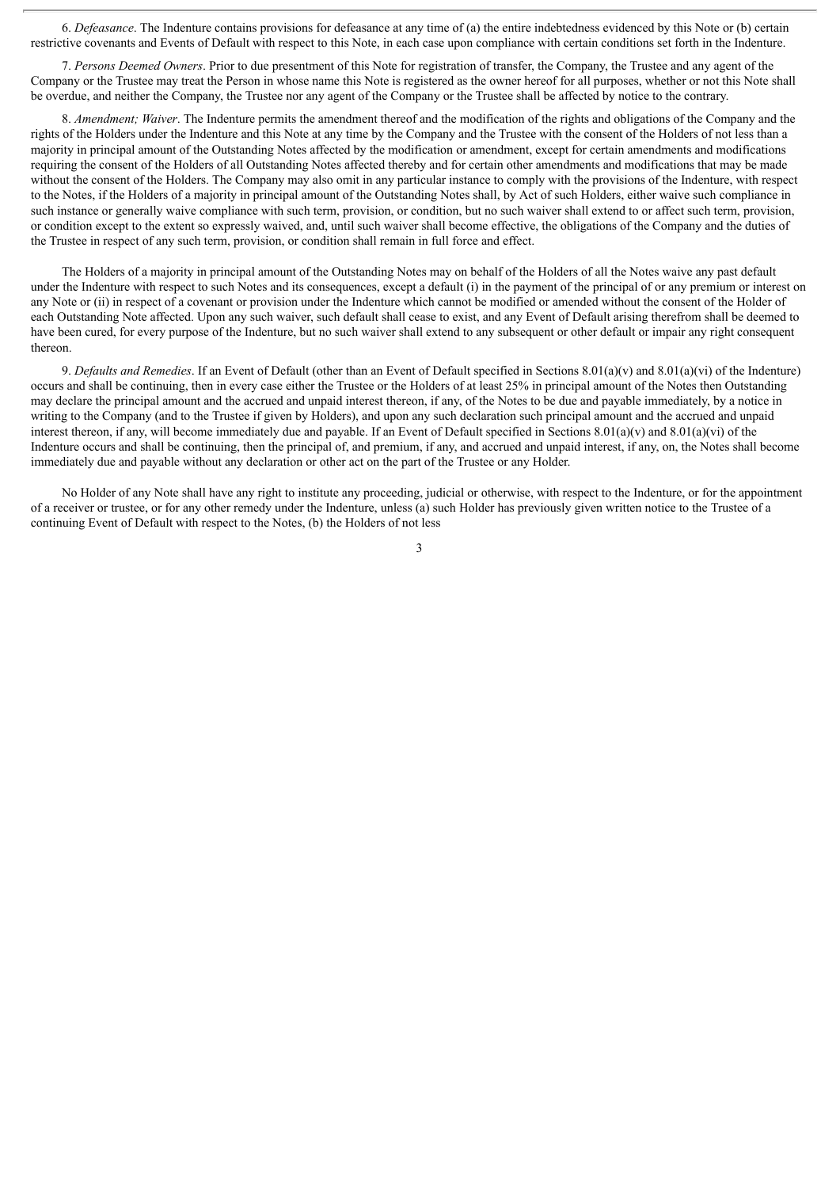6. *Defeasance*. The Indenture contains provisions for defeasance at any time of (a) the entire indebtedness evidenced by this Note or (b) certain restrictive covenants and Events of Default with respect to this Note, in each case upon compliance with certain conditions set forth in the Indenture.

7. *Persons Deemed Owners*. Prior to due presentment of this Note for registration of transfer, the Company, the Trustee and any agent of the Company or the Trustee may treat the Person in whose name this Note is registered as the owner hereof for all purposes, whether or not this Note shall be overdue, and neither the Company, the Trustee nor any agent of the Company or the Trustee shall be affected by notice to the contrary.

8. *Amendment; Waiver*. The Indenture permits the amendment thereof and the modification of the rights and obligations of the Company and the rights of the Holders under the Indenture and this Note at any time by the Company and the Trustee with the consent of the Holders of not less than a majority in principal amount of the Outstanding Notes affected by the modification or amendment, except for certain amendments and modifications requiring the consent of the Holders of all Outstanding Notes affected thereby and for certain other amendments and modifications that may be made without the consent of the Holders. The Company may also omit in any particular instance to comply with the provisions of the Indenture, with respect to the Notes, if the Holders of a majority in principal amount of the Outstanding Notes shall, by Act of such Holders, either waive such compliance in such instance or generally waive compliance with such term, provision, or condition, but no such waiver shall extend to or affect such term, provision, or condition except to the extent so expressly waived, and, until such waiver shall become effective, the obligations of the Company and the duties of the Trustee in respect of any such term, provision, or condition shall remain in full force and effect.

The Holders of a majority in principal amount of the Outstanding Notes may on behalf of the Holders of all the Notes waive any past default under the Indenture with respect to such Notes and its consequences, except a default (i) in the payment of the principal of or any premium or interest on any Note or (ii) in respect of a covenant or provision under the Indenture which cannot be modified or amended without the consent of the Holder of each Outstanding Note affected. Upon any such waiver, such default shall cease to exist, and any Event of Default arising therefrom shall be deemed to have been cured, for every purpose of the Indenture, but no such waiver shall extend to any subsequent or other default or impair any right consequent thereon.

9. *Defaults and Remedies*. If an Event of Default (other than an Event of Default specified in Sections 8.01(a)(v) and 8.01(a)(vi) of the Indenture) occurs and shall be continuing, then in every case either the Trustee or the Holders of at least 25% in principal amount of the Notes then Outstanding may declare the principal amount and the accrued and unpaid interest thereon, if any, of the Notes to be due and payable immediately, by a notice in writing to the Company (and to the Trustee if given by Holders), and upon any such declaration such principal amount and the accrued and unpaid interest thereon, if any, will become immediately due and payable. If an Event of Default specified in Sections  $8.01(a)(v)$  and  $8.01(a)(vi)$  of the Indenture occurs and shall be continuing, then the principal of, and premium, if any, and accrued and unpaid interest, if any, on, the Notes shall become immediately due and payable without any declaration or other act on the part of the Trustee or any Holder.

No Holder of any Note shall have any right to institute any proceeding, judicial or otherwise, with respect to the Indenture, or for the appointment of a receiver or trustee, or for any other remedy under the Indenture, unless (a) such Holder has previously given written notice to the Trustee of a continuing Event of Default with respect to the Notes, (b) the Holders of not less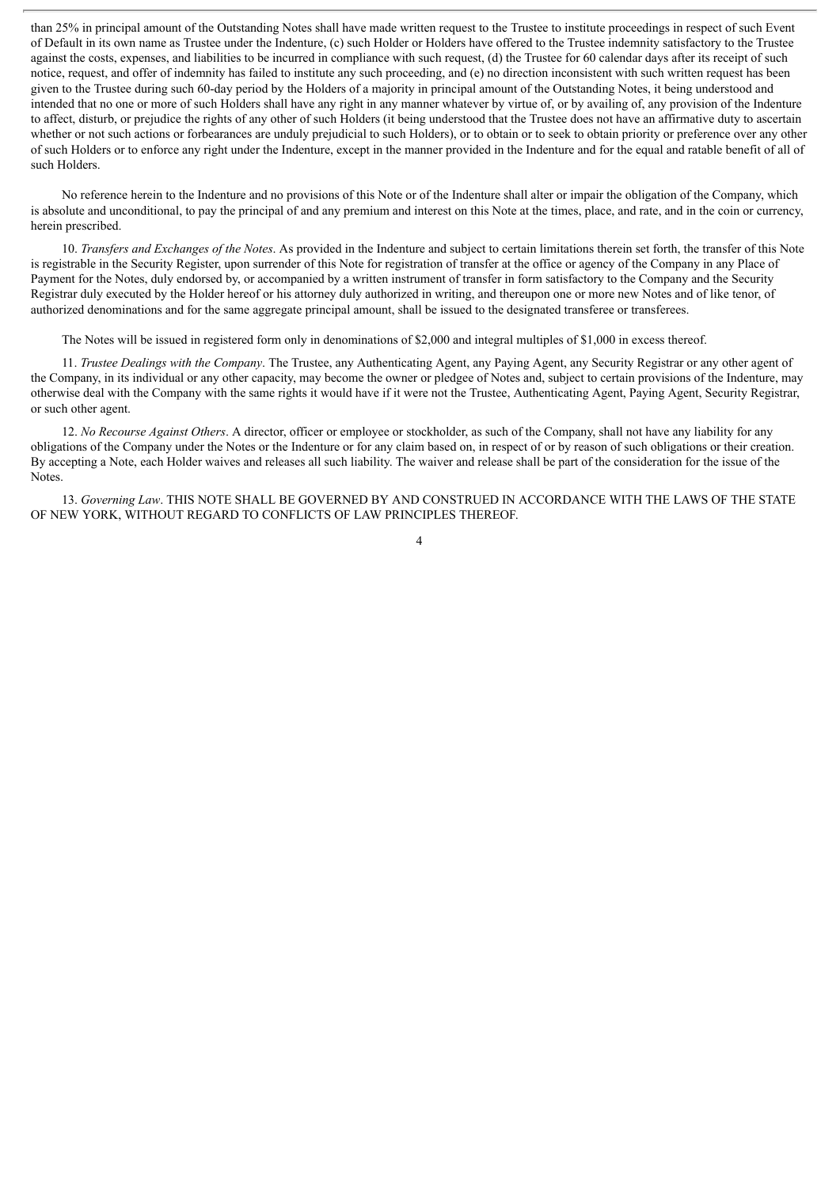than 25% in principal amount of the Outstanding Notes shall have made written request to the Trustee to institute proceedings in respect of such Event of Default in its own name as Trustee under the Indenture, (c) such Holder or Holders have offered to the Trustee indemnity satisfactory to the Trustee against the costs, expenses, and liabilities to be incurred in compliance with such request, (d) the Trustee for 60 calendar days after its receipt of such notice, request, and offer of indemnity has failed to institute any such proceeding, and (e) no direction inconsistent with such written request has been given to the Trustee during such 60-day period by the Holders of a majority in principal amount of the Outstanding Notes, it being understood and intended that no one or more of such Holders shall have any right in any manner whatever by virtue of, or by availing of, any provision of the Indenture to affect, disturb, or prejudice the rights of any other of such Holders (it being understood that the Trustee does not have an affirmative duty to ascertain whether or not such actions or forbearances are unduly prejudicial to such Holders), or to obtain or to seek to obtain priority or preference over any other of such Holders or to enforce any right under the Indenture, except in the manner provided in the Indenture and for the equal and ratable benefit of all of such Holders.

No reference herein to the Indenture and no provisions of this Note or of the Indenture shall alter or impair the obligation of the Company, which is absolute and unconditional, to pay the principal of and any premium and interest on this Note at the times, place, and rate, and in the coin or currency, herein prescribed.

10. *Transfers and Exchanges of the Notes*. As provided in the Indenture and subject to certain limitations therein set forth, the transfer of this Note is registrable in the Security Register, upon surrender of this Note for registration of transfer at the office or agency of the Company in any Place of Payment for the Notes, duly endorsed by, or accompanied by a written instrument of transfer in form satisfactory to the Company and the Security Registrar duly executed by the Holder hereof or his attorney duly authorized in writing, and thereupon one or more new Notes and of like tenor, of authorized denominations and for the same aggregate principal amount, shall be issued to the designated transferee or transferees.

The Notes will be issued in registered form only in denominations of \$2,000 and integral multiples of \$1,000 in excess thereof.

11. *Trustee Dealings with the Company*. The Trustee, any Authenticating Agent, any Paying Agent, any Security Registrar or any other agent of the Company, in its individual or any other capacity, may become the owner or pledgee of Notes and, subject to certain provisions of the Indenture, may otherwise deal with the Company with the same rights it would have if it were not the Trustee, Authenticating Agent, Paying Agent, Security Registrar, or such other agent.

12. *No Recourse Against Others*. A director, officer or employee or stockholder, as such of the Company, shall not have any liability for any obligations of the Company under the Notes or the Indenture or for any claim based on, in respect of or by reason of such obligations or their creation. By accepting a Note, each Holder waives and releases all such liability. The waiver and release shall be part of the consideration for the issue of the Notes.

13. *Governing Law*. THIS NOTE SHALL BE GOVERNED BY AND CONSTRUED IN ACCORDANCE WITH THE LAWS OF THE STATE OF NEW YORK, WITHOUT REGARD TO CONFLICTS OF LAW PRINCIPLES THEREOF.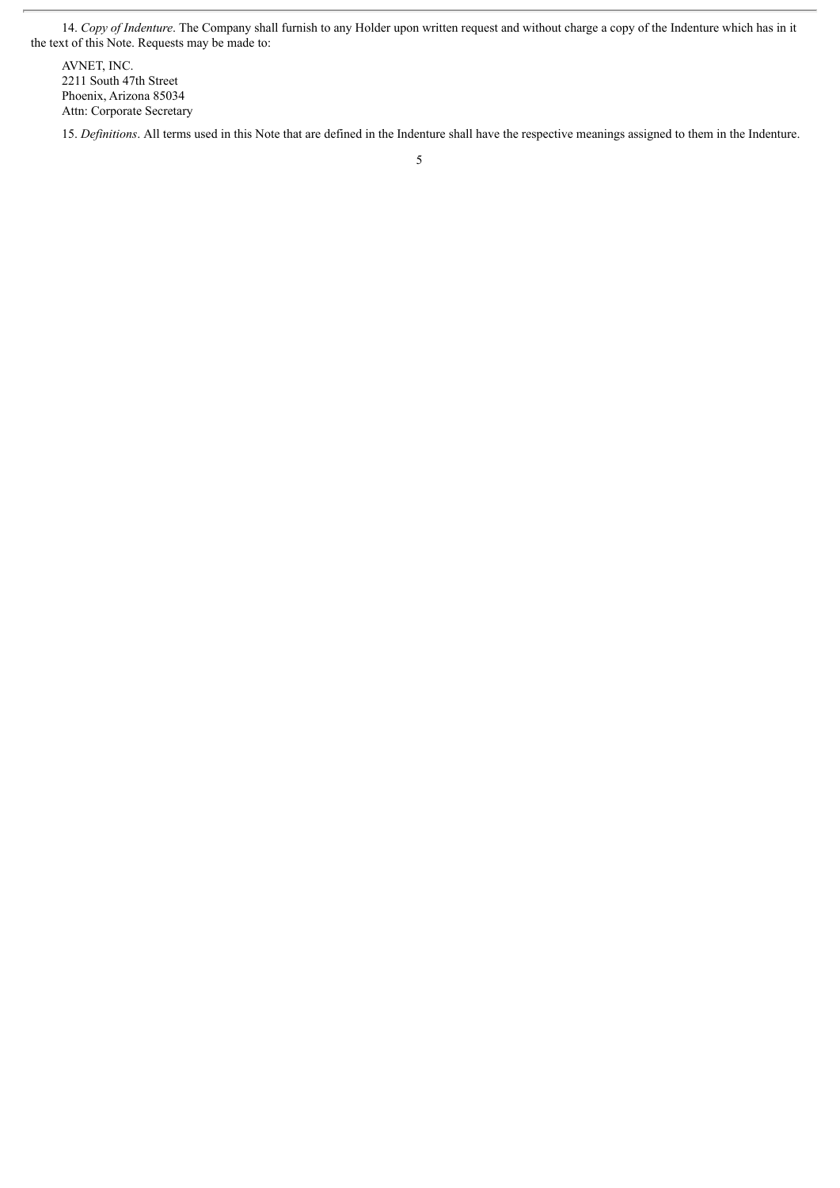14. *Copy of Indenture*. The Company shall furnish to any Holder upon written request and without charge a copy of the Indenture which has in it the text of this Note. Requests may be made to:

AVNET, INC. 2211 South 47th Street Phoenix, Arizona 85034 Attn: Corporate Secretary

15. *Definitions*. All terms used in this Note that are defined in the Indenture shall have the respective meanings assigned to them in the Indenture.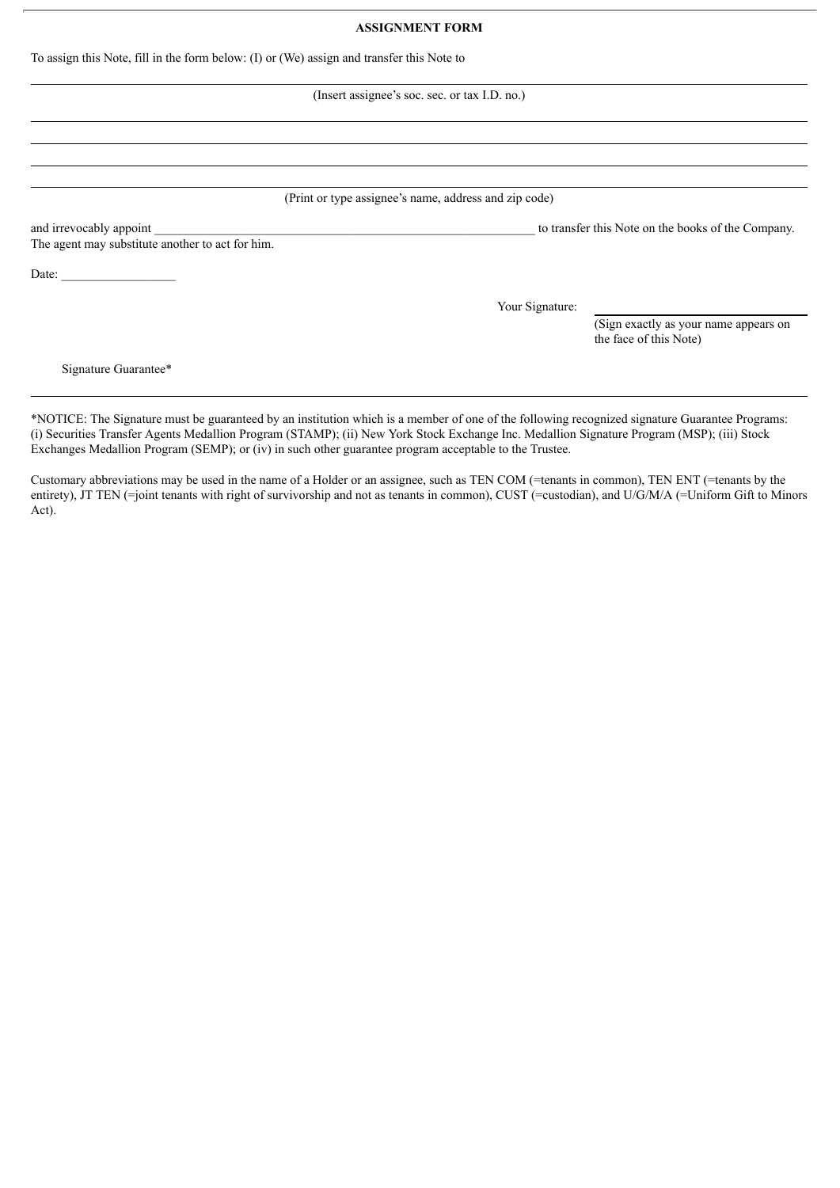### **ASSIGNMENT FORM**

|  |  |  | To assign this Note, fill in the form below: (I) or (We) assign and transfer this Note to |
|--|--|--|-------------------------------------------------------------------------------------------|
|  |  |  |                                                                                           |

### (Insert assignee's soc. sec. or tax I.D. no.)

(Print or type assignee's name, address and zip code)

The agent may substitute another to act for him.

Date:

and irrevocably appoint to transfer this Note on the books of the Company.

Your Signature:

(Sign exactly as your name appears on the face of this Note)

Signature Guarantee\*

\*NOTICE: The Signature must be guaranteed by an institution which is a member of one of the following recognized signature Guarantee Programs: (i) Securities Transfer Agents Medallion Program (STAMP); (ii) New York Stock Exchange Inc. Medallion Signature Program (MSP); (iii) Stock Exchanges Medallion Program (SEMP); or (iv) in such other guarantee program acceptable to the Trustee.

Customary abbreviations may be used in the name of a Holder or an assignee, such as TEN COM (=tenants in common), TEN ENT (=tenants by the entirety), JT TEN (=joint tenants with right of survivorship and not as tenants in common), CUST (=custodian), and U/G/M/A (=Uniform Gift to Minors Act).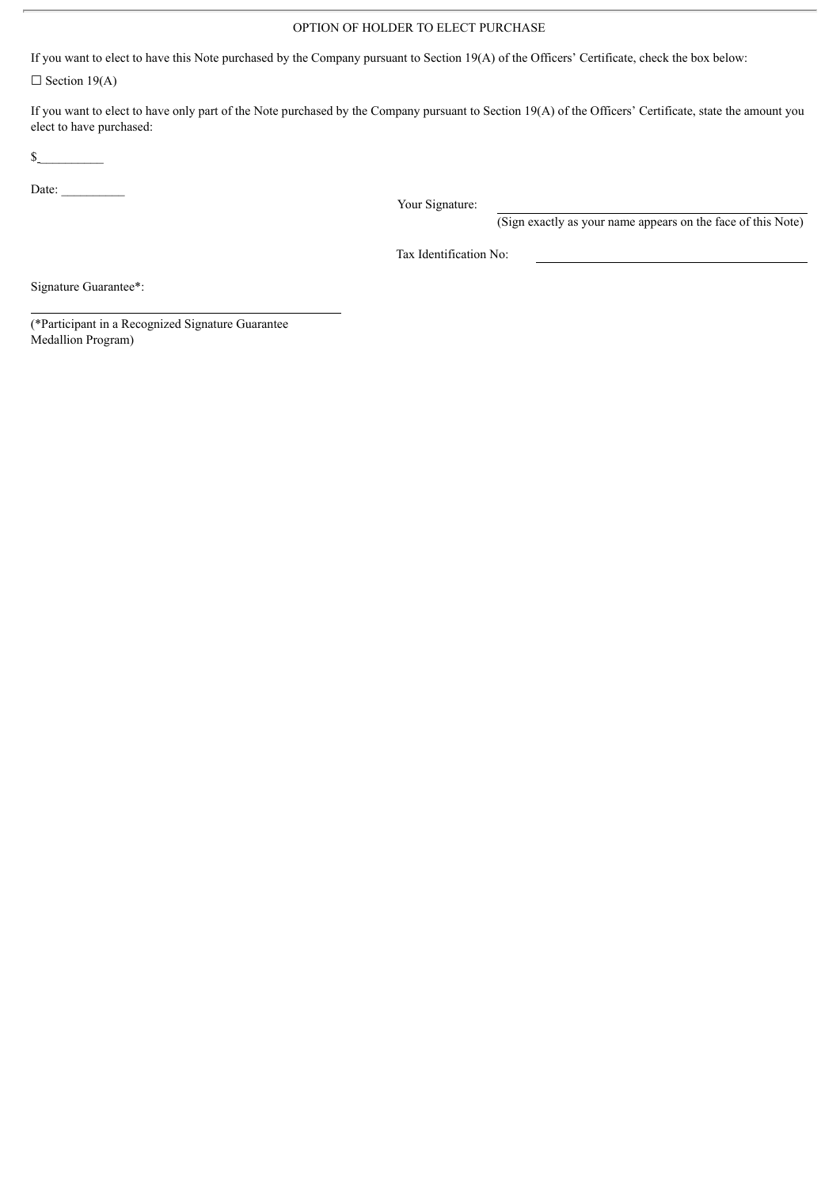### OPTION OF HOLDER TO ELECT PURCHASE

If you want to elect to have this Note purchased by the Company pursuant to Section 19(A) of the Officers' Certificate, check the box below:

 $\Box$  Section 19(A)

If you want to elect to have only part of the Note purchased by the Company pursuant to Section 19(A) of the Officers' Certificate, state the amount you elect to have purchased:

 $\sim$ 

Date:  $\qquad \qquad$ 

Your Signature:

(Sign exactly as your name appears on the face of this Note)

Tax Identification No:

Signature Guarantee\*:

(\*Participant in a Recognized Signature Guarantee Medallion Program)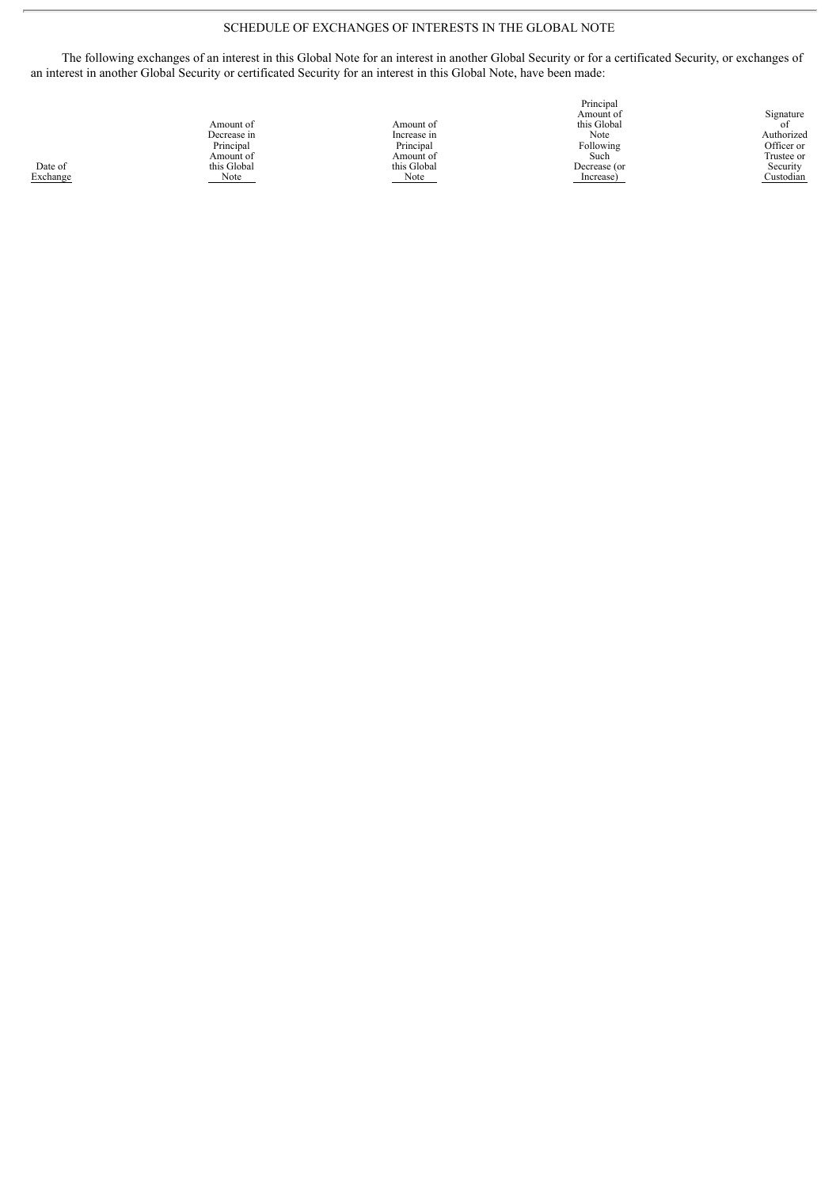### SCHEDULE OF EXCHANGES OF INTERESTS IN THE GLOBAL NOTE

The following exchanges of an interest in this Global Note for an interest in another Global Security or for a certificated Security, or exchanges of an interest in another Global Security or certificated Security for an interest in this Global Note, have been made:

|             |             | Amount of    | Signature  |
|-------------|-------------|--------------|------------|
| Amount of   | Amount of   | this Global  | οt         |
| Decrease in | Increase in | Note         | Authorized |
| Principal   | Principal   | Following    | Officer or |
| Amount of   | Amount of   | Such         | Trustee or |
| this Global | this Global | Decrease (or | Security   |
| Note        | Note        | Increase)    | Custodian  |
|             |             |              |            |

Principal

Date of Exchange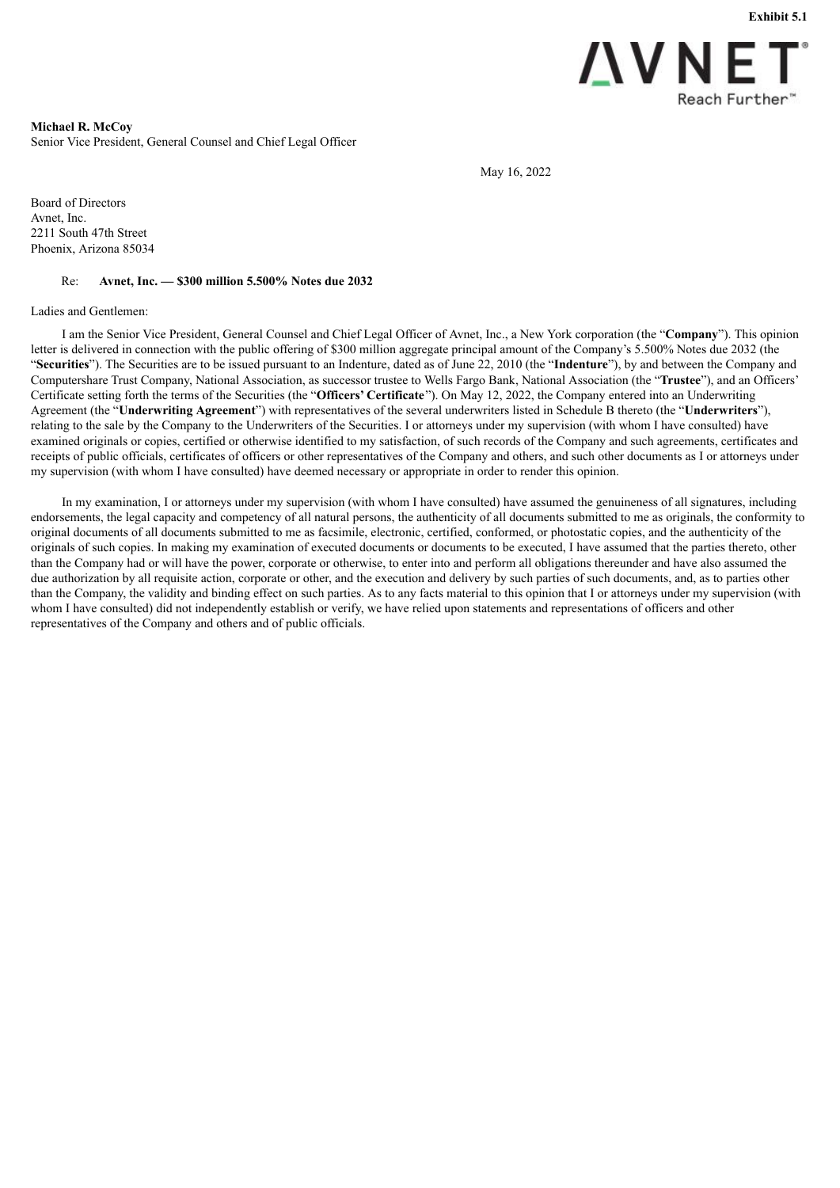

<span id="page-64-0"></span>**Michael R. McCoy** Senior Vice President, General Counsel and Chief Legal Officer

May 16, 2022

Board of Directors Avnet, Inc. 2211 South 47th Street Phoenix, Arizona 85034

#### Re: **Avnet, Inc. — \$300 million 5.500% Notes due 2032**

#### Ladies and Gentlemen:

I am the Senior Vice President, General Counsel and Chief Legal Officer of Avnet, Inc., a New York corporation (the "**Company**"). This opinion letter is delivered in connection with the public offering of \$300 million aggregate principal amount of the Company's 5.500% Notes due 2032 (the "**Securities**"). The Securities are to be issued pursuant to an Indenture, dated as of June 22, 2010 (the "**Indenture**"), by and between the Company and Computershare Trust Company, National Association, as successor trustee to Wells Fargo Bank, National Association (the "**Trustee**"), and an Officers' Certificate setting forth the terms of the Securities (the "**Officers' Certificate**"). On May 12, 2022, the Company entered into an Underwriting Agreement (the "**Underwriting Agreement**") with representatives of the several underwriters listed in Schedule B thereto (the "**Underwriters**"), relating to the sale by the Company to the Underwriters of the Securities. I or attorneys under my supervision (with whom I have consulted) have examined originals or copies, certified or otherwise identified to my satisfaction, of such records of the Company and such agreements, certificates and receipts of public officials, certificates of officers or other representatives of the Company and others, and such other documents as I or attorneys under my supervision (with whom I have consulted) have deemed necessary or appropriate in order to render this opinion.

In my examination, I or attorneys under my supervision (with whom I have consulted) have assumed the genuineness of all signatures, including endorsements, the legal capacity and competency of all natural persons, the authenticity of all documents submitted to me as originals, the conformity to original documents of all documents submitted to me as facsimile, electronic, certified, conformed, or photostatic copies, and the authenticity of the originals of such copies. In making my examination of executed documents or documents to be executed, I have assumed that the parties thereto, other than the Company had or will have the power, corporate or otherwise, to enter into and perform all obligations thereunder and have also assumed the due authorization by all requisite action, corporate or other, and the execution and delivery by such parties of such documents, and, as to parties other than the Company, the validity and binding effect on such parties. As to any facts material to this opinion that I or attorneys under my supervision (with whom I have consulted) did not independently establish or verify, we have relied upon statements and representations of officers and other representatives of the Company and others and of public officials.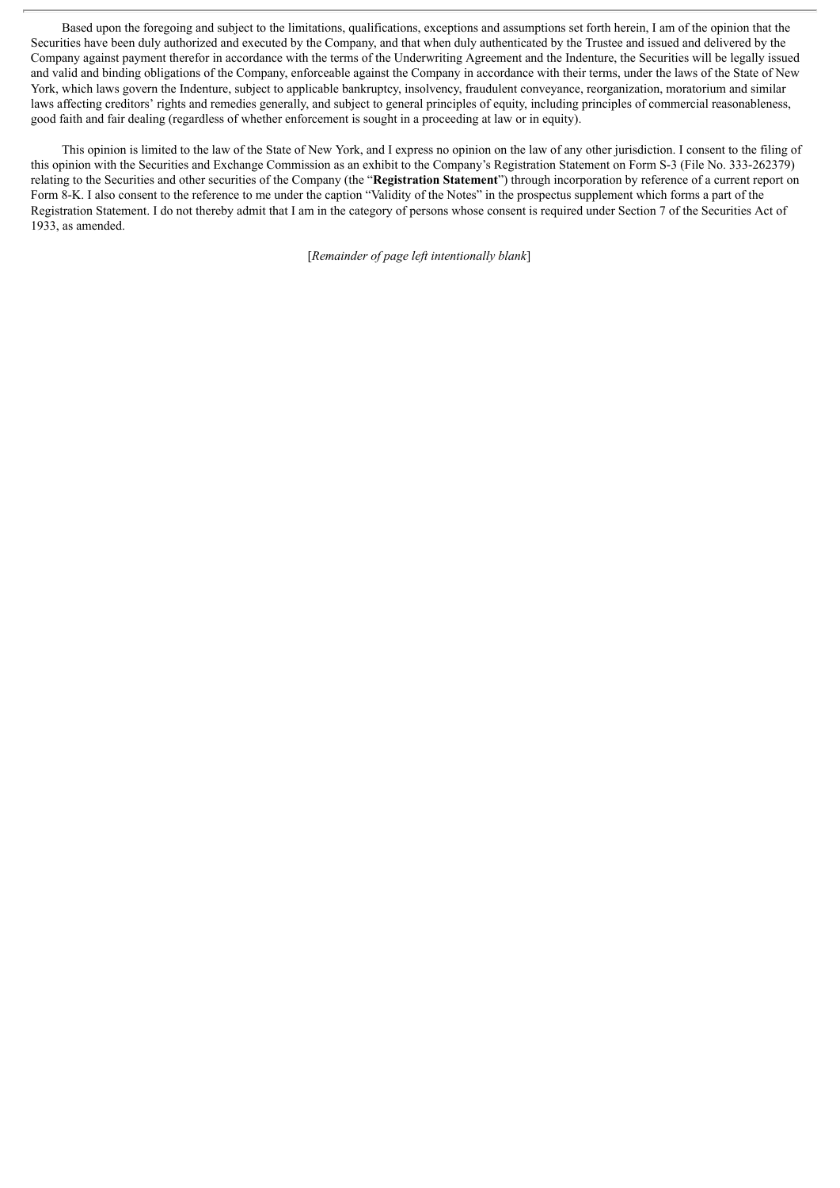Based upon the foregoing and subject to the limitations, qualifications, exceptions and assumptions set forth herein, I am of the opinion that the Securities have been duly authorized and executed by the Company, and that when duly authenticated by the Trustee and issued and delivered by the Company against payment therefor in accordance with the terms of the Underwriting Agreement and the Indenture, the Securities will be legally issued and valid and binding obligations of the Company, enforceable against the Company in accordance with their terms, under the laws of the State of New York, which laws govern the Indenture, subject to applicable bankruptcy, insolvency, fraudulent conveyance, reorganization, moratorium and similar laws affecting creditors' rights and remedies generally, and subject to general principles of equity, including principles of commercial reasonableness, good faith and fair dealing (regardless of whether enforcement is sought in a proceeding at law or in equity).

This opinion is limited to the law of the State of New York, and I express no opinion on the law of any other jurisdiction. I consent to the filing of this opinion with the Securities and Exchange Commission as an exhibit to the Company's Registration Statement on Form S-3 (File No. 333-262379) relating to the Securities and other securities of the Company (the "**Registration Statement**") through incorporation by reference of a current report on Form 8-K. I also consent to the reference to me under the caption "Validity of the Notes" in the prospectus supplement which forms a part of the Registration Statement. I do not thereby admit that I am in the category of persons whose consent is required under Section 7 of the Securities Act of 1933, as amended.

[*Remainder of page left intentionally blank*]